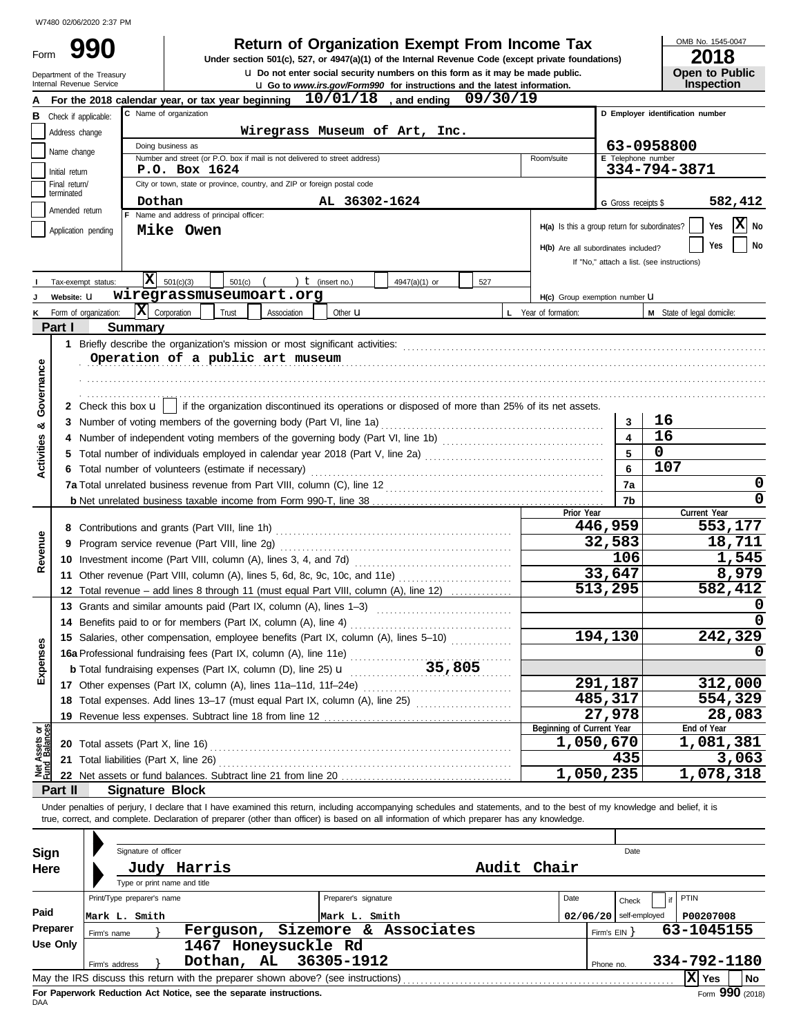Department of the Treasury

Form 990

# **Return of Organization Exempt From Income Tax**<br>section 501(c), 527, or 4947(a)(1) of the Internal Revenue Code (except private foundations) 2018

**u** Do not enter social security numbers on this form as it may be made public. **Under section 501(c), 527, or 4947(a)(1) of the Internal Revenue Code (except private foundations)** OMB No. 1545-0047

|  | <b>Open to Public</b> |
|--|-----------------------|
|  | <b>Inspection</b>     |

|                                |                                                                  | Internal Revenue Service                       |                                                                                      |            |                     |                      | <b>u</b> Go to <i>www.irs.gov/Form990</i> for instructions and the latest information.                                                                                     |              |                      |                                               |                     | <b>Inspection</b>                          |              |  |
|--------------------------------|------------------------------------------------------------------|------------------------------------------------|--------------------------------------------------------------------------------------|------------|---------------------|----------------------|----------------------------------------------------------------------------------------------------------------------------------------------------------------------------|--------------|----------------------|-----------------------------------------------|---------------------|--------------------------------------------|--------------|--|
|                                |                                                                  |                                                | For the 2018 calendar year, or tax year beginning                                    |            |                     | 10/01/18             | and ending                                                                                                                                                                 | 09/30/19     |                      |                                               |                     |                                            |              |  |
|                                |                                                                  | <b>B</b> Check if applicable:                  | C Name of organization                                                               |            |                     |                      |                                                                                                                                                                            |              |                      |                                               |                     | D Employer identification number           |              |  |
|                                | Address change                                                   |                                                |                                                                                      |            |                     |                      | Wiregrass Museum of Art, Inc.                                                                                                                                              |              |                      |                                               |                     |                                            |              |  |
|                                |                                                                  |                                                | Doing business as                                                                    |            |                     |                      |                                                                                                                                                                            |              |                      |                                               |                     | 63-0958800                                 |              |  |
|                                | Name change                                                      |                                                | Number and street (or P.O. box if mail is not delivered to street address)           |            |                     |                      |                                                                                                                                                                            |              | Room/suite           |                                               | E Telephone number  |                                            |              |  |
|                                | Initial return                                                   |                                                | P.O. Box 1624                                                                        |            |                     |                      |                                                                                                                                                                            |              |                      |                                               |                     | 334-794-3871                               |              |  |
|                                | Final return/                                                    |                                                | City or town, state or province, country, and ZIP or foreign postal code             |            |                     |                      |                                                                                                                                                                            |              |                      |                                               |                     |                                            |              |  |
|                                | terminated                                                       |                                                | Dothan                                                                               |            |                     | AL 36302-1624        |                                                                                                                                                                            |              |                      |                                               | G Gross receipts \$ | 582,412                                    |              |  |
|                                | Amended return                                                   |                                                | F Name and address of principal officer:                                             |            |                     |                      |                                                                                                                                                                            |              |                      |                                               |                     |                                            |              |  |
|                                |                                                                  | Application pending                            | Mike Owen                                                                            |            |                     |                      |                                                                                                                                                                            |              |                      | H(a) Is this a group return for subordinates? |                     | $ \mathbf{X} $ No<br>Yes                   |              |  |
|                                |                                                                  |                                                |                                                                                      |            |                     |                      |                                                                                                                                                                            |              |                      | H(b) Are all subordinates included?           |                     | Yes                                        | No           |  |
|                                |                                                                  |                                                |                                                                                      |            |                     |                      |                                                                                                                                                                            |              |                      |                                               |                     | If "No," attach a list. (see instructions) |              |  |
|                                |                                                                  |                                                | X                                                                                    |            |                     |                      |                                                                                                                                                                            |              |                      |                                               |                     |                                            |              |  |
|                                |                                                                  | Tax-exempt status:                             | 501(c)(3)                                                                            | 501(c)     |                     | ) $t$ (insert no.)   | 4947(a)(1) or                                                                                                                                                              | 527          |                      |                                               |                     |                                            |              |  |
|                                | Website: U                                                       |                                                | wiregrassmuseumoart.org                                                              |            |                     |                      |                                                                                                                                                                            |              |                      | H(c) Group exemption number <b>U</b>          |                     |                                            |              |  |
| κ                              |                                                                  | Form of organization:                          | $ \mathbf{X} $ Corporation                                                           | Trust      | Association         | Other <b>u</b>       |                                                                                                                                                                            |              | L Year of formation: |                                               |                     | M State of legal domicile:                 |              |  |
|                                | Part I                                                           |                                                | <b>Summary</b>                                                                       |            |                     |                      |                                                                                                                                                                            |              |                      |                                               |                     |                                            |              |  |
|                                |                                                                  |                                                |                                                                                      |            |                     |                      |                                                                                                                                                                            |              |                      |                                               |                     |                                            |              |  |
|                                |                                                                  |                                                | Operation of a public art museum                                                     |            |                     |                      |                                                                                                                                                                            |              |                      |                                               |                     |                                            |              |  |
| Governance                     |                                                                  |                                                |                                                                                      |            |                     |                      |                                                                                                                                                                            |              |                      |                                               |                     |                                            |              |  |
|                                |                                                                  |                                                |                                                                                      |            |                     |                      |                                                                                                                                                                            |              |                      |                                               |                     |                                            |              |  |
|                                |                                                                  |                                                |                                                                                      |            |                     |                      | 2 Check this box $\mathbf{u}$   if the organization discontinued its operations or disposed of more than 25% of its net assets.                                            |              |                      |                                               |                     |                                            |              |  |
|                                |                                                                  |                                                | 3 Number of voting members of the governing body (Part VI, line 1a)                  |            |                     |                      |                                                                                                                                                                            |              |                      |                                               | 3                   | 16                                         |              |  |
| න්                             |                                                                  |                                                |                                                                                      |            |                     |                      |                                                                                                                                                                            |              |                      |                                               | 4                   | 16                                         |              |  |
|                                |                                                                  |                                                |                                                                                      |            |                     |                      |                                                                                                                                                                            |              |                      |                                               |                     |                                            |              |  |
| Activities                     |                                                                  |                                                |                                                                                      |            | 5                   | 0                    |                                                                                                                                                                            |              |                      |                                               |                     |                                            |              |  |
|                                |                                                                  |                                                | 6 Total number of volunteers (estimate if necessary)                                 |            | 6                   | 107                  |                                                                                                                                                                            |              |                      |                                               |                     |                                            |              |  |
|                                |                                                                  |                                                |                                                                                      |            | 7a                  |                      | 0                                                                                                                                                                          |              |                      |                                               |                     |                                            |              |  |
|                                |                                                                  |                                                |                                                                                      |            |                     |                      |                                                                                                                                                                            |              |                      |                                               | 7b                  |                                            | <sup>0</sup> |  |
|                                |                                                                  |                                                |                                                                                      |            |                     | Prior Year           |                                                                                                                                                                            | Current Year |                      |                                               |                     |                                            |              |  |
|                                |                                                                  |                                                |                                                                                      |            |                     |                      |                                                                                                                                                                            |              |                      |                                               | 446,959             | 553,177                                    |              |  |
| Revenue                        |                                                                  | 9 Program service revenue (Part VIII, line 2g) |                                                                                      |            |                     |                      |                                                                                                                                                                            |              |                      |                                               | 32,583              | 18,711                                     |              |  |
|                                | 10 Investment income (Part VIII, column (A), lines 3, 4, and 7d) |                                                |                                                                                      |            |                     |                      |                                                                                                                                                                            |              |                      |                                               | 106                 | 1,545                                      |              |  |
|                                |                                                                  |                                                |                                                                                      |            |                     |                      |                                                                                                                                                                            |              |                      |                                               | 33,647              | 8,979                                      |              |  |
|                                |                                                                  |                                                |                                                                                      |            |                     |                      | 12 Total revenue – add lines 8 through 11 (must equal Part VIII, column (A), line 12)                                                                                      |              |                      |                                               | 513,295             | 582,412                                    |              |  |
|                                |                                                                  |                                                | 13 Grants and similar amounts paid (Part IX, column (A), lines 1-3)                  |            |                     |                      |                                                                                                                                                                            |              |                      |                                               |                     |                                            |              |  |
|                                |                                                                  |                                                | 14 Benefits paid to or for members (Part IX, column (A), line 4)                     |            |                     |                      |                                                                                                                                                                            |              |                      |                                               |                     |                                            |              |  |
|                                |                                                                  |                                                | 15 Salaries, other compensation, employee benefits (Part IX, column (A), lines 5-10) |            |                     | 194,130              | 242,329                                                                                                                                                                    |              |                      |                                               |                     |                                            |              |  |
| enses                          |                                                                  |                                                |                                                                                      |            |                     |                      |                                                                                                                                                                            |              |                      |                                               |                     |                                            |              |  |
|                                |                                                                  |                                                | <b>b</b> Total fundraising expenses (Part IX, column (D), line 25) <b>u</b>          |            |                     |                      | 35,805                                                                                                                                                                     |              |                      |                                               |                     |                                            |              |  |
| <u>BÀ</u>                      |                                                                  |                                                |                                                                                      |            |                     |                      |                                                                                                                                                                            |              |                      |                                               | 291,187             |                                            |              |  |
|                                |                                                                  |                                                | 17 Other expenses (Part IX, column (A), lines 11a-11d, 11f-24e)                      |            |                     |                      |                                                                                                                                                                            |              |                      |                                               |                     | 312,000                                    |              |  |
|                                |                                                                  |                                                | 18 Total expenses. Add lines 13-17 (must equal Part IX, column (A), line 25)         |            |                     |                      |                                                                                                                                                                            |              |                      |                                               | 485,317<br>554,329  |                                            |              |  |
|                                |                                                                  |                                                | 19 Revenue less expenses. Subtract line 18 from line 12                              |            |                     |                      |                                                                                                                                                                            |              |                      |                                               | $\overline{27,978}$ | 28,083                                     |              |  |
| Net Assets or<br>Fund Balances |                                                                  |                                                |                                                                                      |            |                     |                      |                                                                                                                                                                            |              |                      | Beginning of Current Year                     |                     | End of Year                                |              |  |
|                                |                                                                  |                                                | 20 Total assets (Part X, line 16)                                                    |            |                     |                      |                                                                                                                                                                            |              |                      | 1,050,670                                     |                     | 1,081,381                                  |              |  |
|                                |                                                                  |                                                |                                                                                      |            |                     |                      |                                                                                                                                                                            |              |                      |                                               | 435                 | 3,063                                      |              |  |
|                                |                                                                  |                                                |                                                                                      |            |                     |                      |                                                                                                                                                                            |              |                      | 1,050,235                                     |                     | 1,078,318                                  |              |  |
|                                | Part II                                                          |                                                | <b>Signature Block</b>                                                               |            |                     |                      |                                                                                                                                                                            |              |                      |                                               |                     |                                            |              |  |
|                                |                                                                  |                                                |                                                                                      |            |                     |                      | Under penalties of perjury, I declare that I have examined this return, including accompanying schedules and statements, and to the best of my knowledge and belief, it is |              |                      |                                               |                     |                                            |              |  |
|                                |                                                                  |                                                |                                                                                      |            |                     |                      | true, correct, and complete. Declaration of preparer (other than officer) is based on all information of which preparer has any knowledge.                                 |              |                      |                                               |                     |                                            |              |  |
|                                |                                                                  |                                                |                                                                                      |            |                     |                      |                                                                                                                                                                            |              |                      |                                               |                     |                                            |              |  |
| Sign                           |                                                                  |                                                | Signature of officer                                                                 |            |                     |                      |                                                                                                                                                                            |              |                      |                                               | Date                |                                            |              |  |
| Here                           |                                                                  |                                                | Judy Harris                                                                          |            |                     |                      |                                                                                                                                                                            |              | Audit Chair          |                                               |                     |                                            |              |  |
|                                |                                                                  |                                                | Type or print name and title                                                         |            |                     |                      |                                                                                                                                                                            |              |                      |                                               |                     |                                            |              |  |
|                                |                                                                  |                                                | Print/Type preparer's name                                                           |            |                     | Preparer's signature |                                                                                                                                                                            |              |                      | Date                                          | Check               | PTIN                                       |              |  |
| Paid                           |                                                                  |                                                |                                                                                      |            |                     |                      |                                                                                                                                                                            |              |                      | $02/06/20$ self-employed                      |                     |                                            |              |  |
|                                | <b>Preparer</b>                                                  | Mark L. Smith                                  |                                                                                      |            |                     | Mark L. Smith        |                                                                                                                                                                            |              |                      |                                               |                     | P00207008                                  |              |  |
|                                | Use Only                                                         | Firm's name                                    |                                                                                      | Ferguson,  |                     |                      | Sizemore & Associates                                                                                                                                                      |              |                      |                                               | Firm's $EIN$ }      | 63-1045155                                 |              |  |
|                                |                                                                  |                                                |                                                                                      |            | 1467 Honeysuckle Rd |                      |                                                                                                                                                                            |              |                      |                                               |                     |                                            |              |  |
|                                |                                                                  | Firm's address                                 |                                                                                      | Dothan, AL |                     | 36305-1912           |                                                                                                                                                                            |              |                      |                                               | Phone no.           | 334-792-1180                               |              |  |
|                                |                                                                  |                                                | May the IRS discuss this return with the preparer shown above? (see instructions)    |            |                     |                      |                                                                                                                                                                            |              |                      |                                               |                     | $ X $ Yes                                  | No           |  |

| Sign<br>Here                                                         | Signature of officer<br>Judy | Harris<br>Type or print name and title                                            |                       | Chair<br>Audit | Date              |                   |  |  |  |  |  |  |
|----------------------------------------------------------------------|------------------------------|-----------------------------------------------------------------------------------|-----------------------|----------------|-------------------|-------------------|--|--|--|--|--|--|
|                                                                      | Print/Type preparer's name   |                                                                                   | Preparer's signature  | Date           | Check             | <b>PTIN</b>       |  |  |  |  |  |  |
| Paid                                                                 | Mark L. Smith                |                                                                                   | Mark L. Smith         | 02/06/20       | self-employed     | P00207008         |  |  |  |  |  |  |
| Preparer                                                             | Firm's name                  | Ferguson,                                                                         | Sizemore & Associates |                | Firm's $EIN$ $\}$ | 63-1045155        |  |  |  |  |  |  |
| Use Only                                                             |                              | 1467 Honeysuckle Rd                                                               |                       |                |                   |                   |  |  |  |  |  |  |
| 334-792-1180<br>Dothan, AL 36305-1912<br>Firm's address<br>Phone no. |                              |                                                                                   |                       |                |                   |                   |  |  |  |  |  |  |
|                                                                      |                              | May the IRS discuss this return with the preparer shown above? (see instructions) |                       |                |                   | X  Yes<br>l No    |  |  |  |  |  |  |
|                                                                      |                              | For Paperwork Reduction Act Notice, see the separate instructions.                |                       |                |                   | $Form$ 990 (2018) |  |  |  |  |  |  |

DAA **For Paperwork Reduction Act Notice, see the separate instructions.**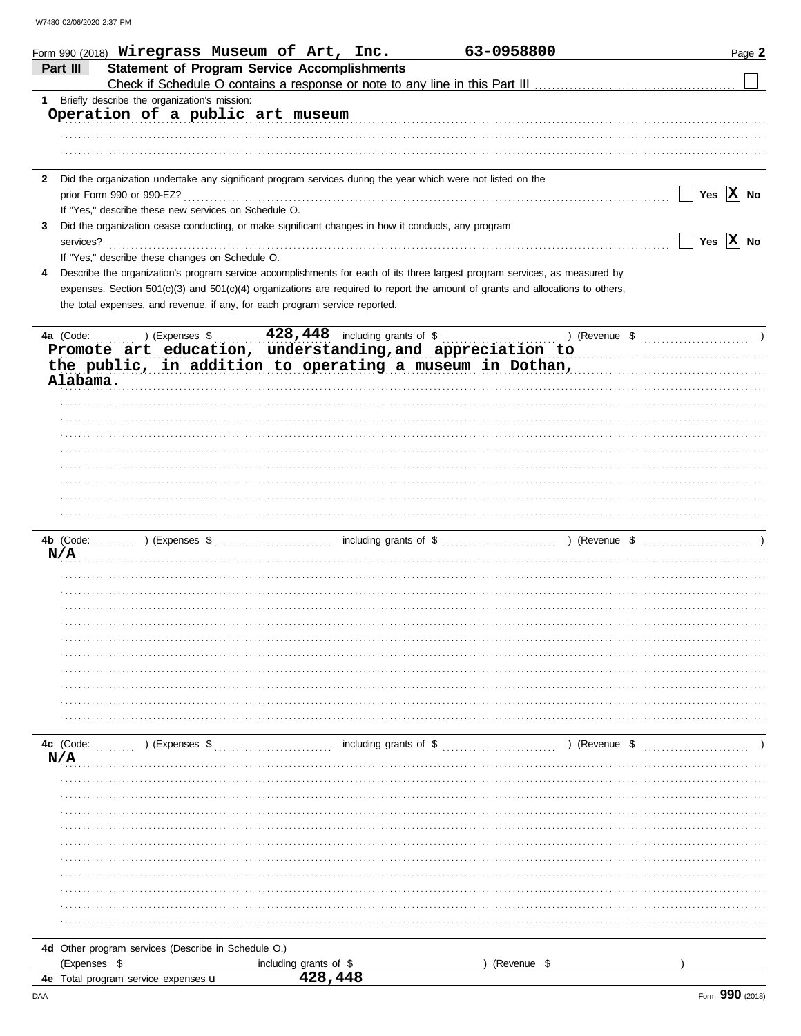|              | 63-0958800<br>Form 990 (2018) Wiregrass Museum of Art, Inc.                                                                    |                                          | Page 2                       |
|--------------|--------------------------------------------------------------------------------------------------------------------------------|------------------------------------------|------------------------------|
|              | <b>Statement of Program Service Accomplishments</b><br>Part III                                                                |                                          |                              |
|              |                                                                                                                                |                                          |                              |
| 1            | Briefly describe the organization's mission:                                                                                   |                                          |                              |
|              | Operation of a public art museum                                                                                               |                                          |                              |
|              |                                                                                                                                |                                          |                              |
|              |                                                                                                                                |                                          |                              |
|              |                                                                                                                                |                                          |                              |
| $\mathbf{2}$ | Did the organization undertake any significant program services during the year which were not listed on the                   |                                          |                              |
|              | prior Form 990 or 990-EZ?                                                                                                      |                                          | $\vert$   Yes $\vert$ X   No |
|              | If "Yes," describe these new services on Schedule O.                                                                           |                                          |                              |
| 3            | Did the organization cease conducting, or make significant changes in how it conducts, any program                             |                                          |                              |
|              | services?                                                                                                                      |                                          | $\Box$ Yes $\overline{X}$ No |
|              | If "Yes," describe these changes on Schedule O.                                                                                |                                          |                              |
| 4            | Describe the organization's program service accomplishments for each of its three largest program services, as measured by     |                                          |                              |
|              | expenses. Section 501(c)(3) and 501(c)(4) organizations are required to report the amount of grants and allocations to others, |                                          |                              |
|              | the total expenses, and revenue, if any, for each program service reported.                                                    |                                          |                              |
|              |                                                                                                                                |                                          |                              |
|              | $428,448$ including grants of \$<br>4a (Code:<br>) (Expenses \$                                                                | ) (Revenue $\quad$ , $\quad$ , $\quad$ ) |                              |
|              | Promote art education, understanding, and appreciation to                                                                      |                                          |                              |
|              | the public, in addition to operating a museum in Dothan,                                                                       |                                          |                              |
|              | Alabama.                                                                                                                       |                                          |                              |
|              |                                                                                                                                |                                          |                              |
|              |                                                                                                                                |                                          |                              |
|              |                                                                                                                                |                                          |                              |
|              |                                                                                                                                |                                          |                              |
|              |                                                                                                                                |                                          |                              |
|              |                                                                                                                                |                                          |                              |
|              |                                                                                                                                |                                          |                              |
|              |                                                                                                                                |                                          |                              |
|              |                                                                                                                                |                                          |                              |
|              |                                                                                                                                |                                          |                              |
|              | N/A                                                                                                                            |                                          |                              |
|              |                                                                                                                                |                                          |                              |
|              |                                                                                                                                |                                          |                              |
|              |                                                                                                                                |                                          |                              |
|              |                                                                                                                                |                                          |                              |
|              |                                                                                                                                |                                          |                              |
|              |                                                                                                                                |                                          |                              |
|              |                                                                                                                                |                                          |                              |
|              |                                                                                                                                |                                          |                              |
|              |                                                                                                                                |                                          |                              |
|              |                                                                                                                                |                                          |                              |
|              |                                                                                                                                |                                          |                              |
|              | 4c (Code:                                                                                                                      | ) (Revenue \$                            |                              |
|              | including grants of \$<br>) (Expenses \$<br>N/A                                                                                |                                          |                              |
|              |                                                                                                                                |                                          |                              |
|              |                                                                                                                                |                                          |                              |
|              |                                                                                                                                |                                          |                              |
|              |                                                                                                                                |                                          |                              |
|              |                                                                                                                                |                                          |                              |
|              |                                                                                                                                |                                          |                              |
|              |                                                                                                                                |                                          |                              |
|              |                                                                                                                                |                                          |                              |
|              |                                                                                                                                |                                          |                              |
|              |                                                                                                                                |                                          |                              |
|              |                                                                                                                                |                                          |                              |
|              |                                                                                                                                |                                          |                              |
|              | 4d Other program services (Describe in Schedule O.)                                                                            |                                          |                              |
|              | (Expenses \$<br>including grants of \$<br>(Revenue \$                                                                          |                                          |                              |
|              | 428, 448<br>4e Total program service expenses u                                                                                |                                          |                              |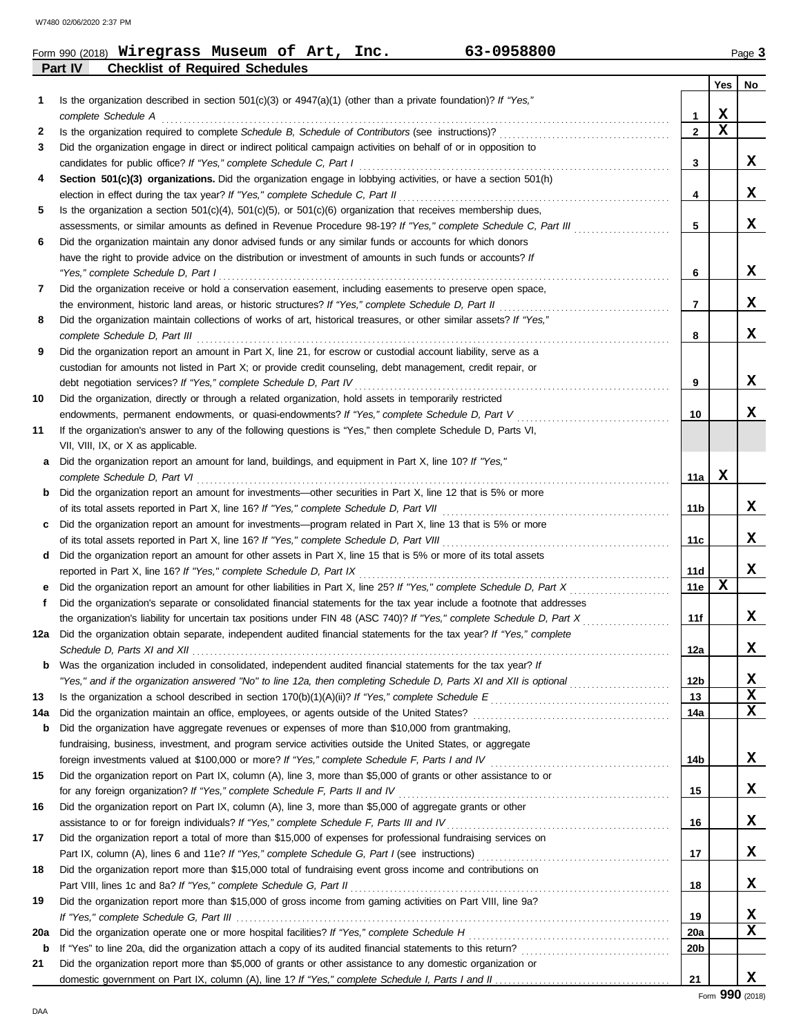|           | 63-0958800<br>Form 990 (2018) Wiregrass Museum of Art, Inc.                                                                                                                  |                       |             | Page 3           |
|-----------|------------------------------------------------------------------------------------------------------------------------------------------------------------------------------|-----------------------|-------------|------------------|
|           | Part IV<br><b>Checklist of Required Schedules</b>                                                                                                                            |                       |             |                  |
|           |                                                                                                                                                                              |                       | Yes         | No               |
| 1         | Is the organization described in section 501(c)(3) or $4947(a)(1)$ (other than a private foundation)? If "Yes,"<br>complete Schedule A                                       | 1                     | X           |                  |
| 2         | Is the organization required to complete Schedule B, Schedule of Contributors (see instructions)?                                                                            | $\overline{2}$        | $\mathbf x$ |                  |
| 3         | Did the organization engage in direct or indirect political campaign activities on behalf of or in opposition to                                                             |                       |             |                  |
|           | candidates for public office? If "Yes," complete Schedule C, Part I                                                                                                          | 3                     |             | x                |
| 4         | Section 501(c)(3) organizations. Did the organization engage in lobbying activities, or have a section 501(h)                                                                |                       |             |                  |
|           | election in effect during the tax year? If "Yes," complete Schedule C, Part II                                                                                               | 4                     |             | X                |
| 5         | Is the organization a section $501(c)(4)$ , $501(c)(5)$ , or $501(c)(6)$ organization that receives membership dues,                                                         |                       |             |                  |
|           | assessments, or similar amounts as defined in Revenue Procedure 98-19? If "Yes," complete Schedule C, Part III                                                               | 5                     |             | X                |
| 6         | Did the organization maintain any donor advised funds or any similar funds or accounts for which donors                                                                      |                       |             |                  |
|           | have the right to provide advice on the distribution or investment of amounts in such funds or accounts? If                                                                  |                       |             |                  |
|           | "Yes," complete Schedule D, Part I                                                                                                                                           | 6                     |             | X                |
| 7         | Did the organization receive or hold a conservation easement, including easements to preserve open space,                                                                    |                       |             |                  |
|           | the environment, historic land areas, or historic structures? If "Yes," complete Schedule D, Part II                                                                         | 7                     |             | X                |
| 8         | Did the organization maintain collections of works of art, historical treasures, or other similar assets? If "Yes,"                                                          |                       |             |                  |
|           | complete Schedule D, Part III                                                                                                                                                | 8                     |             | X                |
| 9         | Did the organization report an amount in Part X, line 21, for escrow or custodial account liability, serve as a                                                              |                       |             |                  |
|           | custodian for amounts not listed in Part X; or provide credit counseling, debt management, credit repair, or                                                                 | 9                     |             | X                |
| 10        | debt negotiation services? If "Yes," complete Schedule D, Part IV<br>Did the organization, directly or through a related organization, hold assets in temporarily restricted |                       |             |                  |
|           | endowments, permanent endowments, or quasi-endowments? If "Yes," complete Schedule D, Part V                                                                                 | 10                    |             | x                |
| 11        | If the organization's answer to any of the following questions is "Yes," then complete Schedule D, Parts VI,                                                                 |                       |             |                  |
|           | VII, VIII, IX, or X as applicable.                                                                                                                                           |                       |             |                  |
| a         | Did the organization report an amount for land, buildings, and equipment in Part X, line 10? If "Yes,"                                                                       |                       |             |                  |
|           | complete Schedule D, Part VI                                                                                                                                                 | 11a                   | X           |                  |
|           | <b>b</b> Did the organization report an amount for investments—other securities in Part X, line 12 that is 5% or more                                                        |                       |             |                  |
|           | of its total assets reported in Part X, line 16? If "Yes," complete Schedule D, Part VII                                                                                     | 11b                   |             | X                |
| C         | Did the organization report an amount for investments—program related in Part X, line 13 that is 5% or more                                                                  |                       |             |                  |
|           | of its total assets reported in Part X, line 16? If "Yes," complete Schedule D, Part VIII                                                                                    | 11c                   |             | x                |
|           | d Did the organization report an amount for other assets in Part X, line 15 that is 5% or more of its total assets                                                           |                       |             |                  |
|           | reported in Part X, line 16? If "Yes," complete Schedule D, Part IX                                                                                                          | 11d                   |             | X                |
| е         | Did the organization report an amount for other liabilities in Part X, line 25? If "Yes," complete Schedule D, Part X                                                        | 11e                   | $\mathbf x$ |                  |
|           | Did the organization's separate or consolidated financial statements for the tax year include a footnote that addresses                                                      |                       |             |                  |
|           | the organization's liability for uncertain tax positions under FIN 48 (ASC 740)? If "Yes," complete Schedule D, Part X                                                       | 11f                   |             | x                |
|           | Did the organization obtain separate, independent audited financial statements for the tax year? If "Yes," complete                                                          |                       |             |                  |
|           |                                                                                                                                                                              | 12a                   |             | X                |
|           | <b>b</b> Was the organization included in consolidated, independent audited financial statements for the tax year? If                                                        |                       |             |                  |
|           | "Yes," and if the organization answered "No" to line 12a, then completing Schedule D, Parts XI and XII is optional                                                           | 12 <sub>b</sub><br>13 |             | X<br>$\mathbf x$ |
| 13<br>14a | Did the organization maintain an office, employees, or agents outside of the United States?                                                                                  | 14a                   |             | $\mathbf x$      |
| b         | Did the organization have aggregate revenues or expenses of more than \$10,000 from grantmaking,                                                                             |                       |             |                  |
|           | fundraising, business, investment, and program service activities outside the United States, or aggregate                                                                    |                       |             |                  |
|           | foreign investments valued at \$100,000 or more? If "Yes," complete Schedule F, Parts I and IV [[[[[[[[[[[[[[[[                                                              | 14b                   |             | X                |
| 15        | Did the organization report on Part IX, column (A), line 3, more than \$5,000 of grants or other assistance to or                                                            |                       |             |                  |
|           | for any foreign organization? If "Yes," complete Schedule F, Parts II and IV                                                                                                 | 15                    |             | X                |
| 16        | Did the organization report on Part IX, column (A), line 3, more than \$5,000 of aggregate grants or other                                                                   |                       |             |                  |
|           | assistance to or for foreign individuals? If "Yes," complete Schedule F, Parts III and IV                                                                                    | 16                    |             | X                |
| 17        | Did the organization report a total of more than \$15,000 of expenses for professional fundraising services on                                                               |                       |             |                  |
|           |                                                                                                                                                                              | 17                    |             | X                |
| 18        | Did the organization report more than \$15,000 total of fundraising event gross income and contributions on                                                                  |                       |             |                  |
|           | Part VIII, lines 1c and 8a? If "Yes," complete Schedule G, Part II                                                                                                           | 18                    |             | X                |
| 19        | Did the organization report more than \$15,000 of gross income from gaming activities on Part VIII, line 9a?                                                                 |                       |             |                  |
|           |                                                                                                                                                                              | 19                    |             | X                |
| 20a       | Did the organization operate one or more hospital facilities? If "Yes," complete Schedule H                                                                                  | <b>20a</b>            |             | $\mathbf x$      |
| b         |                                                                                                                                                                              | 20 <sub>b</sub>       |             |                  |
| 21        | Did the organization report more than \$5,000 of grants or other assistance to any domestic organization or                                                                  |                       |             |                  |

domestic government on Part IX, column (A), line 1? If "Yes," complete Schedule I, Parts I and II **21** Did the organization report more than \$5,000 of grants or other assistance to any domestic organization or

**X**

**21**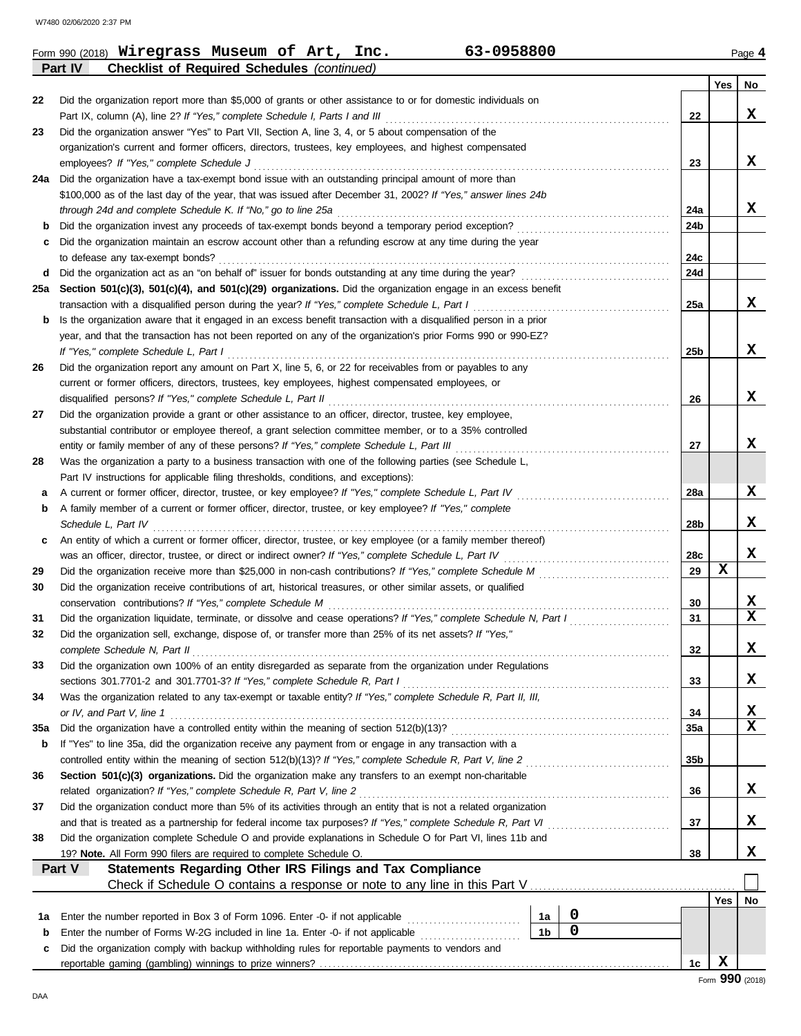**Part IV Checklist of Required Schedules** *(continued)*

|     |                                                                                                                  |            | Yes | No              |
|-----|------------------------------------------------------------------------------------------------------------------|------------|-----|-----------------|
| 22  | Did the organization report more than \$5,000 of grants or other assistance to or for domestic individuals on    |            |     |                 |
|     |                                                                                                                  | 22         |     | X               |
| 23  | Did the organization answer "Yes" to Part VII, Section A, line 3, 4, or 5 about compensation of the              |            |     |                 |
|     | organization's current and former officers, directors, trustees, key employees, and highest compensated          |            |     |                 |
|     | employees? If "Yes," complete Schedule J                                                                         | 23         |     | X.              |
| 24a | Did the organization have a tax-exempt bond issue with an outstanding principal amount of more than              |            |     |                 |
|     | \$100,000 as of the last day of the year, that was issued after December 31, 2002? If "Yes," answer lines 24b    |            |     |                 |
|     | through 24d and complete Schedule K. If "No," go to line 25a                                                     | 24a        |     | X.              |
| b   |                                                                                                                  | 24b        |     |                 |
| c   | Did the organization maintain an escrow account other than a refunding escrow at any time during the year        |            |     |                 |
|     | to defease any tax-exempt bonds?                                                                                 | 24c        |     |                 |
| d   |                                                                                                                  | 24d        |     |                 |
| 25a | Section 501(c)(3), 501(c)(4), and 501(c)(29) organizations. Did the organization engage in an excess benefit     |            |     |                 |
|     | transaction with a disqualified person during the year? If "Yes," complete Schedule L, Part I                    | 25a        |     | X               |
| b   | Is the organization aware that it engaged in an excess benefit transaction with a disqualified person in a prior |            |     |                 |
|     | year, and that the transaction has not been reported on any of the organization's prior Forms 990 or 990-EZ?     |            |     |                 |
|     | If "Yes," complete Schedule L, Part I                                                                            | 25b        |     | X               |
| 26  | Did the organization report any amount on Part X, line 5, 6, or 22 for receivables from or payables to any       |            |     |                 |
|     | current or former officers, directors, trustees, key employees, highest compensated employees, or                |            |     |                 |
|     | disqualified persons? If "Yes," complete Schedule L, Part II                                                     | 26         |     | x               |
| 27  | Did the organization provide a grant or other assistance to an officer, director, trustee, key employee,         |            |     |                 |
|     | substantial contributor or employee thereof, a grant selection committee member, or to a 35% controlled          |            |     |                 |
|     | entity or family member of any of these persons? If "Yes," complete Schedule L, Part III                         | 27         |     | x               |
| 28  | Was the organization a party to a business transaction with one of the following parties (see Schedule L,        |            |     |                 |
|     | Part IV instructions for applicable filing thresholds, conditions, and exceptions):                              |            |     |                 |
| а   | A current or former officer, director, trustee, or key employee? If "Yes," complete Schedule L, Part IV          | 28a        |     | x               |
| b   | A family member of a current or former officer, director, trustee, or key employee? If "Yes," complete           |            |     |                 |
|     | Schedule L, Part IV                                                                                              | 28b        |     | X               |
| c   | An entity of which a current or former officer, director, trustee, or key employee (or a family member thereof)  |            |     |                 |
|     |                                                                                                                  | 28c        |     | X               |
| 29  | Did the organization receive more than \$25,000 in non-cash contributions? If "Yes," complete Schedule M         | 29         | х   |                 |
| 30  | Did the organization receive contributions of art, historical treasures, or other similar assets, or qualified   |            |     |                 |
|     | conservation contributions? If "Yes," complete Schedule M                                                        | 30         |     | X.              |
| 31  |                                                                                                                  | 31         |     | $\mathbf x$     |
| 32  | Did the organization sell, exchange, dispose of, or transfer more than 25% of its net assets? If "Yes,"          |            |     |                 |
|     | complete Schedule N, Part II                                                                                     | 32         |     | x               |
| 33  | Did the organization own 100% of an entity disregarded as separate from the organization under Regulations       |            |     |                 |
|     | sections 301.7701-2 and 301.7701-3? If "Yes," complete Schedule R, Part I                                        | 33         |     | X.              |
| 34  | Was the organization related to any tax-exempt or taxable entity? If "Yes," complete Schedule R, Part II, III,   |            |     |                 |
|     | or IV, and Part V, line 1                                                                                        | 34         |     | X               |
| 35a |                                                                                                                  | <b>35a</b> |     | $\mathbf x$     |
| b   | If "Yes" to line 35a, did the organization receive any payment from or engage in any transaction with a          |            |     |                 |
|     |                                                                                                                  | 35b        |     |                 |
| 36  | Section 501(c)(3) organizations. Did the organization make any transfers to an exempt non-charitable             |            |     |                 |
|     | related organization? If "Yes," complete Schedule R, Part V, line 2                                              | 36         |     | X               |
| 37  | Did the organization conduct more than 5% of its activities through an entity that is not a related organization |            |     |                 |
|     |                                                                                                                  | 37         |     | X.              |
| 38  | Did the organization complete Schedule O and provide explanations in Schedule O for Part VI, lines 11b and       |            |     |                 |
|     | 19? Note. All Form 990 filers are required to complete Schedule O.                                               | 38         |     | X.              |
|     | Statements Regarding Other IRS Filings and Tax Compliance<br>Part V                                              |            |     |                 |
|     | Check if Schedule O contains a response or note to any line in this Part V.                                      |            |     |                 |
|     |                                                                                                                  |            | Yes | No              |
| 1a  | 0<br>Enter the number reported in Box 3 of Form 1096. Enter -0- if not applicable<br>1a                          |            |     |                 |
| b   | 0<br>1 <sub>b</sub><br>Enter the number of Forms W-2G included in line 1a. Enter -0- if not applicable           |            |     |                 |
| c   | Did the organization comply with backup withholding rules for reportable payments to vendors and                 |            |     |                 |
|     |                                                                                                                  | 1c         | X   |                 |
|     |                                                                                                                  |            |     | Form 990 (2018) |
| DAA |                                                                                                                  |            |     |                 |

Form 990 (2018) Page **4 Wiregrass Museum of Art, Inc. 63-0958800**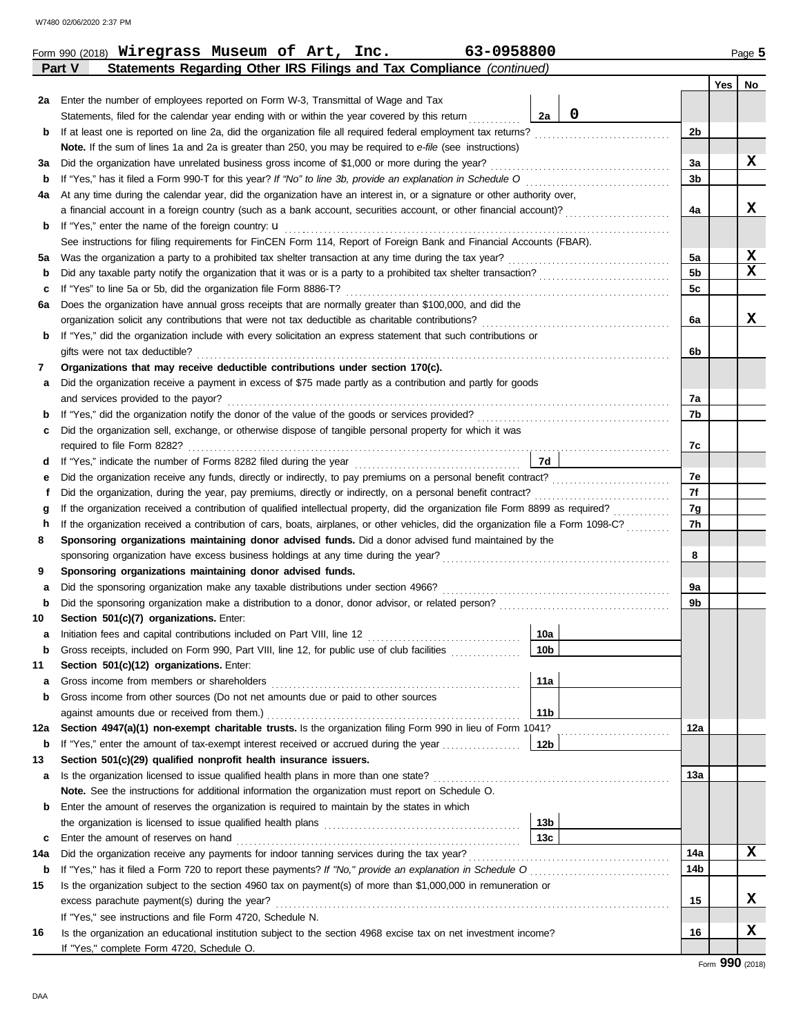|        | Statements Regarding Other IRS Filings and Tax Compliance (continued)<br>Part V                                                                                                                                                                  |                 |             |                |     |             |  |  |  |  |
|--------|--------------------------------------------------------------------------------------------------------------------------------------------------------------------------------------------------------------------------------------------------|-----------------|-------------|----------------|-----|-------------|--|--|--|--|
|        |                                                                                                                                                                                                                                                  |                 |             |                | Yes | No          |  |  |  |  |
| 2а     | Enter the number of employees reported on Form W-3, Transmittal of Wage and Tax                                                                                                                                                                  |                 |             |                |     |             |  |  |  |  |
|        | Statements, filed for the calendar year ending with or within the year covered by this return                                                                                                                                                    | 2a              | $\mathbf 0$ |                |     |             |  |  |  |  |
| b      | If at least one is reported on line 2a, did the organization file all required federal employment tax returns?                                                                                                                                   |                 |             | 2b             |     |             |  |  |  |  |
|        | Note. If the sum of lines 1a and 2a is greater than 250, you may be required to e-file (see instructions)                                                                                                                                        |                 |             |                |     |             |  |  |  |  |
| За     | Did the organization have unrelated business gross income of \$1,000 or more during the year?                                                                                                                                                    |                 |             | 3a             |     | x           |  |  |  |  |
| b      |                                                                                                                                                                                                                                                  |                 |             | 3b             |     |             |  |  |  |  |
| 4a     | At any time during the calendar year, did the organization have an interest in, or a signature or other authority over,                                                                                                                          |                 |             |                |     |             |  |  |  |  |
|        |                                                                                                                                                                                                                                                  |                 |             | 4a             |     | x           |  |  |  |  |
| b      | If "Yes," enter the name of the foreign country: <b>u</b>                                                                                                                                                                                        |                 |             |                |     |             |  |  |  |  |
|        | See instructions for filing requirements for FinCEN Form 114, Report of Foreign Bank and Financial Accounts (FBAR).                                                                                                                              |                 |             |                |     |             |  |  |  |  |
| 5а     | Was the organization a party to a prohibited tax shelter transaction at any time during the tax year?                                                                                                                                            |                 |             | 5a             |     | X           |  |  |  |  |
| b      |                                                                                                                                                                                                                                                  |                 |             | 5 <sub>b</sub> |     | $\mathbf X$ |  |  |  |  |
| c      | If "Yes" to line 5a or 5b, did the organization file Form 8886-T?                                                                                                                                                                                |                 |             | 5c             |     |             |  |  |  |  |
| 6а     | Does the organization have annual gross receipts that are normally greater than \$100,000, and did the                                                                                                                                           |                 |             |                |     |             |  |  |  |  |
|        | organization solicit any contributions that were not tax deductible as charitable contributions?                                                                                                                                                 |                 |             | 6a             |     | X           |  |  |  |  |
| b      | If "Yes," did the organization include with every solicitation an express statement that such contributions or                                                                                                                                   |                 |             |                |     |             |  |  |  |  |
|        | gifts were not tax deductible?                                                                                                                                                                                                                   |                 |             | 6b             |     |             |  |  |  |  |
| 7      | Organizations that may receive deductible contributions under section 170(c).                                                                                                                                                                    |                 |             |                |     |             |  |  |  |  |
| а      | Did the organization receive a payment in excess of \$75 made partly as a contribution and partly for goods                                                                                                                                      |                 |             |                |     |             |  |  |  |  |
|        | and services provided to the payor?                                                                                                                                                                                                              |                 |             | 7a             |     |             |  |  |  |  |
| b      |                                                                                                                                                                                                                                                  |                 |             | 7b             |     |             |  |  |  |  |
| c      | Did the organization sell, exchange, or otherwise dispose of tangible personal property for which it was                                                                                                                                         |                 |             |                |     |             |  |  |  |  |
|        |                                                                                                                                                                                                                                                  |                 |             | 7c             |     |             |  |  |  |  |
| d      |                                                                                                                                                                                                                                                  | 7d              |             |                |     |             |  |  |  |  |
| е      |                                                                                                                                                                                                                                                  |                 |             | 7e<br>7f       |     |             |  |  |  |  |
| f      | Did the organization, during the year, pay premiums, directly or indirectly, on a personal benefit contract?<br>If the organization received a contribution of qualified intellectual property, did the organization file Form 8899 as required? |                 |             | 7g             |     |             |  |  |  |  |
| g      | If the organization received a contribution of cars, boats, airplanes, or other vehicles, did the organization file a Form 1098-C?                                                                                                               |                 |             | 7h             |     |             |  |  |  |  |
| h<br>8 | Sponsoring organizations maintaining donor advised funds. Did a donor advised fund maintained by the                                                                                                                                             |                 |             |                |     |             |  |  |  |  |
|        | sponsoring organization have excess business holdings at any time during the year?                                                                                                                                                               |                 |             | 8              |     |             |  |  |  |  |
| 9      | Sponsoring organizations maintaining donor advised funds.                                                                                                                                                                                        |                 |             |                |     |             |  |  |  |  |
| а      | Did the sponsoring organization make any taxable distributions under section 4966?                                                                                                                                                               |                 |             | 9a             |     |             |  |  |  |  |
| b      |                                                                                                                                                                                                                                                  |                 |             | 9b             |     |             |  |  |  |  |
| 10     | Section 501(c)(7) organizations. Enter:                                                                                                                                                                                                          |                 |             |                |     |             |  |  |  |  |
|        |                                                                                                                                                                                                                                                  | 10a             |             |                |     |             |  |  |  |  |
| a      | Gross receipts, included on Form 990, Part VIII, line 12, for public use of club facilities                                                                                                                                                      | 10 <sub>b</sub> |             |                |     |             |  |  |  |  |
| 11     | Section 501(c)(12) organizations. Enter:                                                                                                                                                                                                         |                 |             |                |     |             |  |  |  |  |
| а      | Gross income from members or shareholders                                                                                                                                                                                                        | 11a             |             |                |     |             |  |  |  |  |
| b      | Gross income from other sources (Do not net amounts due or paid to other sources                                                                                                                                                                 |                 |             |                |     |             |  |  |  |  |
|        | against amounts due or received from them.)                                                                                                                                                                                                      | 11 <sub>b</sub> |             |                |     |             |  |  |  |  |
| 12a    | Section 4947(a)(1) non-exempt charitable trusts. Is the organization filing Form 990 in lieu of Form 1041?                                                                                                                                       |                 |             | 12a            |     |             |  |  |  |  |
| b      |                                                                                                                                                                                                                                                  |                 |             |                |     |             |  |  |  |  |
| 13     | Section 501(c)(29) qualified nonprofit health insurance issuers.                                                                                                                                                                                 |                 |             |                |     |             |  |  |  |  |
| a      | Is the organization licensed to issue qualified health plans in more than one state?                                                                                                                                                             |                 |             | 13a            |     |             |  |  |  |  |
|        | Note. See the instructions for additional information the organization must report on Schedule O.                                                                                                                                                |                 |             |                |     |             |  |  |  |  |
| b      | Enter the amount of reserves the organization is required to maintain by the states in which                                                                                                                                                     |                 |             |                |     |             |  |  |  |  |
|        |                                                                                                                                                                                                                                                  | 13 <sub>b</sub> |             |                |     |             |  |  |  |  |
| c      | Enter the amount of reserves on hand                                                                                                                                                                                                             | 13 <sub>c</sub> |             |                |     |             |  |  |  |  |
| 14a    | Did the organization receive any payments for indoor tanning services during the tax year?                                                                                                                                                       |                 |             | 14a            |     | x           |  |  |  |  |
| b      |                                                                                                                                                                                                                                                  |                 |             | 14b            |     |             |  |  |  |  |
| 15     | Is the organization subject to the section 4960 tax on payment(s) of more than \$1,000,000 in remuneration or                                                                                                                                    |                 |             |                |     |             |  |  |  |  |
|        | excess parachute payment(s) during the year?                                                                                                                                                                                                     |                 |             | 15             |     | x           |  |  |  |  |
|        | If "Yes," see instructions and file Form 4720, Schedule N.                                                                                                                                                                                       |                 |             |                |     |             |  |  |  |  |
| 16     | Is the organization an educational institution subject to the section 4968 excise tax on net investment income?                                                                                                                                  |                 |             | 16             |     | x           |  |  |  |  |
|        | If "Yes," complete Form 4720, Schedule O.                                                                                                                                                                                                        |                 |             |                |     |             |  |  |  |  |
|        |                                                                                                                                                                                                                                                  |                 |             |                |     |             |  |  |  |  |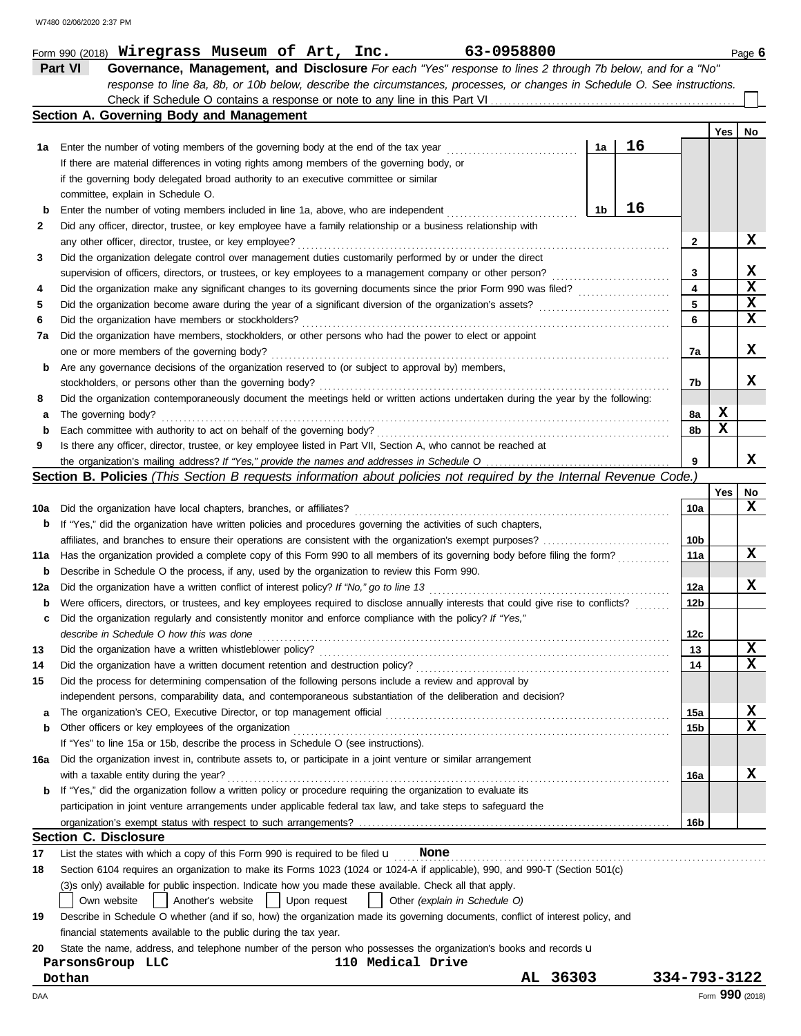|     | Part VI<br>Governance, Management, and Disclosure For each "Yes" response to lines 2 through 7b below, and for a "No"               |    |    |                 |                 |    |
|-----|-------------------------------------------------------------------------------------------------------------------------------------|----|----|-----------------|-----------------|----|
|     | response to line 8a, 8b, or 10b below, describe the circumstances, processes, or changes in Schedule O. See instructions.           |    |    |                 |                 |    |
|     |                                                                                                                                     |    |    |                 |                 |    |
|     | Section A. Governing Body and Management                                                                                            |    |    |                 |                 |    |
|     |                                                                                                                                     |    |    |                 | Yes             | No |
| 1a  | Enter the number of voting members of the governing body at the end of the tax year                                                 | 1a | 16 |                 |                 |    |
|     | If there are material differences in voting rights among members of the governing body, or                                          |    |    |                 |                 |    |
|     | if the governing body delegated broad authority to an executive committee or similar                                                |    |    |                 |                 |    |
|     | committee, explain in Schedule O.                                                                                                   |    |    |                 |                 |    |
| b   | Enter the number of voting members included in line 1a, above, who are independent                                                  | 1b | 16 |                 |                 |    |
| 2   | Did any officer, director, trustee, or key employee have a family relationship or a business relationship with                      |    |    |                 |                 |    |
|     | any other officer, director, trustee, or key employee?                                                                              |    |    | $\mathbf{2}$    |                 | x  |
| 3   | Did the organization delegate control over management duties customarily performed by or under the direct                           |    |    |                 |                 |    |
|     | supervision of officers, directors, or trustees, or key employees to a management company or other person?                          |    |    | 3               |                 | x  |
| 4   |                                                                                                                                     |    |    | 4               |                 | X  |
| 5   |                                                                                                                                     |    |    | 5               |                 | X  |
| 6   |                                                                                                                                     |    |    | 6               |                 | x  |
|     | Did the organization have members, stockholders, or other persons who had the power to elect or appoint                             |    |    |                 |                 |    |
| 7a  |                                                                                                                                     |    |    |                 |                 | x  |
|     |                                                                                                                                     |    |    | 7a              |                 |    |
| b   | Are any governance decisions of the organization reserved to (or subject to approval by) members,                                   |    |    |                 |                 |    |
|     |                                                                                                                                     |    |    | 7b              |                 | x  |
| 8   | Did the organization contemporaneously document the meetings held or written actions undertaken during the year by the following:   |    |    |                 |                 |    |
| а   | The governing body?                                                                                                                 |    |    | 8a              | X               |    |
| b   |                                                                                                                                     |    |    | 8b              | $\mathbf x$     |    |
| 9   | Is there any officer, director, trustee, or key employee listed in Part VII, Section A, who cannot be reached at                    |    |    |                 |                 |    |
|     |                                                                                                                                     |    |    | 9               |                 | x  |
|     | Section B. Policies (This Section B requests information about policies not required by the Internal Revenue Code.)                 |    |    |                 |                 |    |
|     |                                                                                                                                     |    |    |                 | Yes             | No |
| 10a | Did the organization have local chapters, branches, or affiliates?                                                                  |    |    | 10a             |                 | x  |
| b   | If "Yes," did the organization have written policies and procedures governing the activities of such chapters,                      |    |    |                 |                 |    |
|     |                                                                                                                                     |    |    | 10b             |                 |    |
| 11a | Has the organization provided a complete copy of this Form 990 to all members of its governing body before filing the form?         |    |    | 11a             |                 | x  |
| b   | Describe in Schedule O the process, if any, used by the organization to review this Form 990.                                       |    |    |                 |                 |    |
| 12a | Did the organization have a written conflict of interest policy? If "No," go to line 13                                             |    |    | 12a             |                 | x  |
| b   | Were officers, directors, or trustees, and key employees required to disclose annually interests that could give rise to conflicts? |    |    | 12 <sub>b</sub> |                 |    |
| c   | Did the organization regularly and consistently monitor and enforce compliance with the policy? If "Yes,"                           |    |    |                 |                 |    |
|     | describe in Schedule O how this was done <i>communically contained in Schedule O how this was done</i>                              |    |    | 12c             |                 |    |
| 13  | Did the organization have a written whistleblower policy?                                                                           |    |    | 13              |                 | X  |
| 14  | Did the organization have a written document retention and destruction policy?                                                      |    |    | 14              |                 | X  |
| 15  | Did the process for determining compensation of the following persons include a review and approval by                              |    |    |                 |                 |    |
|     | independent persons, comparability data, and contemporaneous substantiation of the deliberation and decision?                       |    |    |                 |                 |    |
| a   |                                                                                                                                     |    |    | 15a             |                 | X  |
| b   | Other officers or key employees of the organization                                                                                 |    |    | 15b             |                 | x  |
|     | If "Yes" to line 15a or 15b, describe the process in Schedule O (see instructions).                                                 |    |    |                 |                 |    |
| 16a | Did the organization invest in, contribute assets to, or participate in a joint venture or similar arrangement                      |    |    |                 |                 |    |
|     | with a taxable entity during the year?                                                                                              |    |    | 16a             |                 | X  |
| b   | If "Yes," did the organization follow a written policy or procedure requiring the organization to evaluate its                      |    |    |                 |                 |    |
|     | participation in joint venture arrangements under applicable federal tax law, and take steps to safeguard the                       |    |    |                 |                 |    |
|     |                                                                                                                                     |    |    | 16b             |                 |    |
|     | <b>Section C. Disclosure</b>                                                                                                        |    |    |                 |                 |    |
|     |                                                                                                                                     |    |    |                 |                 |    |
| 17  | List the states with which a copy of this Form 990 is required to be filed $\mathbf u$<br>None                                      |    |    |                 |                 |    |
| 18  | Section 6104 requires an organization to make its Forms 1023 (1024 or 1024-A if applicable), 990, and 990-T (Section 501(c)         |    |    |                 |                 |    |
|     | (3)s only) available for public inspection. Indicate how you made these available. Check all that apply.                            |    |    |                 |                 |    |
|     | Another's website<br>Upon request<br>Other (explain in Schedule O)<br>Own website                                                   |    |    |                 |                 |    |
| 19  | Describe in Schedule O whether (and if so, how) the organization made its governing documents, conflict of interest policy, and     |    |    |                 |                 |    |
|     | financial statements available to the public during the tax year.                                                                   |    |    |                 |                 |    |
| 20  | State the name, address, and telephone number of the person who possesses the organization's books and records u                    |    |    |                 |                 |    |
|     | 110 Medical Drive<br>ParsonsGroup LLC                                                                                               |    |    |                 |                 |    |
|     | 36303<br>AL<br>Dothan                                                                                                               |    |    | 334-793-3122    |                 |    |
| DAA |                                                                                                                                     |    |    |                 | Form 990 (2018) |    |

| 63-0958800<br>Form 990 (2018) Wiregrass Museum of Art,<br>Inc. |  | Page to |
|----------------------------------------------------------------|--|---------|
|----------------------------------------------------------------|--|---------|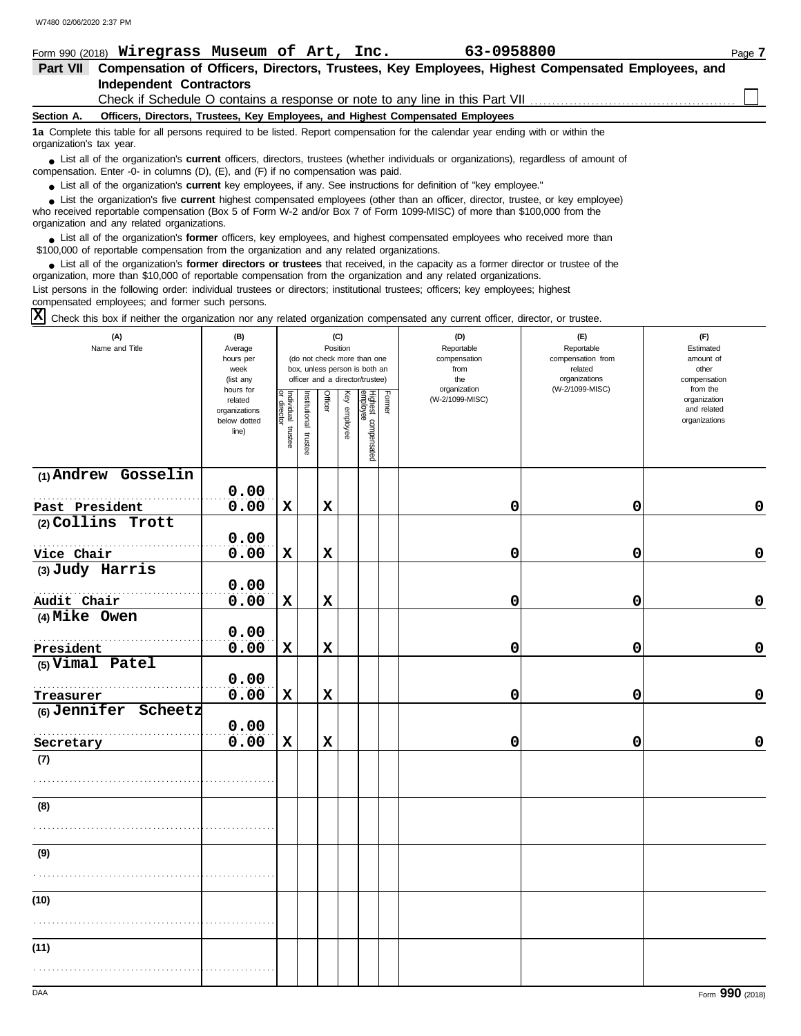|                          | 63-0958800<br>Form 990 (2018) Wiregrass Museum of Art, Inc.                                                                                                                                                                                                      | Page 7 |
|--------------------------|------------------------------------------------------------------------------------------------------------------------------------------------------------------------------------------------------------------------------------------------------------------|--------|
| Part VII                 | Compensation of Officers, Directors, Trustees, Key Employees, Highest Compensated Employees, and                                                                                                                                                                 |        |
|                          | Independent Contractors                                                                                                                                                                                                                                          |        |
|                          | Check if Schedule O contains a response or note to any line in this Part VII measure contained                                                                                                                                                                   |        |
| Section A.               | Officers, Directors, Trustees, Key Employees, and Highest Compensated Employees                                                                                                                                                                                  |        |
| organization's tax year. | 1a Complete this table for all persons required to be listed. Report compensation for the calendar year ending with or within the                                                                                                                                |        |
|                          | • List all of the organization's <b>current</b> officers, directors, trustees (whether individuals or organizations), regardless of amount of<br>compensation. Enter -0- in columns $(D)$ , $(E)$ , and $(F)$ if no compensation was paid.                       |        |
|                          | • List all of the organization's <b>current</b> key employees, if any. See instructions for definition of "key employee."                                                                                                                                        |        |
|                          | List the organization's five <b>current</b> highest compensated employees (other than an officer, director, trustee, or key employee)<br>who received reportable companeation (Rey 5 of Ferm W 2 and/or Rey 7 of Ferm 1000 MISC) of mere than \$100,000 from the |        |

who received reportable compensation (Box 5 of Form W-2 and/or Box 7 of Form 1099-MISC) of more than \$100,000 from the organization and any related organizations.

■ List all of the organization's **former** officers, key employees, and highest compensated employees who received more than<br> **•** 00.000 of reportable compensation from the examization and any related erganizations \$100,000 of reportable compensation from the organization and any related organizations.

■ List all of the organization's **former directors or trustees** that received, in the capacity as a former director or trustee of the practization more than \$10,000 of reportable compensation from the organization and any organization, more than \$10,000 of reportable compensation from the organization and any related organizations. List persons in the following order: individual trustees or directors; institutional trustees; officers; key employees; highest compensated employees; and former such persons.

Check this box if neither the organization nor any related organization compensated any current officer, director, or trustee. **X**

| (A)<br>Name and Title | (B)<br>Average<br>hours per<br>week<br>(list any<br>hours for<br>related |                                   |                          | (C)<br>Position |              | (do not check more than one<br>box, unless person is both an<br>officer and a director/trustee) |        | (D)<br>Reportable<br>compensation<br>from<br>the<br>organization<br>(W-2/1099-MISC) | (E)<br>Reportable<br>compensation from<br>related<br>organizations<br>(W-2/1099-MISC) | (F)<br>Estimated<br>amount of<br>other<br>compensation<br>from the<br>organization |
|-----------------------|--------------------------------------------------------------------------|-----------------------------------|--------------------------|-----------------|--------------|-------------------------------------------------------------------------------------------------|--------|-------------------------------------------------------------------------------------|---------------------------------------------------------------------------------------|------------------------------------------------------------------------------------|
|                       | organizations<br>below dotted<br>line)                                   | Individual trustee<br>or director | Institutional<br>trustee | Officer         | Key employee | Highest compensated<br>employee                                                                 | Former |                                                                                     |                                                                                       | and related<br>organizations                                                       |
| (1) Andrew Gosselin   | 0.00                                                                     |                                   |                          |                 |              |                                                                                                 |        |                                                                                     |                                                                                       |                                                                                    |
| Past President        | 0.00                                                                     | $\mathbf x$                       |                          | $\mathbf x$     |              |                                                                                                 |        | 0                                                                                   | 0                                                                                     | 0                                                                                  |
| (2) Collins Trott     |                                                                          |                                   |                          |                 |              |                                                                                                 |        |                                                                                     |                                                                                       |                                                                                    |
|                       | 0.00                                                                     |                                   |                          |                 |              |                                                                                                 |        |                                                                                     |                                                                                       |                                                                                    |
| Vice Chair            | 0.00                                                                     | $\mathbf x$                       |                          | $\mathbf x$     |              |                                                                                                 |        | 0                                                                                   | 0                                                                                     | $\pmb{0}$                                                                          |
| (3) Judy Harris       | 0.00                                                                     |                                   |                          |                 |              |                                                                                                 |        |                                                                                     |                                                                                       |                                                                                    |
| Audit Chair           | 0.00                                                                     | $\mathbf x$                       |                          | $\mathbf x$     |              |                                                                                                 |        | 0                                                                                   | 0                                                                                     | 0                                                                                  |
| (4) Mike Owen         |                                                                          |                                   |                          |                 |              |                                                                                                 |        |                                                                                     |                                                                                       |                                                                                    |
|                       | 0.00                                                                     |                                   |                          |                 |              |                                                                                                 |        |                                                                                     |                                                                                       |                                                                                    |
| President             | 0.00                                                                     | $\mathbf x$                       |                          | $\mathbf x$     |              |                                                                                                 |        | 0                                                                                   | $\mathbf 0$                                                                           | 0                                                                                  |
| (5) Vimal Patel       | 0.00                                                                     |                                   |                          |                 |              |                                                                                                 |        |                                                                                     |                                                                                       |                                                                                    |
| Treasurer             | 0.00                                                                     | X                                 |                          | $\mathbf x$     |              |                                                                                                 |        | 0                                                                                   | 0                                                                                     | 0                                                                                  |
| (6) Jennifer Scheetz  |                                                                          |                                   |                          |                 |              |                                                                                                 |        |                                                                                     |                                                                                       |                                                                                    |
|                       | 0.00                                                                     |                                   |                          |                 |              |                                                                                                 |        |                                                                                     |                                                                                       |                                                                                    |
| Secretary             | 0.00                                                                     | $\mathbf x$                       |                          | $\mathbf x$     |              |                                                                                                 |        | 0                                                                                   | $\mathbf 0$                                                                           | $\pmb{0}$                                                                          |
| (7)                   |                                                                          |                                   |                          |                 |              |                                                                                                 |        |                                                                                     |                                                                                       |                                                                                    |
|                       |                                                                          |                                   |                          |                 |              |                                                                                                 |        |                                                                                     |                                                                                       |                                                                                    |
| (8)                   |                                                                          |                                   |                          |                 |              |                                                                                                 |        |                                                                                     |                                                                                       |                                                                                    |
|                       |                                                                          |                                   |                          |                 |              |                                                                                                 |        |                                                                                     |                                                                                       |                                                                                    |
| (9)                   |                                                                          |                                   |                          |                 |              |                                                                                                 |        |                                                                                     |                                                                                       |                                                                                    |
|                       |                                                                          |                                   |                          |                 |              |                                                                                                 |        |                                                                                     |                                                                                       |                                                                                    |
| (10)                  |                                                                          |                                   |                          |                 |              |                                                                                                 |        |                                                                                     |                                                                                       |                                                                                    |
|                       |                                                                          |                                   |                          |                 |              |                                                                                                 |        |                                                                                     |                                                                                       |                                                                                    |
| (11)                  |                                                                          |                                   |                          |                 |              |                                                                                                 |        |                                                                                     |                                                                                       |                                                                                    |
|                       |                                                                          |                                   |                          |                 |              |                                                                                                 |        |                                                                                     |                                                                                       |                                                                                    |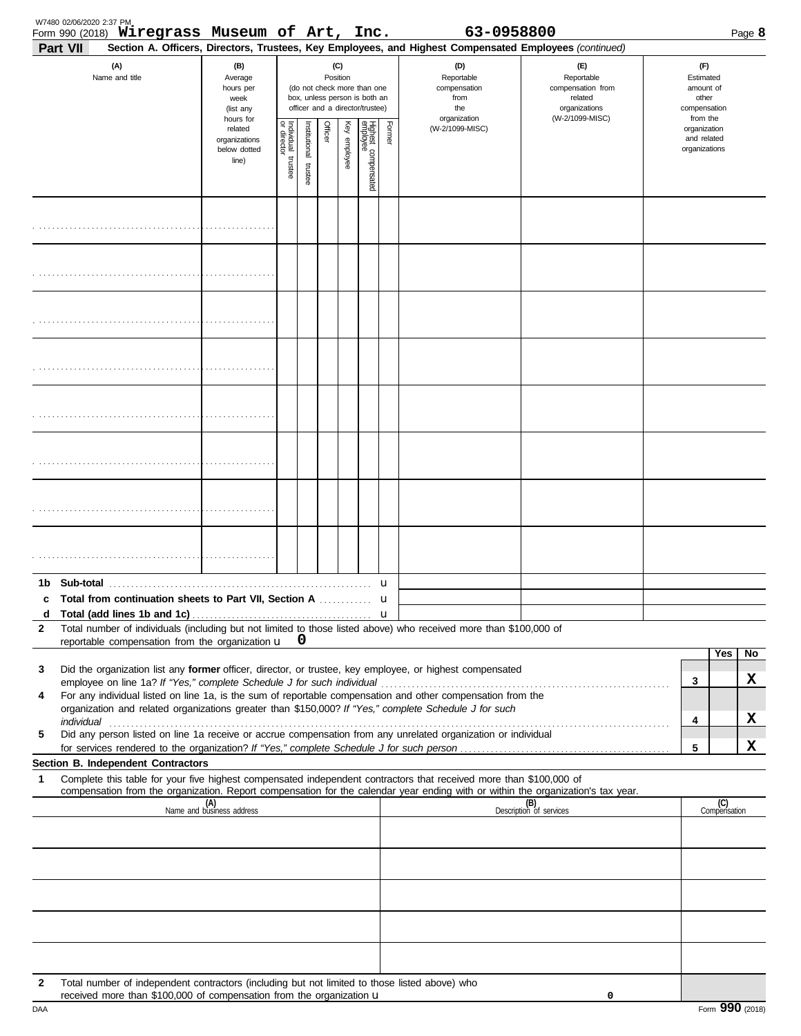| W7480 02/06/2020 2:37 PM<br>Form 990 (2018) Wiregrass Museum of Art, Inc.                                                                                                                                                                                                                                                                                 |                                                                |                                                                                                                                                                                                                                                                                                                                                        |                          |         |              |                                                        |        | 63-0958800                      |                                |                                                          | Page 8              |
|-----------------------------------------------------------------------------------------------------------------------------------------------------------------------------------------------------------------------------------------------------------------------------------------------------------------------------------------------------------|----------------------------------------------------------------|--------------------------------------------------------------------------------------------------------------------------------------------------------------------------------------------------------------------------------------------------------------------------------------------------------------------------------------------------------|--------------------------|---------|--------------|--------------------------------------------------------|--------|---------------------------------|--------------------------------|----------------------------------------------------------|---------------------|
| Part VII<br>(A)<br>Name and title                                                                                                                                                                                                                                                                                                                         | (B)<br>Average<br>hours per<br>week<br>(list any               | Section A. Officers, Directors, Trustees, Key Employees, and Highest Compensated Employees (continued)<br>(C)<br>(D)<br>(E)<br>Position<br>Reportable<br>Reportable<br>(do not check more than one<br>compensation<br>compensation from<br>box, unless person is both an<br>from<br>related<br>officer and a director/trustee)<br>the<br>organizations |                          |         |              | (F)<br>Estimated<br>amount of<br>other<br>compensation |        |                                 |                                |                                                          |                     |
|                                                                                                                                                                                                                                                                                                                                                           | hours for<br>related<br>organizations<br>below dotted<br>line) | Individual 1<br>or director<br>trustee                                                                                                                                                                                                                                                                                                                 | Institutional<br>trustee | Officer | Key employee | Highest compensated<br>employee                        | Former | organization<br>(W-2/1099-MISC) | (W-2/1099-MISC)                | from the<br>organization<br>and related<br>organizations |                     |
|                                                                                                                                                                                                                                                                                                                                                           |                                                                |                                                                                                                                                                                                                                                                                                                                                        |                          |         |              |                                                        |        |                                 |                                |                                                          |                     |
|                                                                                                                                                                                                                                                                                                                                                           |                                                                |                                                                                                                                                                                                                                                                                                                                                        |                          |         |              |                                                        |        |                                 |                                |                                                          |                     |
|                                                                                                                                                                                                                                                                                                                                                           |                                                                |                                                                                                                                                                                                                                                                                                                                                        |                          |         |              |                                                        |        |                                 |                                |                                                          |                     |
|                                                                                                                                                                                                                                                                                                                                                           |                                                                |                                                                                                                                                                                                                                                                                                                                                        |                          |         |              |                                                        |        |                                 |                                |                                                          |                     |
|                                                                                                                                                                                                                                                                                                                                                           |                                                                |                                                                                                                                                                                                                                                                                                                                                        |                          |         |              |                                                        |        |                                 |                                |                                                          |                     |
|                                                                                                                                                                                                                                                                                                                                                           |                                                                |                                                                                                                                                                                                                                                                                                                                                        |                          |         |              |                                                        |        |                                 |                                |                                                          |                     |
|                                                                                                                                                                                                                                                                                                                                                           |                                                                |                                                                                                                                                                                                                                                                                                                                                        |                          |         |              |                                                        |        |                                 |                                |                                                          |                     |
|                                                                                                                                                                                                                                                                                                                                                           |                                                                |                                                                                                                                                                                                                                                                                                                                                        |                          |         |              |                                                        |        |                                 |                                |                                                          |                     |
| c Total from continuation sheets to Part VII, Section A                                                                                                                                                                                                                                                                                                   |                                                                |                                                                                                                                                                                                                                                                                                                                                        |                          |         |              |                                                        | u<br>u |                                 |                                |                                                          |                     |
| d<br>Total number of individuals (including but not limited to those listed above) who received more than \$100,000 of<br>$\mathbf{2}$<br>reportable compensation from the organization $\mathbf{u}$ 0                                                                                                                                                    |                                                                |                                                                                                                                                                                                                                                                                                                                                        |                          |         |              |                                                        |        |                                 |                                |                                                          |                     |
| Did the organization list any former officer, director, or trustee, key employee, or highest compensated<br>3                                                                                                                                                                                                                                             |                                                                |                                                                                                                                                                                                                                                                                                                                                        |                          |         |              |                                                        |        |                                 |                                |                                                          | Yes<br>No           |
| employee on line 1a? If "Yes," complete Schedule J for such individual<br>For any individual listed on line 1a, is the sum of reportable compensation and other compensation from the<br>4<br>organization and related organizations greater than \$150,000? If "Yes," complete Schedule J for such                                                       |                                                                |                                                                                                                                                                                                                                                                                                                                                        |                          |         |              |                                                        |        |                                 |                                | 3                                                        | x                   |
| individual <b>construents and the construction of the construction</b> of the construction of the construction of the construction of the construction of the construction of the construction of the construction of the construct<br>Did any person listed on line 1a receive or accrue compensation from any unrelated organization or individual<br>5 |                                                                |                                                                                                                                                                                                                                                                                                                                                        |                          |         |              |                                                        |        |                                 |                                | 4<br>5                                                   | X<br>X              |
| Section B. Independent Contractors                                                                                                                                                                                                                                                                                                                        |                                                                |                                                                                                                                                                                                                                                                                                                                                        |                          |         |              |                                                        |        |                                 |                                |                                                          |                     |
| 1<br>Complete this table for your five highest compensated independent contractors that received more than \$100,000 of<br>compensation from the organization. Report compensation for the calendar year ending with or within the organization's tax year.                                                                                               |                                                                |                                                                                                                                                                                                                                                                                                                                                        |                          |         |              |                                                        |        |                                 |                                |                                                          |                     |
|                                                                                                                                                                                                                                                                                                                                                           | (A)<br>Name and business address                               |                                                                                                                                                                                                                                                                                                                                                        |                          |         |              |                                                        |        |                                 | (B)<br>Description of services |                                                          | (C)<br>Compensation |
|                                                                                                                                                                                                                                                                                                                                                           |                                                                |                                                                                                                                                                                                                                                                                                                                                        |                          |         |              |                                                        |        |                                 |                                |                                                          |                     |
|                                                                                                                                                                                                                                                                                                                                                           |                                                                |                                                                                                                                                                                                                                                                                                                                                        |                          |         |              |                                                        |        |                                 |                                |                                                          |                     |
|                                                                                                                                                                                                                                                                                                                                                           |                                                                |                                                                                                                                                                                                                                                                                                                                                        |                          |         |              |                                                        |        |                                 |                                |                                                          |                     |
|                                                                                                                                                                                                                                                                                                                                                           |                                                                |                                                                                                                                                                                                                                                                                                                                                        |                          |         |              |                                                        |        |                                 |                                |                                                          |                     |
| $\mathbf{2}$<br>Total number of independent contractors (including but not limited to those listed above) who<br>received more than \$100,000 of compensation from the organization u                                                                                                                                                                     |                                                                |                                                                                                                                                                                                                                                                                                                                                        |                          |         |              |                                                        |        |                                 | 0                              |                                                          |                     |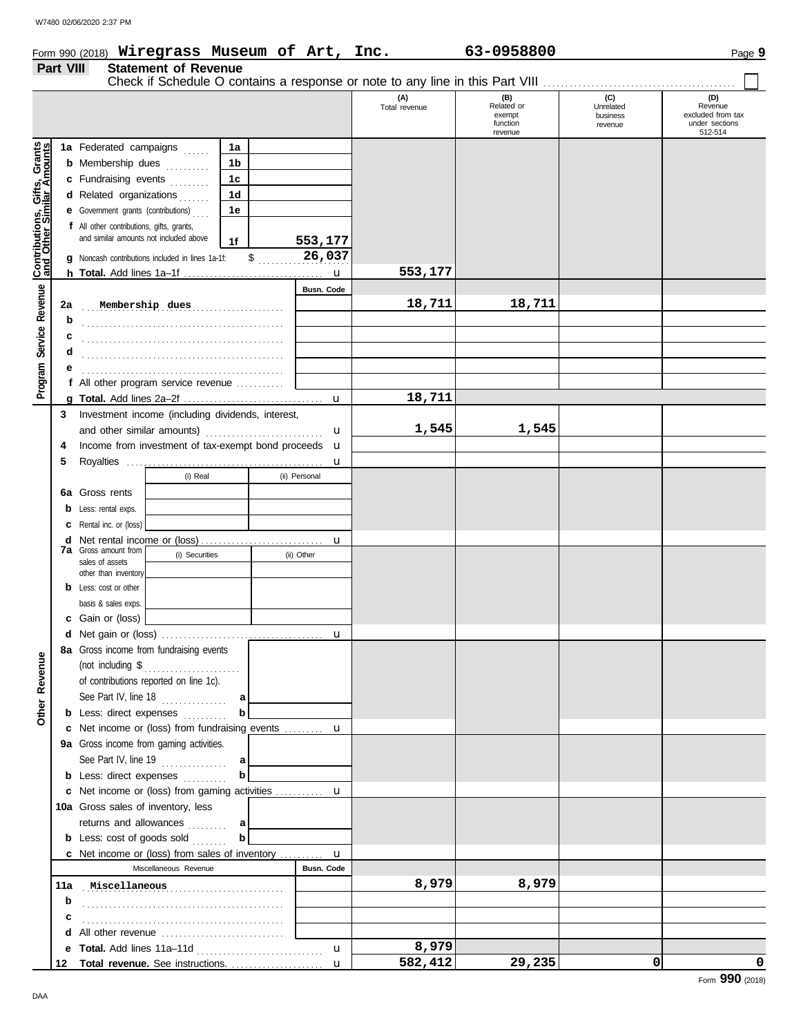## Form 990 (2018) Page **9 Wiregrass Museum of Art, Inc. 63-0958800 Part VIII Statement of Revenue**<br>Chock if Schoolule O contain Check if Schedule O contains a response or note to any line in this Part VIII . . . . . . . . . . . . . . . . . . . . . . . . . . . . . . . . . . . . . . . . . . . .

|                                              | <b>Fail VIII</b> | <b><i><u>JIAICHICHI UL INCVEHUC</u></i></b>                                         |                |                   |                      |                                                    |                                         |                                                                  |
|----------------------------------------------|------------------|-------------------------------------------------------------------------------------|----------------|-------------------|----------------------|----------------------------------------------------|-----------------------------------------|------------------------------------------------------------------|
|                                              |                  |                                                                                     |                |                   | (A)<br>Total revenue | (B)<br>Related or<br>exempt<br>function<br>revenue | (C)<br>Unrelated<br>business<br>revenue | (D)<br>Revenue<br>excluded from tax<br>under sections<br>512-514 |
|                                              |                  | 1a Federated campaigns                                                              | 1a             |                   |                      |                                                    |                                         |                                                                  |
| Service Revenue Contributions, Gifts, Grants |                  | <b>b</b> Membership dues                                                            | 1 <sub>b</sub> |                   |                      |                                                    |                                         |                                                                  |
|                                              |                  | c Fundraising events                                                                | 1 <sub>c</sub> |                   |                      |                                                    |                                         |                                                                  |
|                                              |                  |                                                                                     | 1 <sub>d</sub> |                   |                      |                                                    |                                         |                                                                  |
|                                              |                  | d Related organizations                                                             | 1e             |                   |                      |                                                    |                                         |                                                                  |
|                                              |                  | e Government grants (contributions)                                                 |                |                   |                      |                                                    |                                         |                                                                  |
|                                              |                  | f All other contributions, gifts, grants,<br>and similar amounts not included above |                |                   |                      |                                                    |                                         |                                                                  |
|                                              |                  |                                                                                     | 1f             | 553,177           |                      |                                                    |                                         |                                                                  |
|                                              | g                | Noncash contributions included in lines 1a-1f:                                      | $\frac{1}{2}$  | 26,037            |                      |                                                    |                                         |                                                                  |
|                                              |                  |                                                                                     |                |                   | 553,177              |                                                    |                                         |                                                                  |
|                                              |                  |                                                                                     |                | <b>Busn. Code</b> |                      | 18,711                                             |                                         |                                                                  |
|                                              | 2a               | Membership dues                                                                     |                |                   | 18,711               |                                                    |                                         |                                                                  |
|                                              | b                |                                                                                     |                |                   |                      |                                                    |                                         |                                                                  |
|                                              | c                |                                                                                     |                |                   |                      |                                                    |                                         |                                                                  |
|                                              | d                |                                                                                     |                |                   |                      |                                                    |                                         |                                                                  |
|                                              |                  |                                                                                     |                |                   |                      |                                                    |                                         |                                                                  |
| Program                                      |                  | f All other program service revenue                                                 |                |                   |                      |                                                    |                                         |                                                                  |
|                                              |                  |                                                                                     |                |                   | 18,711               |                                                    |                                         |                                                                  |
|                                              |                  | 3 Investment income (including dividends, interest,                                 |                |                   |                      |                                                    |                                         |                                                                  |
|                                              |                  |                                                                                     |                | u                 | 1,545                | 1,545                                              |                                         |                                                                  |
|                                              | 4                | Income from investment of tax-exempt bond proceeds <b>u</b>                         |                |                   |                      |                                                    |                                         |                                                                  |
|                                              | 5                |                                                                                     |                |                   |                      |                                                    |                                         |                                                                  |
|                                              |                  | (i) Real                                                                            |                | (ii) Personal     |                      |                                                    |                                         |                                                                  |
|                                              | 6а               | Gross rents                                                                         |                |                   |                      |                                                    |                                         |                                                                  |
|                                              |                  | <b>b</b> Less: rental exps.                                                         |                |                   |                      |                                                    |                                         |                                                                  |
|                                              |                  | <b>c</b> Rental inc. or (loss)                                                      |                |                   |                      |                                                    |                                         |                                                                  |
|                                              |                  | <b>7a</b> Gross amount from                                                         |                |                   |                      |                                                    |                                         |                                                                  |
|                                              |                  | (i) Securities<br>sales of assets                                                   |                | (ii) Other        |                      |                                                    |                                         |                                                                  |
|                                              |                  | other than inventory                                                                |                |                   |                      |                                                    |                                         |                                                                  |
|                                              |                  | <b>b</b> Less: cost or other                                                        |                |                   |                      |                                                    |                                         |                                                                  |
|                                              |                  | basis & sales exps.                                                                 |                |                   |                      |                                                    |                                         |                                                                  |
|                                              |                  | c Gain or (loss)                                                                    |                |                   |                      |                                                    |                                         |                                                                  |
|                                              |                  |                                                                                     |                |                   |                      |                                                    |                                         |                                                                  |
|                                              |                  | 8a Gross income from fundraising events                                             |                |                   |                      |                                                    |                                         |                                                                  |
|                                              |                  | (not including \$<br>.                                                              |                |                   |                      |                                                    |                                         |                                                                  |
|                                              |                  | of contributions reported on line 1c).                                              |                |                   |                      |                                                    |                                         |                                                                  |
| <b>Other Revenue</b>                         |                  | See Part IV, line 18<br>.                                                           | a              |                   |                      |                                                    |                                         |                                                                  |
|                                              |                  | <b>b</b> Less: direct expenses                                                      | b              |                   |                      |                                                    |                                         |                                                                  |
|                                              |                  | c Net income or (loss) from fundraising events  u                                   |                |                   |                      |                                                    |                                         |                                                                  |
|                                              |                  | 9a Gross income from gaming activities.                                             |                |                   |                      |                                                    |                                         |                                                                  |
|                                              |                  | See Part IV, line 19 $\ldots$ a                                                     |                |                   |                      |                                                    |                                         |                                                                  |
|                                              |                  | <b>b</b> Less: direct expenses                                                      | b              |                   |                      |                                                    |                                         |                                                                  |
|                                              |                  | c Net income or (loss) from gaming activities  u                                    |                |                   |                      |                                                    |                                         |                                                                  |
|                                              |                  | 10a Gross sales of inventory, less                                                  |                |                   |                      |                                                    |                                         |                                                                  |
|                                              |                  | returns and allowances                                                              | а              |                   |                      |                                                    |                                         |                                                                  |
|                                              |                  | <b>b</b> Less: cost of goods sold                                                   | b              |                   |                      |                                                    |                                         |                                                                  |
|                                              |                  | c Net income or (loss) from sales of inventory  u<br>Miscellaneous Revenue          |                | <b>Busn. Code</b> |                      |                                                    |                                         |                                                                  |
|                                              | 11a              | Miscellaneous                                                                       |                |                   | 8,979                | 8,979                                              |                                         |                                                                  |
|                                              |                  |                                                                                     |                |                   |                      |                                                    |                                         |                                                                  |
|                                              | b                |                                                                                     |                |                   |                      |                                                    |                                         |                                                                  |
|                                              | c                | d All other revenue                                                                 |                |                   |                      |                                                    |                                         |                                                                  |
|                                              |                  |                                                                                     |                | $\mathbf{u}$      | 8,979                |                                                    |                                         |                                                                  |
|                                              |                  |                                                                                     |                |                   | 582,412              | 29, 235                                            | $\Omega$                                | 0                                                                |
|                                              |                  |                                                                                     |                |                   |                      |                                                    |                                         |                                                                  |

DAA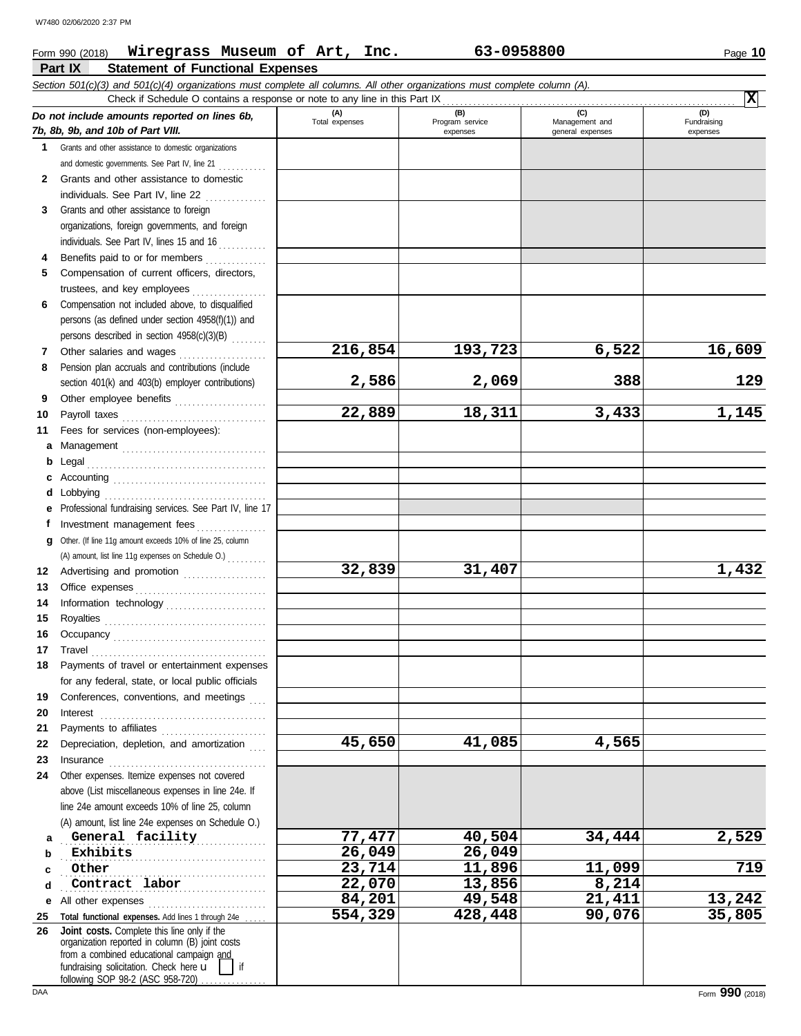### **Part IX Statement of Functional Expenses** Form 990 (2018) Page **10 Wiregrass Museum of Art, Inc. 63-0958800** *Section 501(c)(3) and 501(c)(4) organizations must complete all columns. All other organizations must complete column (A). Do not include amounts reported on lines 6b, 7b, 8b, 9b, and 10b of Part VIII.* **1 2 3 4 5 6 7 8 9 10 11 a** Management . . . . . . . . . . . . . . . . . . . . . . . . . . . . . . . . . **b** Legal . . . . . . . . . . . . . . . . . . . . . . . . . . . . . . . . . . . . . . . . . **c** Accounting . . . . . . . . . . . . . . . . . . . . . . . . . . . . . . . . . . . **d** Lobbying . . . . . . . . . . . . . . . . . . . . . . . . . . . . . . . . . . . . . **e** Professional fundraising services. See Part IV, line 17 **f g** Other. (If line 11g amount exceeds 10% of line 25, column **12** Advertising and promotion . . . . . . . . . . . . . . . . . . **13 14 15 16 17 18 19 20 21 22 23 24** Grants and other assistance to domestic organizations and domestic governments. See Part IV, line 21 . . . . . . . . . . . Grants and other assistance to domestic individuals. See Part IV, line 22 . . . . . . . . . . . . . . Grants and other assistance to foreign organizations, foreign governments, and foreign individuals. See Part IV, lines 15 and 16 Benefits paid to or for members . . . . . . . . . . . . . . Compensation of current officers, directors, trustees, and key employees . . . . . . . . . . . . . . . . . Compensation not included above, to disqualified persons (as defined under section 4958(f)(1)) and persons described in section 4958(c)(3)(B) . . . . . . . . Other salaries and wages . . . . . . . . . . . . . . . . . . . . Pension plan accruals and contributions (include section 401(k) and 403(b) employer contributions) Other employee benefits ..................... Payroll taxes . . . . . . . . . . . . . . . . . . . . . . . . . . . . . . . . . Fees for services (non-employees): Investment management fees ................. Office expenses . . . . . . . . . . . . . . . . . . . . . . . . . . . . . . Information technology . . . . . . . . . . . . . . . . . . . . . . . Royalties . . . . . . . . . . . . . . . . . . . . . . . . . . . . . . . . . . . . . Occupancy . . . . . . . . . . . . . . . . . . . . . . . . . . . . . . . . . . . Travel . . . . . . . . . . . . . . . . . . . . . . . . . . . . . . . . . . . . . . . . Payments of travel or entertainment expenses for any federal, state, or local public officials Conferences, conventions, and meetings Interest . . . . . . . . . . . . . . . . . . . . . . . . . . . . . . . . . . . . . . Payments to affiliates . . . . . . . . . . . . . . . . . . . . . . . . Depreciation, depletion, and amortization Insurance . . . . . . . . . . . . . . . . . . . . . . . . . . . . . . . . . . . . Other expenses. Itemize expenses not covered above (List miscellaneous expenses in line 24e. If **(A) (B) (C) (D)** Management and expenses and general expenses (D)<br>Fundraising expenses Check if Schedule O contains a response or note to any line in this Part IX (A) amount, list line 11g expenses on Schedule O.) . . . . . . . . . **X 216,854 193,723 6,522 16,609 2,586 2,069 388 129 22,889 18,311 3,433 1,145 32,839 31,407 1,432 45,650 41,085 4,565** W7480 02/06/2020 2:37 PM

|    | outor oriportocol itorringo oriportoco riot coronoa                                                                                        |         |         |        |        |
|----|--------------------------------------------------------------------------------------------------------------------------------------------|---------|---------|--------|--------|
|    | above (List miscellaneous expenses in line 24e. If                                                                                         |         |         |        |        |
|    | line 24e amount exceeds 10% of line 25, column                                                                                             |         |         |        |        |
|    | (A) amount, list line 24e expenses on Schedule O.)                                                                                         |         |         |        |        |
| a  | General facility                                                                                                                           | 77,477  | 40,504  | 34,444 | 2,529  |
| b  | Exhibits                                                                                                                                   | 26,049  | 26,049  |        |        |
|    | Other                                                                                                                                      | 23,714  | 11,896  | 11,099 | 719    |
| d  | Contract labor                                                                                                                             | 22,070  | 13,856  | 8,214  |        |
| e  | All other expenses                                                                                                                         | 84,201  | 49,548  | 21,411 | 13,242 |
| 25 | Total functional expenses. Add lines 1 through 24e                                                                                         | 554,329 | 428,448 | 90,076 | 35,805 |
| 26 | Joint costs. Complete this line only if the<br>organization reported in column (B) joint costs<br>from a combined educational campaign and |         |         |        |        |
|    | fundraising solicitation. Check here u<br>following SOP 98-2 (ASC 958-720) $\overline{\cdots}$                                             |         |         |        |        |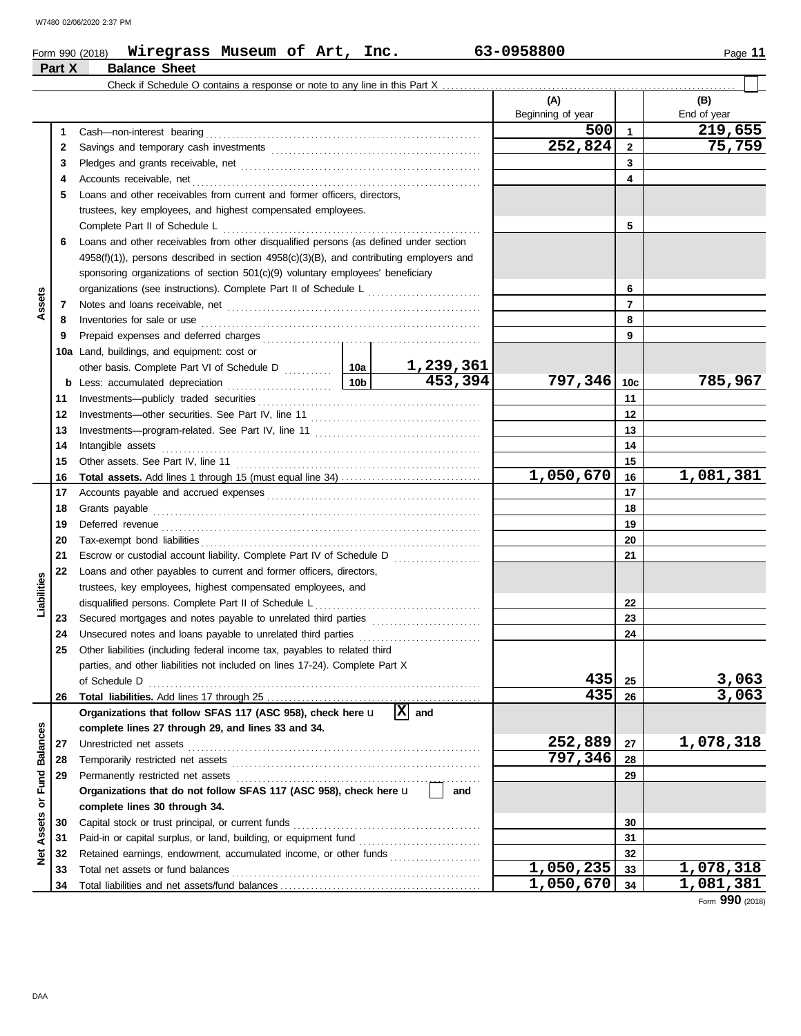### Form 990 (2018) Page **11 Wiregrass Museum of Art, Inc. 63-0958800 Part X Balance Sheet** Check if Schedule O contains a response or note to any line in this Part X **(A) (B)** Beginning of year  $\parallel$  End of year **500 219,655** Cash—non-interest bearing . . . . . . . . . . . . . . . . . . . . . . . . . . . . . . . . . . . . . . . . . . . . . . . . . . . . . . . . . . . . . . . **1 1 252,824 75,759 2 2** Savings and temporary cash investments . . . . . . . . . . . . . . . . . . . . . . . . . . . . . . . . . . . . . . . . . . . . . . . . **3 3** Pledges and grants receivable, net . . . . . . . . . . . . . . . . . . . . . . . . . . . . . . . . . . . . . . . . . . . . . . . . . . . . . . . **4 4** Accounts receivable, net . . . . . . . . . . . . . . . . . . . . . . . . . . . . . . . . . . . . . . . . . . . . . . . . . . . . . . . . . . . . . . . . . . **5** Loans and other receivables from current and former officers, directors, trustees, key employees, and highest compensated employees. Complete Part II of Schedule L . . . . . . . . . . . . . . . . . . . . . . . . . . . . . . . . . . . . . . . . . . . . . . . . . . . . . . . . . . . **5 6** Loans and other receivables from other disqualified persons (as defined under section 4958(f)(1)), persons described in section 4958(c)(3)(B), and contributing employers and sponsoring organizations of section 501(c)(9) voluntary employees' beneficiary organizations (see instructions). Complete Part II of Schedule L . . . . . . . . . . . . . . . . . . . . . . . . . . **6 Assets 7 7** Notes and loans receivable, net . . . . . . . . . . . . . . . . . . . . . . . . . . . . . . . . . . . . . . . . . . . . . . . . . . . . . . . . . . Inventories for sale or use . . . . . . . . . . . . . . . . . . . . . . . . . . . . . . . . . . . . . . . . . . . . . . . . . . . . . . . . . . . . . . . . **8 8** Prepaid expenses and deferred charges . . . . . . . . . . . . . . . . . . . . . . . . . . . . . . . . . . . . . . . . . . . . . . . . . . **9 9 10a** Land, buildings, and equipment: cost or **1,239,361** other basis. Complete Part VI of Schedule D . . . . . . . . . 10a **453,394 797,346 785,967 10c b** Less: accumulated depreciation . . . . . . . . . . . . . . . . . . . . . . . . **10b** Investments—publicly traded securities . . . . . . . . . . . . . . . . . . . . . . . . . . . . . . . . . . . . . . . . . . . . . . . . . . . **11 11** Investments—other securities. See Part IV, line 11 . . . . . . . . . . . . . . . . . . . . . . . . . . . . . . . . . . . . . . . **12 12** Investments—program-related. See Part IV, line 11 . . . . . . . . . . . . . . . . . . . . . . . . . . . . . . . . . . . . . . **13 13 14 14** Intangible assets . . . . . . . . . . . . . . . . . . . . . . . . . . . . . . . . . . . . . . . . . . . . . . . . . . . . . . . . . . . . . . . . . . . . . . . . . **15 15** Other assets. See Part IV, line 11 . . . . . . . . . . . . . . . . . . . . . . . . . . . . . . . . . . . . . . . . . . . . . . . . . . . . . . . . **1,050,670 1,081,381 16 16 Total assets.** Add lines 1 through 15 (must equal line 34) . . . . . . . . . . . . . . . . . . . . . . . . . . . . . . . . Accounts payable and accrued expenses . . . . . . . . . . . . . . . . . . . . . . . . . . . . . . . . . . . . . . . . . . . . . . . . . **17 17 18 18** Grants payable . . . . . . . . . . . . . . . . . . . . . . . . . . . . . . . . . . . . . . . . . . . . . . . . . . . . . . . . . . . . . . . . . . . . . . . . . . . **19** Deferred revenue . . . . . . . . . . . . . . . . . . . . . . . . . . . . . . . . . . . . . . . . . . . . . . . . . . . . . . . . . . . . . . . . . . . . . . . . . **19 20 20** Tax-exempt bond liabilities . . . . . . . . . . . . . . . . . . . . . . . . . . . . . . . . . . . . . . . . . . . . . . . . . . . . . . . . . . . . . . . . **21 21** Escrow or custodial account liability. Complete Part IV of Schedule D . . . . . . . . . . . . . . . . . . . . **22** Loans and other payables to current and former officers, directors, **Liabilities** trustees, key employees, highest compensated employees, and disqualified persons. Complete Part II of Schedule L . . . . . . . . . . . . . . . . . . . . . . . . . . . . . . . . . . . . . . **22** Secured mortgages and notes payable to unrelated third parties ......................... **23 23 24 24** Unsecured notes and loans payable to unrelated third parties .................................. **25** Other liabilities (including federal income tax, payables to related third parties, and other liabilities not included on lines 17-24). Complete Part X of Schedule D . . . . . . . . . . . . . . . . . . . . . . . . . . . . . . . . . . . . . . . . . . . . . . . . . . . . . . . . . . . . . . . . . . . . . . . . . . . . **435 3,063 25 435 3,063 26** Total liabilities. Add lines 17 through 25 **26 Organizations that follow SFAS 117 (ASC 958), check here** u **and X** Net Assets or Fund Balances **Net Assets or Fund Balances complete lines 27 through 29, and lines 33 and 34. 252,889 1,078,318** Unrestricted net assets . . . . . . . . . . . . . . . . . . . . . . . . . . . . . . . . . . . . . . . . . . . . . . . . . . . . . . . . . . . . . . . . . . . **27 27 797,346** Temporarily restricted net assets . . . . . . . . . . . . . . . . . . . . . . . . . . . . . . . . . . . . . . . . . . . . . . . . . . . . . . . . . **28 28 29 29** Permanently restricted net assets . . . . . . . . . . . . . . . . . . . . . . . . . . . . . . . . . . . . . . . . . . . . . . . . . . . . . . . . **Organizations that do not follow SFAS 117 (ASC 958), check here** u **and complete lines 30 through 34.** Capital stock or trust principal, or current funds . . . . . . . . . . . . . . . . . . . . . . . . . . . . . . . . . . . . . . . . . . . **30 30** Paid-in or capital surplus, or land, building, or equipment fund .................................. **31 31** Retained earnings, endowment, accumulated income, or other funds ...................... **32 32 1,050,235 1,078,318** Total net assets or fund balances . . . . . . . . . . . . . . . . . . . . . . . . . . . . . . . . . . . . . . . . . . . . . . . . . . . . . . . . . **33 33** Total liabilities and net assets/fund balances . . . . . . . . . . . . . . . . . . . . . . . . . . . . . . . . . . . . . . . . . . . . . . **1,050,670 1,081,381 34 34**

Form **990** (2018)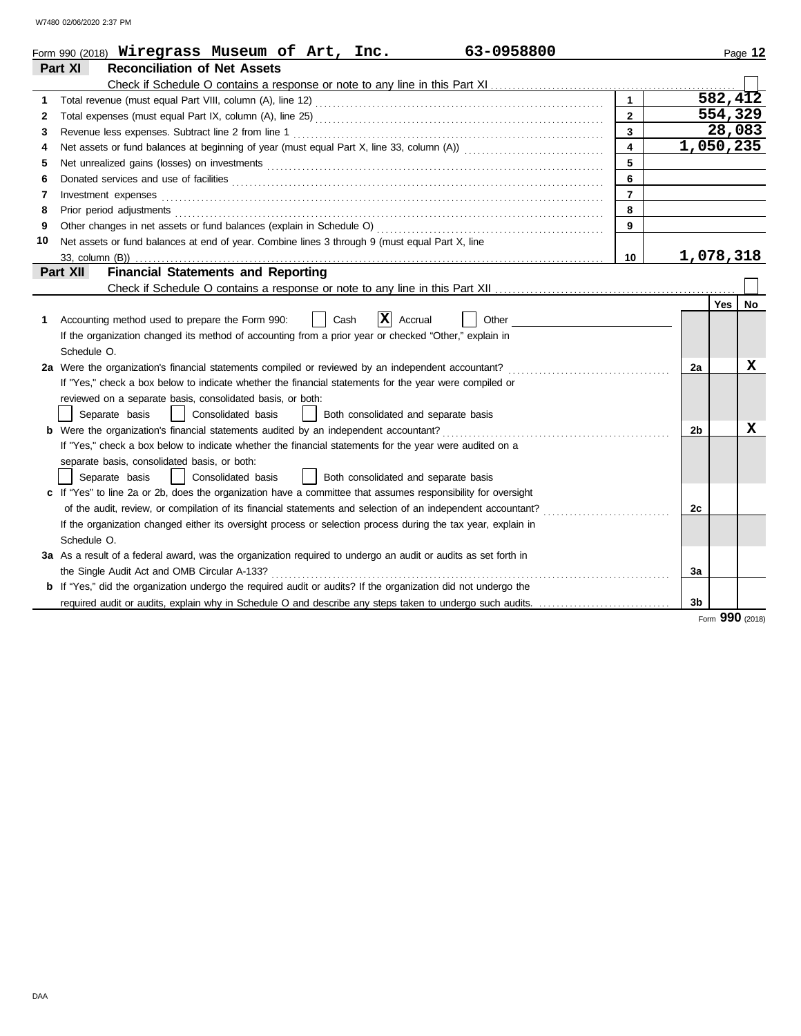|    | 63-0958800<br>Form 990 (2018) Wiregrass Museum of Art, Inc.                                                                                                                                                                          |                         |                |         | Page 12 |
|----|--------------------------------------------------------------------------------------------------------------------------------------------------------------------------------------------------------------------------------------|-------------------------|----------------|---------|---------|
|    | <b>Reconciliation of Net Assets</b><br>Part XI                                                                                                                                                                                       |                         |                |         |         |
|    |                                                                                                                                                                                                                                      |                         |                |         |         |
| 1  |                                                                                                                                                                                                                                      | $\mathbf{1}$            |                | 582,412 |         |
| 2  |                                                                                                                                                                                                                                      | $\overline{2}$          |                | 554,329 |         |
| 3  |                                                                                                                                                                                                                                      | $\overline{\mathbf{3}}$ |                | 28,083  |         |
| 4  |                                                                                                                                                                                                                                      | $\overline{4}$          | 1,050,235      |         |         |
| 5  |                                                                                                                                                                                                                                      | 5                       |                |         |         |
| 6  | Donated services and use of facilities <b>constant of the constant of the constant of the constant of the constant of the constant of the constant of the constant of the constant of the constant of the constant of the consta</b> | 6                       |                |         |         |
| 7  | Investment expenses <b>contract and the expenses</b>                                                                                                                                                                                 | $\overline{7}$          |                |         |         |
| 8  |                                                                                                                                                                                                                                      | 8                       |                |         |         |
| 9  |                                                                                                                                                                                                                                      | 9                       |                |         |         |
| 10 | Net assets or fund balances at end of year. Combine lines 3 through 9 (must equal Part X, line                                                                                                                                       |                         |                |         |         |
|    |                                                                                                                                                                                                                                      | 10                      | 1,078,318      |         |         |
|    | <b>Financial Statements and Reporting</b><br>Part XII                                                                                                                                                                                |                         |                |         |         |
|    |                                                                                                                                                                                                                                      |                         |                |         |         |
|    |                                                                                                                                                                                                                                      |                         |                | Yes     | No      |
| 1  | $ \mathbf{x} $<br>Accounting method used to prepare the Form 990:<br>Accrual<br>Other<br>Cash                                                                                                                                        |                         |                |         |         |
|    | If the organization changed its method of accounting from a prior year or checked "Other," explain in                                                                                                                                |                         |                |         |         |
|    | Schedule O.                                                                                                                                                                                                                          |                         |                |         |         |
|    | 2a Were the organization's financial statements compiled or reviewed by an independent accountant?                                                                                                                                   |                         | 2a             |         | x       |
|    | If "Yes," check a box below to indicate whether the financial statements for the year were compiled or                                                                                                                               |                         |                |         |         |
|    | reviewed on a separate basis, consolidated basis, or both:                                                                                                                                                                           |                         |                |         |         |
|    | Separate basis<br>Consolidated basis<br>Both consolidated and separate basis                                                                                                                                                         |                         |                |         |         |
|    | <b>b</b> Were the organization's financial statements audited by an independent accountant?                                                                                                                                          |                         | 2b             |         | x       |
|    | If "Yes," check a box below to indicate whether the financial statements for the year were audited on a                                                                                                                              |                         |                |         |         |
|    | separate basis, consolidated basis, or both:                                                                                                                                                                                         |                         |                |         |         |
|    | Separate basis<br>Consolidated basis<br>Both consolidated and separate basis                                                                                                                                                         |                         |                |         |         |
|    | c If "Yes" to line 2a or 2b, does the organization have a committee that assumes responsibility for oversight                                                                                                                        |                         |                |         |         |
|    | of the audit, review, or compilation of its financial statements and selection of an independent accountant?                                                                                                                         |                         | 2c             |         |         |
|    | If the organization changed either its oversight process or selection process during the tax year, explain in                                                                                                                        |                         |                |         |         |
|    | Schedule O.                                                                                                                                                                                                                          |                         |                |         |         |
|    | 3a As a result of a federal award, was the organization required to undergo an audit or audits as set forth in                                                                                                                       |                         |                |         |         |
|    | the Single Audit Act and OMB Circular A-133?                                                                                                                                                                                         |                         | 3a             |         |         |
|    | b If "Yes," did the organization undergo the required audit or audits? If the organization did not undergo the                                                                                                                       |                         |                |         |         |
|    | required audit or audits, explain why in Schedule O and describe any steps taken to undergo such audits.                                                                                                                             |                         | 3 <sub>b</sub> |         |         |

Form **990** (2018)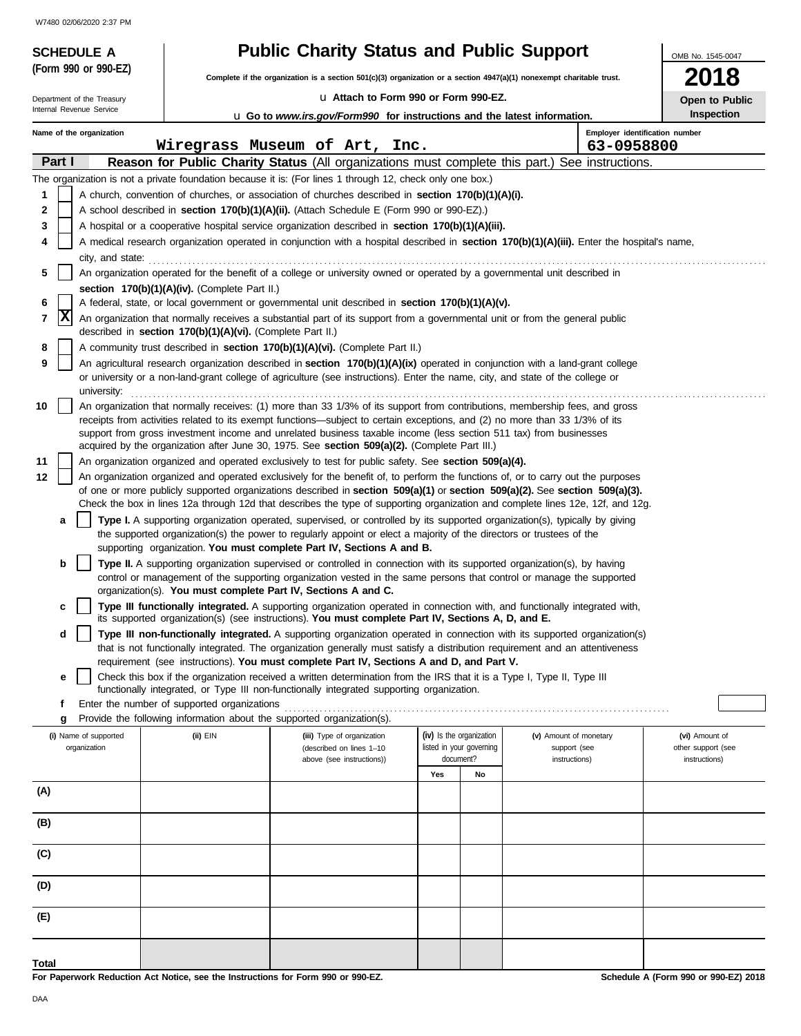| 887400 UZ/UU/ZUZU Z.J7 FIVI<br><b>SCHEDULE A</b>       |                                                                                                   | <b>Public Charity Status and Public Support</b>                                                                                                                                                                                                                                                                              |                          |                          |                               |                                     |  |  |  |
|--------------------------------------------------------|---------------------------------------------------------------------------------------------------|------------------------------------------------------------------------------------------------------------------------------------------------------------------------------------------------------------------------------------------------------------------------------------------------------------------------------|--------------------------|--------------------------|-------------------------------|-------------------------------------|--|--|--|
| (Form 990 or 990-EZ)                                   |                                                                                                   |                                                                                                                                                                                                                                                                                                                              |                          |                          |                               | OMB No. 1545-0047                   |  |  |  |
|                                                        |                                                                                                   | Complete if the organization is a section 501(c)(3) organization or a section 4947(a)(1) nonexempt charitable trust.                                                                                                                                                                                                         |                          |                          |                               | 2018                                |  |  |  |
| Department of the Treasury<br>Internal Revenue Service |                                                                                                   | La Attach to Form 990 or Form 990-EZ.                                                                                                                                                                                                                                                                                        |                          |                          |                               | Open to Public<br>Inspection        |  |  |  |
| Name of the organization                               |                                                                                                   | <b>u</b> Go to <i>www.irs.gov/Form990</i> for instructions and the latest information.                                                                                                                                                                                                                                       |                          |                          |                               | Employer identification number      |  |  |  |
|                                                        |                                                                                                   | Wiregrass Museum of Art, Inc.                                                                                                                                                                                                                                                                                                |                          |                          | 63-0958800                    |                                     |  |  |  |
| Part I                                                 |                                                                                                   | Reason for Public Charity Status (All organizations must complete this part.) See instructions.                                                                                                                                                                                                                              |                          |                          |                               |                                     |  |  |  |
|                                                        |                                                                                                   | The organization is not a private foundation because it is: (For lines 1 through 12, check only one box.)                                                                                                                                                                                                                    |                          |                          |                               |                                     |  |  |  |
| 1                                                      |                                                                                                   | A church, convention of churches, or association of churches described in section 170(b)(1)(A)(i).                                                                                                                                                                                                                           |                          |                          |                               |                                     |  |  |  |
| 2                                                      | A school described in <b>section 170(b)(1)(A)(ii).</b> (Attach Schedule E (Form 990 or 990-EZ).)  |                                                                                                                                                                                                                                                                                                                              |                          |                          |                               |                                     |  |  |  |
| 3                                                      | A hospital or a cooperative hospital service organization described in section 170(b)(1)(A)(iii). |                                                                                                                                                                                                                                                                                                                              |                          |                          |                               |                                     |  |  |  |
| 4                                                      |                                                                                                   | A medical research organization operated in conjunction with a hospital described in section 170(b)(1)(A)(iii). Enter the hospital's name,                                                                                                                                                                                   |                          |                          |                               |                                     |  |  |  |
| city, and state:<br>5                                  |                                                                                                   |                                                                                                                                                                                                                                                                                                                              |                          |                          |                               |                                     |  |  |  |
|                                                        | section 170(b)(1)(A)(iv). (Complete Part II.)                                                     | An organization operated for the benefit of a college or university owned or operated by a governmental unit described in                                                                                                                                                                                                    |                          |                          |                               |                                     |  |  |  |
| 6                                                      |                                                                                                   | A federal, state, or local government or governmental unit described in section 170(b)(1)(A)(v).                                                                                                                                                                                                                             |                          |                          |                               |                                     |  |  |  |
| x<br>7                                                 |                                                                                                   | An organization that normally receives a substantial part of its support from a governmental unit or from the general public                                                                                                                                                                                                 |                          |                          |                               |                                     |  |  |  |
|                                                        | described in section 170(b)(1)(A)(vi). (Complete Part II.)                                        |                                                                                                                                                                                                                                                                                                                              |                          |                          |                               |                                     |  |  |  |
| 8                                                      |                                                                                                   | A community trust described in section 170(b)(1)(A)(vi). (Complete Part II.)                                                                                                                                                                                                                                                 |                          |                          |                               |                                     |  |  |  |
| 9<br>university:                                       |                                                                                                   | An agricultural research organization described in section 170(b)(1)(A)(ix) operated in conjunction with a land-grant college<br>or university or a non-land-grant college of agriculture (see instructions). Enter the name, city, and state of the college or                                                              |                          |                          |                               |                                     |  |  |  |
| 10                                                     |                                                                                                   | An organization that normally receives: (1) more than 33 1/3% of its support from contributions, membership fees, and gross                                                                                                                                                                                                  |                          |                          |                               |                                     |  |  |  |
|                                                        |                                                                                                   | receipts from activities related to its exempt functions—subject to certain exceptions, and (2) no more than 33 1/3% of its                                                                                                                                                                                                  |                          |                          |                               |                                     |  |  |  |
|                                                        |                                                                                                   | support from gross investment income and unrelated business taxable income (less section 511 tax) from businesses<br>acquired by the organization after June 30, 1975. See section 509(a)(2). (Complete Part III.)                                                                                                           |                          |                          |                               |                                     |  |  |  |
| 11                                                     |                                                                                                   | An organization organized and operated exclusively to test for public safety. See section 509(a)(4).                                                                                                                                                                                                                         |                          |                          |                               |                                     |  |  |  |
| 12                                                     |                                                                                                   | An organization organized and operated exclusively for the benefit of, to perform the functions of, or to carry out the purposes                                                                                                                                                                                             |                          |                          |                               |                                     |  |  |  |
|                                                        |                                                                                                   | of one or more publicly supported organizations described in section $509(a)(1)$ or section $509(a)(2)$ . See section $509(a)(3)$ .                                                                                                                                                                                          |                          |                          |                               |                                     |  |  |  |
|                                                        |                                                                                                   | Check the box in lines 12a through 12d that describes the type of supporting organization and complete lines 12e, 12f, and 12g.                                                                                                                                                                                              |                          |                          |                               |                                     |  |  |  |
| a                                                      |                                                                                                   | Type I. A supporting organization operated, supervised, or controlled by its supported organization(s), typically by giving<br>the supported organization(s) the power to regularly appoint or elect a majority of the directors or trustees of the<br>supporting organization. You must complete Part IV, Sections A and B. |                          |                          |                               |                                     |  |  |  |
| b                                                      |                                                                                                   | <b>Type II.</b> A supporting organization supervised or controlled in connection with its supported organization(s), by having                                                                                                                                                                                               |                          |                          |                               |                                     |  |  |  |
|                                                        |                                                                                                   | control or management of the supporting organization vested in the same persons that control or manage the supported                                                                                                                                                                                                         |                          |                          |                               |                                     |  |  |  |
|                                                        |                                                                                                   | organization(s). You must complete Part IV, Sections A and C.                                                                                                                                                                                                                                                                |                          |                          |                               |                                     |  |  |  |
| c                                                      |                                                                                                   | Type III functionally integrated. A supporting organization operated in connection with, and functionally integrated with,<br>its supported organization(s) (see instructions). You must complete Part IV, Sections A, D, and E.                                                                                             |                          |                          |                               |                                     |  |  |  |
| d                                                      |                                                                                                   | Type III non-functionally integrated. A supporting organization operated in connection with its supported organization(s)                                                                                                                                                                                                    |                          |                          |                               |                                     |  |  |  |
|                                                        |                                                                                                   | that is not functionally integrated. The organization generally must satisfy a distribution requirement and an attentiveness                                                                                                                                                                                                 |                          |                          |                               |                                     |  |  |  |
|                                                        |                                                                                                   | requirement (see instructions). You must complete Part IV, Sections A and D, and Part V.                                                                                                                                                                                                                                     |                          |                          |                               |                                     |  |  |  |
| е                                                      |                                                                                                   | Check this box if the organization received a written determination from the IRS that it is a Type I, Type II, Type III<br>functionally integrated, or Type III non-functionally integrated supporting organization.                                                                                                         |                          |                          |                               |                                     |  |  |  |
| f                                                      | Enter the number of supported organizations                                                       |                                                                                                                                                                                                                                                                                                                              |                          |                          |                               |                                     |  |  |  |
| g                                                      |                                                                                                   | Provide the following information about the supported organization(s).                                                                                                                                                                                                                                                       |                          |                          |                               |                                     |  |  |  |
| (i) Name of supported                                  | (ii) EIN                                                                                          | (iii) Type of organization                                                                                                                                                                                                                                                                                                   | (iv) Is the organization |                          | (v) Amount of monetary        | (vi) Amount of                      |  |  |  |
| organization                                           |                                                                                                   | (described on lines 1-10<br>above (see instructions))                                                                                                                                                                                                                                                                        | document?                | listed in your governing | support (see<br>instructions) | other support (see<br>instructions) |  |  |  |
|                                                        |                                                                                                   |                                                                                                                                                                                                                                                                                                                              | Yes                      | No                       |                               |                                     |  |  |  |
| (A)                                                    |                                                                                                   |                                                                                                                                                                                                                                                                                                                              |                          |                          |                               |                                     |  |  |  |
|                                                        |                                                                                                   |                                                                                                                                                                                                                                                                                                                              |                          |                          |                               |                                     |  |  |  |
| (B)                                                    |                                                                                                   |                                                                                                                                                                                                                                                                                                                              |                          |                          |                               |                                     |  |  |  |
|                                                        |                                                                                                   |                                                                                                                                                                                                                                                                                                                              |                          |                          |                               |                                     |  |  |  |
| (C)                                                    |                                                                                                   |                                                                                                                                                                                                                                                                                                                              |                          |                          |                               |                                     |  |  |  |
| (D)                                                    |                                                                                                   |                                                                                                                                                                                                                                                                                                                              |                          |                          |                               |                                     |  |  |  |
|                                                        |                                                                                                   |                                                                                                                                                                                                                                                                                                                              |                          |                          |                               |                                     |  |  |  |
| (E)                                                    |                                                                                                   |                                                                                                                                                                                                                                                                                                                              |                          |                          |                               |                                     |  |  |  |
|                                                        |                                                                                                   |                                                                                                                                                                                                                                                                                                                              |                          |                          |                               |                                     |  |  |  |
|                                                        |                                                                                                   |                                                                                                                                                                                                                                                                                                                              |                          |                          |                               |                                     |  |  |  |
| Total                                                  |                                                                                                   |                                                                                                                                                                                                                                                                                                                              |                          |                          |                               |                                     |  |  |  |

**For Paperwork Reduction Act Notice, see the Instructions for Form 990 or 990-EZ.**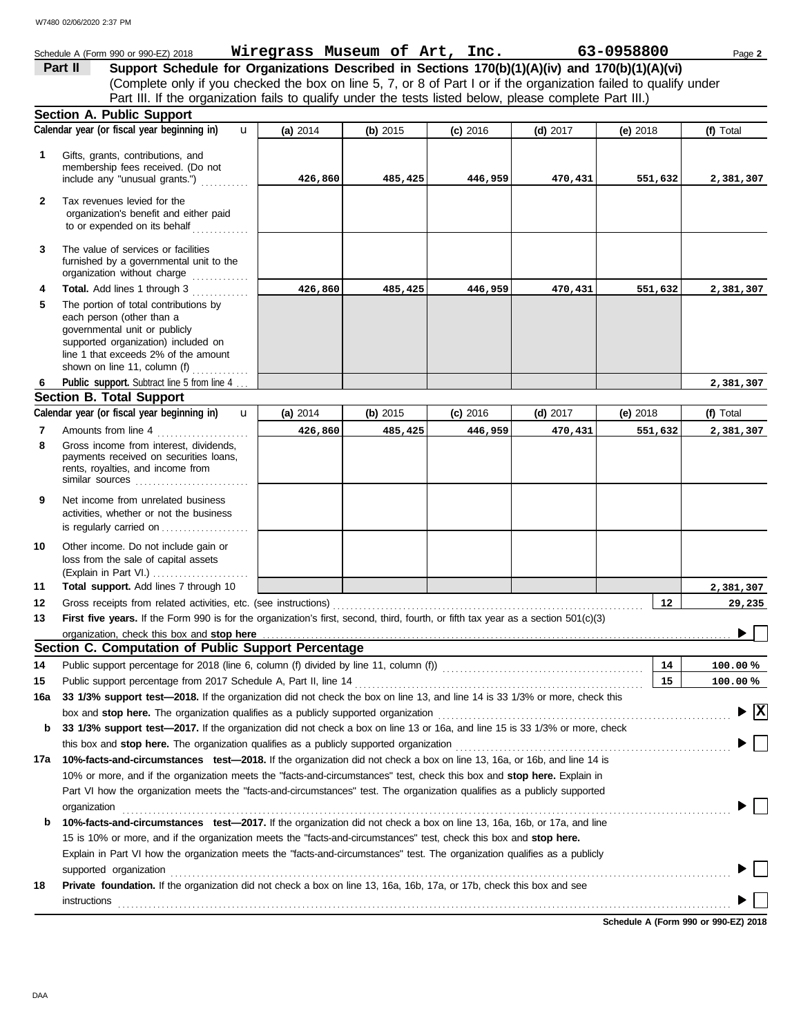### Schedule A (Form 990 or 990-EZ) 2018 Page **2 Wiregrass Museum of Art, Inc. 63-0958800 Part II Support Schedule for Organizations Described in Sections 170(b)(1)(A)(iv) and 170(b)(1)(A)(vi)** (Complete only if you checked the box on line 5, 7, or 8 of Part I or if the organization failed to qualify under Part III. If the organization fails to qualify under the tests listed below, please complete Part III.) **Section A. Public Support Calendar year (or fiscal year beginning in) (f)** Total u **(a)** 2014 **(b)** 2015 **(c)** 2016 **(d)** 2017 **(e)** 2018 Gifts, grants, contributions, and **1** membership fees received. (Do not include any "unusual grants.") . . . . . . . . . . . **426,860 485,425 446,959 470,431 551,632 2,381,307 2** Tax revenues levied for the organization's benefit and either paid to or expended on its behalf ............. **3** The value of services or facilities furnished by a governmental unit to the organization without charge .............. **Total.** Add lines 1 through 3 **4 426,860 485,425 446,959 470,431 551,632 2,381,307 5** The portion of total contributions by each person (other than a governmental unit or publicly supported organization) included on line 1 that exceeds 2% of the amount shown on line 11, column  $(f)$   $\ldots$   $\ldots$  . . . . . . Public support. Subtract line 5 from line 4. **2,381,307 6 Section B. Total Support Calendar year (or fiscal year beginning in) (f)** Total u **(b)** 2015 **(c)** 2016 **(d)** 2017 **(e)** 2018 **(a)** 2014 Amounts from line 4 . . . . . . . . . . . . . . . . . . . . . **7 426,860 485,425 446,959 470,431 551,632 2,381,307** Gross income from interest, dividends, **8** payments received on securities loans. rents, royalties, and income from similar sources . . . . . . . . . . . . . . . . . . . . . . . . . . **9** Net income from unrelated business activities, whether or not the business is regularly carried on . . . . . . . . . . . . . . . . . . . . **10** Other income. Do not include gain or loss from the sale of capital assets (Explain in Part VI.) . . . . . . . . . . . . . . . . . . . . . . **11 Total support.** Add lines 7 through 10 **2,381,307 12 12 29,235** Gross receipts from related activities, etc. (see instructions) . . . . . . . . . . . . . . . . . . . . . . . . . . . . . . . . . . . . . . . . . . . . . . . . . . . . . . . . . . . . . . . . . . . . . . . **13** First five years. If the Form 990 is for the organization's first, second, third, fourth, or fifth tax year as a section 501(c)(3) organization, check this box and stop here ▶ **Section C. Computation of Public Support Percentage 14** Public support percentage for 2018 (line 6, column (f) divided by line 11, column (f)) . . . . . . . . . . . . . . . . . . . . . . . . . . . . . . . . . . . . . . . . . . . . . . **14 % 100.00 15** Public support percentage from 2017 Schedule A, Part II, line 14 . . . . . . . . . . . . . . . . . . . . . . . . . . . . . . . . . . . . . . . . . . . . . . . . . . . . . . . . . . . . . . . . . . **15 % 100.00 16a 33 1/3% support test—2018.** If the organization did not check the box on line 13, and line 14 is 33 1/3% or more, check this box and **stop here.** The organization qualifies as a publicly supported organization . . . . . . . . . . . . . . . . . . . . . . . . . . . . . . . . . . . . . . . . . . . . . . . . . . . . . . . . . . . . . . . . . . . **X b 33 1/3% support test—2017.** If the organization did not check a box on line 13 or 16a, and line 15 is 33 1/3% or more, check this box and **stop here.** The organization qualifies as a publicly supported organization . . . . . . . . . . . . . . . . . . . . . . . . . . . . . . . . . . . . . . . . . . . . . . . . . . . . . . . . . . . . . . . **17a 10%-facts-and-circumstances test—2018.** If the organization did not check a box on line 13, 16a, or 16b, and line 14 is 10% or more, and if the organization meets the "facts-and-circumstances" test, check this box and **stop here.** Explain in Part VI how the organization meets the "facts-and-circumstances" test. The organization qualifies as a publicly supported organization . . . . . . . . . . . . . . . . . . . . . . . . . . . . . . . . . . . . . . . . . . . . . . . . . . . . . . . . . . . . . . . . . . . . . . . . . . . . . . . . . . . . . . . . . . . . . . . . . . . . . . . . . . . . . . . . . . . . . . . . . . . . . . . . . . . . . . . . . . . **b 10%-facts-and-circumstances test—2017.** If the organization did not check a box on line 13, 16a, 16b, or 17a, and line 15 is 10% or more, and if the organization meets the "facts-and-circumstances" test, check this box and **stop here.** Explain in Part VI how the organization meets the "facts-and-circumstances" test. The organization qualifies as a publicly supported organization contains and contains a supported organization of the supported organization contains and contains a supported organization contains a supported organization contains a supported or supported or  $\mathbb$

**18 Private foundation.** If the organization did not check a box on line 13, 16a, 16b, 17a, or 17b, check this box and see instructions . . . . . . . . . . . . . . . . . . . . . . . . . . . . . . . . . . . . . . . . . . . . . . . . . . . . . . . . . . . . . . . . . . . . . . . . . . . . . . . . . . . . . . . . . . . . . . . . . . . . . . . . . . . . . . . . . . . . . . . . . . . . . . . . . . . . . . . . . . . .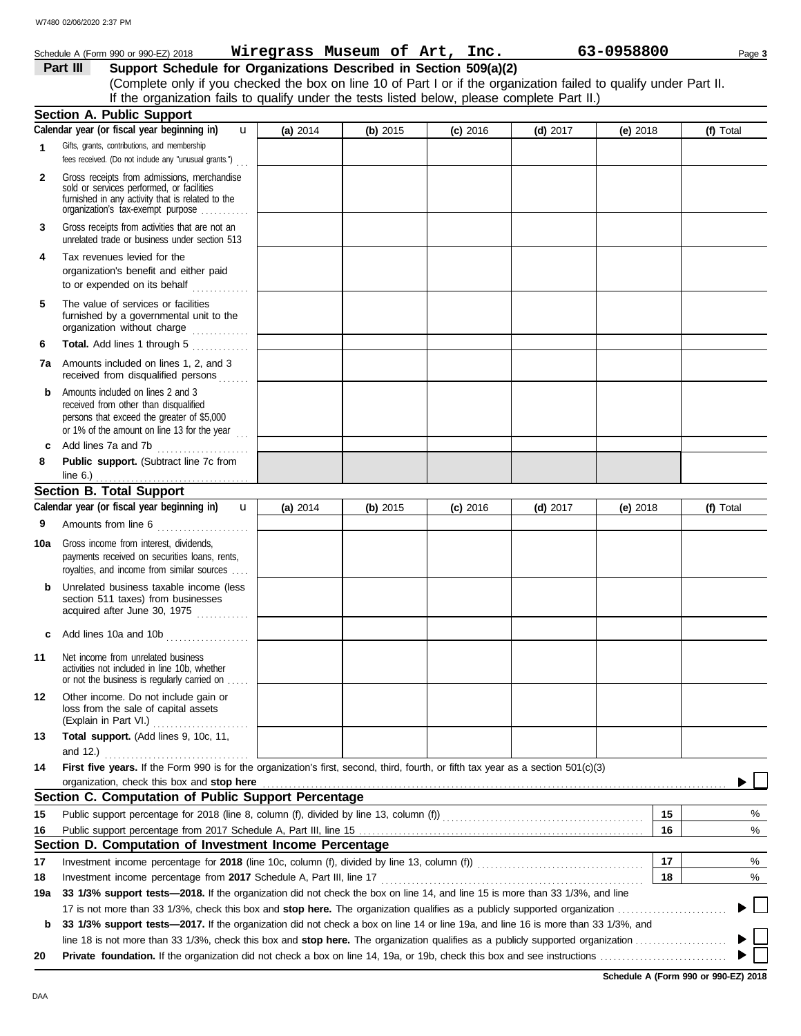|              | Schedule A (Form 990 or 990-EZ) 2018                                                                                                                                                                                                                                                                                                                   | Wiregrass Museum of Art, Inc. |          |            |            | 63-0958800 |    | Page 3    |
|--------------|--------------------------------------------------------------------------------------------------------------------------------------------------------------------------------------------------------------------------------------------------------------------------------------------------------------------------------------------------------|-------------------------------|----------|------------|------------|------------|----|-----------|
|              | Support Schedule for Organizations Described in Section 509(a)(2)<br>Part III                                                                                                                                                                                                                                                                          |                               |          |            |            |            |    |           |
|              | (Complete only if you checked the box on line 10 of Part I or if the organization failed to qualify under Part II.                                                                                                                                                                                                                                     |                               |          |            |            |            |    |           |
|              | If the organization fails to qualify under the tests listed below, please complete Part II.)                                                                                                                                                                                                                                                           |                               |          |            |            |            |    |           |
|              | <b>Section A. Public Support</b>                                                                                                                                                                                                                                                                                                                       |                               |          |            |            |            |    |           |
|              | Calendar year (or fiscal year beginning in)<br>$\mathbf{u}$                                                                                                                                                                                                                                                                                            | (a) 2014                      | (b) 2015 | $(c)$ 2016 | $(d)$ 2017 | (e) $2018$ |    | (f) Total |
| 1            | Gifts, grants, contributions, and membership<br>fees received. (Do not include any "unusual grants.")                                                                                                                                                                                                                                                  |                               |          |            |            |            |    |           |
| $\mathbf{2}$ | Gross receipts from admissions, merchandise<br>sold or services performed, or facilities<br>furnished in any activity that is related to the<br>organization's tax-exempt purpose                                                                                                                                                                      |                               |          |            |            |            |    |           |
| 3            | Gross receipts from activities that are not an<br>unrelated trade or business under section 513                                                                                                                                                                                                                                                        |                               |          |            |            |            |    |           |
| 4            | Tax revenues levied for the<br>organization's benefit and either paid<br>to or expended on its behalf                                                                                                                                                                                                                                                  |                               |          |            |            |            |    |           |
| 5            | The value of services or facilities<br>furnished by a governmental unit to the<br>organization without charge                                                                                                                                                                                                                                          |                               |          |            |            |            |    |           |
| 6            | Total. Add lines 1 through 5                                                                                                                                                                                                                                                                                                                           |                               |          |            |            |            |    |           |
|              | 7a Amounts included on lines 1, 2, and 3<br>received from disqualified persons                                                                                                                                                                                                                                                                         |                               |          |            |            |            |    |           |
| b            | Amounts included on lines 2 and 3<br>received from other than disqualified<br>persons that exceed the greater of \$5,000<br>or 1% of the amount on line 13 for the year                                                                                                                                                                                |                               |          |            |            |            |    |           |
| c            | Add lines 7a and 7b                                                                                                                                                                                                                                                                                                                                    |                               |          |            |            |            |    |           |
| 8            | Public support. (Subtract line 7c from                                                                                                                                                                                                                                                                                                                 |                               |          |            |            |            |    |           |
|              | line 6.) $\ldots$ . $\ldots$ . $\ldots$ . $\ldots$ . $\ldots$ . $\ldots$ . $\ldots$ . $\ldots$ . $\ldots$ . $\ldots$ . $\ldots$ . $\ldots$ . $\ldots$ . $\ldots$ . $\ldots$ . $\ldots$ . $\ldots$ . $\ldots$ . $\ldots$ . $\ldots$ . $\ldots$ . $\ldots$ . $\ldots$ . $\ldots$ . $\ldots$ . $\ldots$ . $\ldots$ . $\ldots$ . $\ldots$ . $\ldots$ . $\$ |                               |          |            |            |            |    |           |
|              | <b>Section B. Total Support</b>                                                                                                                                                                                                                                                                                                                        |                               |          |            |            |            |    |           |
|              | Calendar year (or fiscal year beginning in)<br>$\mathbf{u}$                                                                                                                                                                                                                                                                                            | (a) 2014                      | (b) 2015 | $(c)$ 2016 | $(d)$ 2017 | (e) 2018   |    | (f) Total |
| 9            | Amounts from line 6                                                                                                                                                                                                                                                                                                                                    |                               |          |            |            |            |    |           |
|              | <b>10a</b> Gross income from interest, dividends,<br>payments received on securities loans, rents,<br>royalties, and income from similar sources                                                                                                                                                                                                       |                               |          |            |            |            |    |           |
| b            | Unrelated business taxable income (less<br>section 511 taxes) from businesses<br>acquired after June 30, 1975                                                                                                                                                                                                                                          |                               |          |            |            |            |    |           |
| c            |                                                                                                                                                                                                                                                                                                                                                        |                               |          |            |            |            |    |           |
| 11           | Net income from unrelated business<br>activities not included in line 10b, whether<br>or not the business is regularly carried on                                                                                                                                                                                                                      |                               |          |            |            |            |    |           |
| 12           | Other income. Do not include gain or<br>loss from the sale of capital assets<br>(Explain in Part VI.)                                                                                                                                                                                                                                                  |                               |          |            |            |            |    |           |
| 13           | Total support. (Add lines 9, 10c, 11,                                                                                                                                                                                                                                                                                                                  |                               |          |            |            |            |    |           |
|              | and 12.) $\ldots$ . $\ldots$<br>First five years. If the Form 990 is for the organization's first, second, third, fourth, or fifth tax year as a section 501(c)(3)                                                                                                                                                                                     |                               |          |            |            |            |    |           |
| 14           | organization, check this box and stop here entity and contain the content of the content of the content of the content of the content of the content of the content of the content of the content of the content of the conten                                                                                                                         |                               |          |            |            |            |    |           |
|              | Section C. Computation of Public Support Percentage                                                                                                                                                                                                                                                                                                    |                               |          |            |            |            |    |           |
| 15           |                                                                                                                                                                                                                                                                                                                                                        |                               |          |            |            |            | 15 | %         |
| 16           |                                                                                                                                                                                                                                                                                                                                                        |                               |          |            |            |            | 16 | %         |
|              | Section D. Computation of Investment Income Percentage                                                                                                                                                                                                                                                                                                 |                               |          |            |            |            |    |           |
| 17           |                                                                                                                                                                                                                                                                                                                                                        |                               |          |            |            |            | 17 | %         |
| 18           | Investment income percentage from 2017 Schedule A, Part III, line 17                                                                                                                                                                                                                                                                                   |                               |          |            |            |            | 18 | %         |
| 19a          | 33 1/3% support tests-2018. If the organization did not check the box on line 14, and line 15 is more than 33 1/3%, and line                                                                                                                                                                                                                           |                               |          |            |            |            |    |           |
|              |                                                                                                                                                                                                                                                                                                                                                        |                               |          |            |            |            |    |           |
| b            | 33 1/3% support tests—2017. If the organization did not check a box on line 14 or line 19a, and line 16 is more than 33 1/3%, and                                                                                                                                                                                                                      |                               |          |            |            |            |    |           |
|              | line 18 is not more than 33 1/3%, check this box and stop here. The organization qualifies as a publicly supported organization $\ldots$                                                                                                                                                                                                               |                               |          |            |            |            |    |           |
| 20           |                                                                                                                                                                                                                                                                                                                                                        |                               |          |            |            |            |    |           |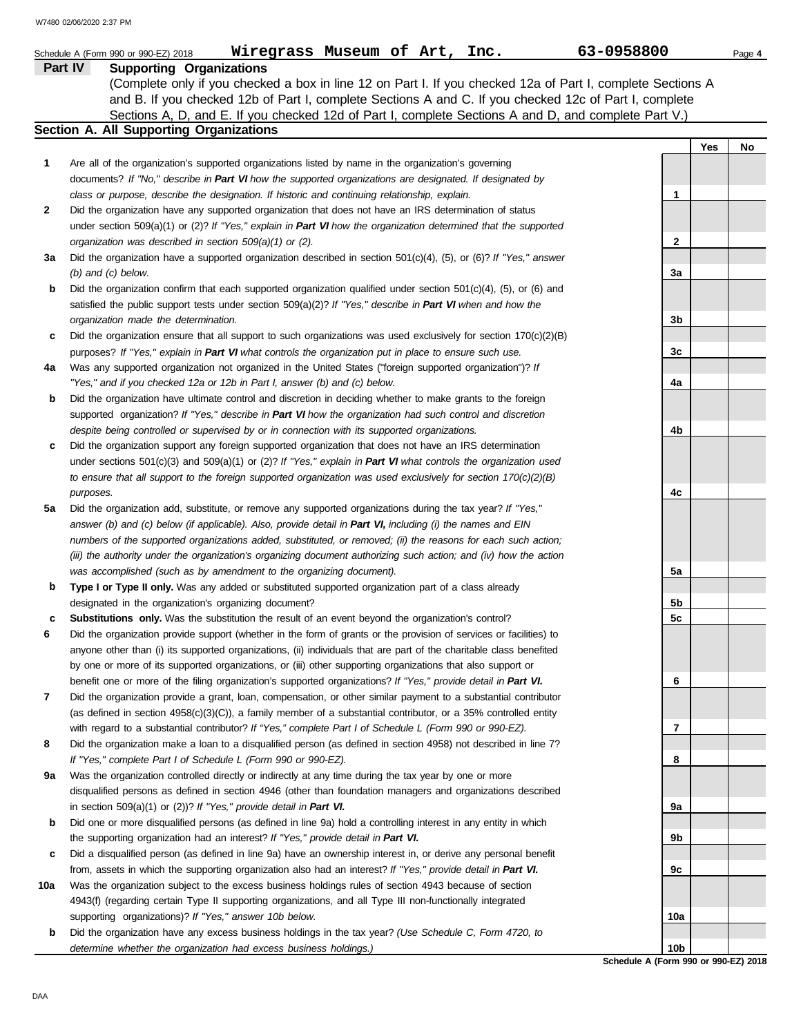|     | 63-0958800<br>Wiregrass Museum of Art, Inc.<br>Schedule A (Form 990 or 990-EZ) 2018                                                                                                                                                                                                                                                                                         |                 |     | Page 4 |
|-----|-----------------------------------------------------------------------------------------------------------------------------------------------------------------------------------------------------------------------------------------------------------------------------------------------------------------------------------------------------------------------------|-----------------|-----|--------|
|     | Part IV<br><b>Supporting Organizations</b><br>(Complete only if you checked a box in line 12 on Part I. If you checked 12a of Part I, complete Sections A<br>and B. If you checked 12b of Part I, complete Sections A and C. If you checked 12c of Part I, complete<br>Sections A, D, and E. If you checked 12d of Part I, complete Sections A and D, and complete Part V.) |                 |     |        |
|     | Section A. All Supporting Organizations                                                                                                                                                                                                                                                                                                                                     |                 |     |        |
| 1   | Are all of the organization's supported organizations listed by name in the organization's governing                                                                                                                                                                                                                                                                        |                 | Yes | No     |
|     | documents? If "No," describe in Part VI how the supported organizations are designated. If designated by<br>class or purpose, describe the designation. If historic and continuing relationship, explain.                                                                                                                                                                   | 1               |     |        |
| 2   | Did the organization have any supported organization that does not have an IRS determination of status                                                                                                                                                                                                                                                                      |                 |     |        |
|     | under section $509(a)(1)$ or (2)? If "Yes," explain in Part VI how the organization determined that the supported                                                                                                                                                                                                                                                           |                 |     |        |
|     | organization was described in section 509(a)(1) or (2).                                                                                                                                                                                                                                                                                                                     | $\mathbf{2}$    |     |        |
| За  | Did the organization have a supported organization described in section 501(c)(4), (5), or (6)? If "Yes," answer                                                                                                                                                                                                                                                            |                 |     |        |
|     | $(b)$ and $(c)$ below.                                                                                                                                                                                                                                                                                                                                                      | 3a              |     |        |
| b   | Did the organization confirm that each supported organization qualified under section $501(c)(4)$ , (5), or (6) and                                                                                                                                                                                                                                                         |                 |     |        |
|     | satisfied the public support tests under section $509(a)(2)$ ? If "Yes," describe in Part VI when and how the                                                                                                                                                                                                                                                               |                 |     |        |
|     | organization made the determination.                                                                                                                                                                                                                                                                                                                                        | 3b              |     |        |
| c   | Did the organization ensure that all support to such organizations was used exclusively for section 170(c)(2)(B)                                                                                                                                                                                                                                                            |                 |     |        |
|     | purposes? If "Yes," explain in Part VI what controls the organization put in place to ensure such use.                                                                                                                                                                                                                                                                      | 3c              |     |        |
| 4a  | Was any supported organization not organized in the United States ("foreign supported organization")? If                                                                                                                                                                                                                                                                    |                 |     |        |
|     | "Yes," and if you checked 12a or 12b in Part I, answer (b) and (c) below.                                                                                                                                                                                                                                                                                                   | 4a              |     |        |
| b   | Did the organization have ultimate control and discretion in deciding whether to make grants to the foreign<br>supported organization? If "Yes," describe in Part VI how the organization had such control and discretion                                                                                                                                                   |                 |     |        |
|     | despite being controlled or supervised by or in connection with its supported organizations.                                                                                                                                                                                                                                                                                | 4b              |     |        |
| c   | Did the organization support any foreign supported organization that does not have an IRS determination                                                                                                                                                                                                                                                                     |                 |     |        |
|     | under sections $501(c)(3)$ and $509(a)(1)$ or (2)? If "Yes," explain in Part VI what controls the organization used                                                                                                                                                                                                                                                         |                 |     |        |
|     | to ensure that all support to the foreign supported organization was used exclusively for section $170(c)(2)(B)$                                                                                                                                                                                                                                                            |                 |     |        |
|     | purposes.                                                                                                                                                                                                                                                                                                                                                                   | 4c              |     |        |
| 5a  | Did the organization add, substitute, or remove any supported organizations during the tax year? If "Yes,"                                                                                                                                                                                                                                                                  |                 |     |        |
|     | answer (b) and (c) below (if applicable). Also, provide detail in Part VI, including (i) the names and EIN                                                                                                                                                                                                                                                                  |                 |     |        |
|     | numbers of the supported organizations added, substituted, or removed; (ii) the reasons for each such action;                                                                                                                                                                                                                                                               |                 |     |        |
|     | (iii) the authority under the organization's organizing document authorizing such action; and (iv) how the action                                                                                                                                                                                                                                                           |                 |     |        |
|     | was accomplished (such as by amendment to the organizing document).                                                                                                                                                                                                                                                                                                         | 5а              |     |        |
| b   | Type I or Type II only. Was any added or substituted supported organization part of a class already                                                                                                                                                                                                                                                                         |                 |     |        |
|     | designated in the organization's organizing document?                                                                                                                                                                                                                                                                                                                       | 5b              |     |        |
| c   | Substitutions only. Was the substitution the result of an event beyond the organization's control?                                                                                                                                                                                                                                                                          | 5 <sub>c</sub>  |     |        |
| 6   | Did the organization provide support (whether in the form of grants or the provision of services or facilities) to                                                                                                                                                                                                                                                          |                 |     |        |
|     | anyone other than (i) its supported organizations, (ii) individuals that are part of the charitable class benefited                                                                                                                                                                                                                                                         |                 |     |        |
|     | by one or more of its supported organizations, or (iii) other supporting organizations that also support or<br>benefit one or more of the filing organization's supported organizations? If "Yes," provide detail in Part VI.                                                                                                                                               | 6               |     |        |
| 7   | Did the organization provide a grant, loan, compensation, or other similar payment to a substantial contributor                                                                                                                                                                                                                                                             |                 |     |        |
|     | (as defined in section 4958(c)(3)(C)), a family member of a substantial contributor, or a 35% controlled entity                                                                                                                                                                                                                                                             |                 |     |        |
|     | with regard to a substantial contributor? If "Yes," complete Part I of Schedule L (Form 990 or 990-EZ).                                                                                                                                                                                                                                                                     | 7               |     |        |
| 8   | Did the organization make a loan to a disqualified person (as defined in section 4958) not described in line 7?                                                                                                                                                                                                                                                             |                 |     |        |
|     | If "Yes," complete Part I of Schedule L (Form 990 or 990-EZ).                                                                                                                                                                                                                                                                                                               | 8               |     |        |
| 9а  | Was the organization controlled directly or indirectly at any time during the tax year by one or more                                                                                                                                                                                                                                                                       |                 |     |        |
|     | disqualified persons as defined in section 4946 (other than foundation managers and organizations described                                                                                                                                                                                                                                                                 |                 |     |        |
|     | in section 509(a)(1) or (2))? If "Yes," provide detail in Part VI.                                                                                                                                                                                                                                                                                                          | 9а              |     |        |
| b   | Did one or more disqualified persons (as defined in line 9a) hold a controlling interest in any entity in which                                                                                                                                                                                                                                                             |                 |     |        |
|     | the supporting organization had an interest? If "Yes," provide detail in Part VI.                                                                                                                                                                                                                                                                                           | 9b              |     |        |
| c   | Did a disqualified person (as defined in line 9a) have an ownership interest in, or derive any personal benefit                                                                                                                                                                                                                                                             |                 |     |        |
|     | from, assets in which the supporting organization also had an interest? If "Yes," provide detail in Part VI.                                                                                                                                                                                                                                                                | 9c              |     |        |
| 10a | Was the organization subject to the excess business holdings rules of section 4943 because of section                                                                                                                                                                                                                                                                       |                 |     |        |
|     | 4943(f) (regarding certain Type II supporting organizations, and all Type III non-functionally integrated<br>supporting organizations)? If "Yes," answer 10b below.                                                                                                                                                                                                         | 10a             |     |        |
| b   | Did the organization have any excess business holdings in the tax year? (Use Schedule C, Form 4720, to                                                                                                                                                                                                                                                                      |                 |     |        |
|     | determine whether the organization had excess business holdings.)                                                                                                                                                                                                                                                                                                           | 10 <sub>b</sub> |     |        |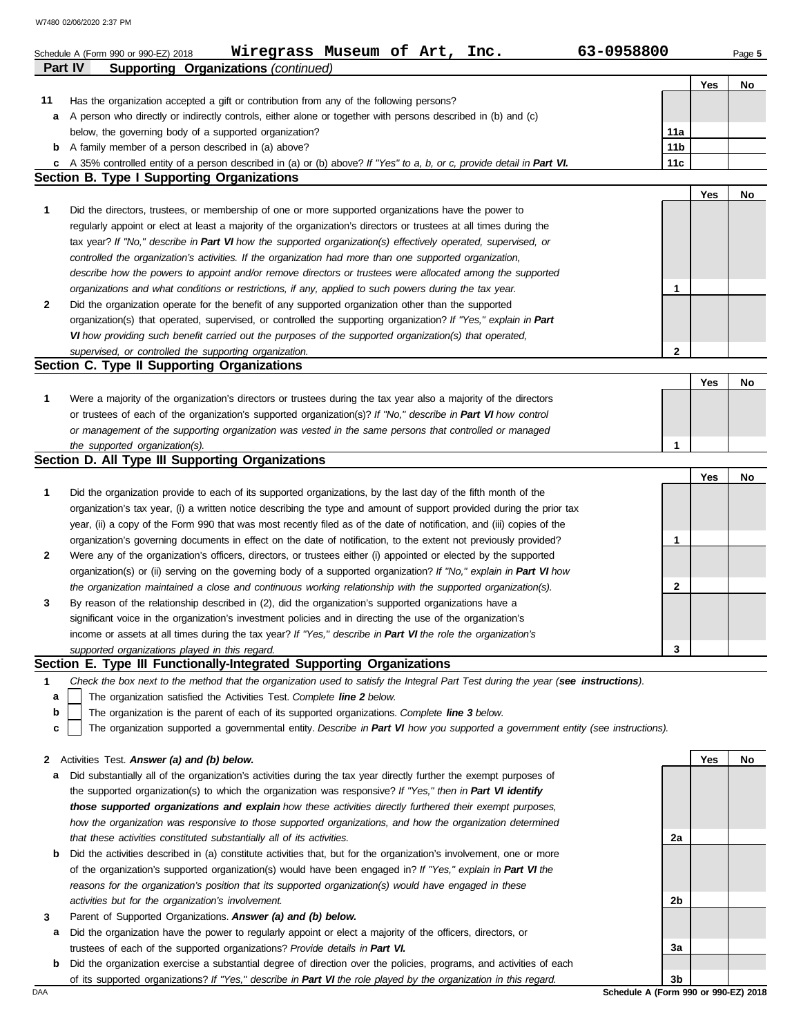|    | Wiregrass Museum of Art, Inc.<br>63-0958800<br>Schedule A (Form 990 or 990-EZ) 2018                                                                                                                                                 |                 |     | Page 5 |
|----|-------------------------------------------------------------------------------------------------------------------------------------------------------------------------------------------------------------------------------------|-----------------|-----|--------|
|    | Part IV<br><b>Supporting Organizations (continued)</b>                                                                                                                                                                              |                 |     |        |
|    |                                                                                                                                                                                                                                     |                 | Yes | No     |
| 11 | Has the organization accepted a gift or contribution from any of the following persons?                                                                                                                                             |                 |     |        |
| а  | A person who directly or indirectly controls, either alone or together with persons described in (b) and (c)                                                                                                                        |                 |     |        |
|    | below, the governing body of a supported organization?                                                                                                                                                                              | 11a             |     |        |
| b  | A family member of a person described in (a) above?                                                                                                                                                                                 | 11 <sub>b</sub> |     |        |
| C  | A 35% controlled entity of a person described in (a) or (b) above? If "Yes" to a, b, or c, provide detail in Part VI.<br><b>Section B. Type I Supporting Organizations</b>                                                          | 11c             |     |        |
|    |                                                                                                                                                                                                                                     |                 | Yes | No     |
| 1  |                                                                                                                                                                                                                                     |                 |     |        |
|    | Did the directors, trustees, or membership of one or more supported organizations have the power to                                                                                                                                 |                 |     |        |
|    | regularly appoint or elect at least a majority of the organization's directors or trustees at all times during the<br>tax year? If "No," describe in Part VI how the supported organization(s) effectively operated, supervised, or |                 |     |        |
|    | controlled the organization's activities. If the organization had more than one supported organization,                                                                                                                             |                 |     |        |
|    | describe how the powers to appoint and/or remove directors or trustees were allocated among the supported                                                                                                                           |                 |     |        |
|    | organizations and what conditions or restrictions, if any, applied to such powers during the tax year.                                                                                                                              | 1               |     |        |
| 2  | Did the organization operate for the benefit of any supported organization other than the supported                                                                                                                                 |                 |     |        |
|    |                                                                                                                                                                                                                                     |                 |     |        |
|    | organization(s) that operated, supervised, or controlled the supporting organization? If "Yes," explain in Part                                                                                                                     |                 |     |        |
|    | VI how providing such benefit carried out the purposes of the supported organization(s) that operated,<br>supervised, or controlled the supporting organization.                                                                    | $\mathbf{2}$    |     |        |
|    | Section C. Type II Supporting Organizations                                                                                                                                                                                         |                 |     |        |
|    |                                                                                                                                                                                                                                     |                 | Yes | No     |
| 1  | Were a majority of the organization's directors or trustees during the tax year also a majority of the directors                                                                                                                    |                 |     |        |
|    | or trustees of each of the organization's supported organization(s)? If "No," describe in Part VI how control                                                                                                                       |                 |     |        |
|    | or management of the supporting organization was vested in the same persons that controlled or managed                                                                                                                              |                 |     |        |
|    | the supported organization(s).                                                                                                                                                                                                      | 1               |     |        |
|    | Section D. All Type III Supporting Organizations                                                                                                                                                                                    |                 |     |        |
|    |                                                                                                                                                                                                                                     |                 | Yes | No     |
| 1  | Did the organization provide to each of its supported organizations, by the last day of the fifth month of the                                                                                                                      |                 |     |        |
|    | organization's tax year, (i) a written notice describing the type and amount of support provided during the prior tax                                                                                                               |                 |     |        |
|    | year, (ii) a copy of the Form 990 that was most recently filed as of the date of notification, and (iii) copies of the                                                                                                              |                 |     |        |
|    | organization's governing documents in effect on the date of notification, to the extent not previously provided?                                                                                                                    | 1               |     |        |
| 2  | Were any of the organization's officers, directors, or trustees either (i) appointed or elected by the supported                                                                                                                    |                 |     |        |
|    | organization(s) or (ii) serving on the governing body of a supported organization? If "No," explain in Part VI how                                                                                                                  |                 |     |        |
|    | the organization maintained a close and continuous working relationship with the supported organization(s).                                                                                                                         | 2               |     |        |
| 3  | By reason of the relationship described in (2), did the organization's supported organizations have a                                                                                                                               |                 |     |        |
|    | significant voice in the organization's investment policies and in directing the use of the organization's                                                                                                                          |                 |     |        |
|    | income or assets at all times during the tax year? If "Yes," describe in Part VI the role the organization's                                                                                                                        |                 |     |        |
|    | supported organizations played in this regard.                                                                                                                                                                                      | 3               |     |        |
|    | Section E. Type III Functionally-Integrated Supporting Organizations                                                                                                                                                                |                 |     |        |
| 1  | Check the box next to the method that the organization used to satisfy the Integral Part Test during the year (see instructions).                                                                                                   |                 |     |        |
| a  | The organization satisfied the Activities Test. Complete line 2 below.                                                                                                                                                              |                 |     |        |
| b  | The organization is the parent of each of its supported organizations. Complete line 3 below.                                                                                                                                       |                 |     |        |
| c  | The organization supported a governmental entity. Describe in Part VI how you supported a government entity (see instructions).                                                                                                     |                 |     |        |
|    |                                                                                                                                                                                                                                     |                 |     |        |
| 2  | Activities Test. Answer (a) and (b) below.                                                                                                                                                                                          |                 | Yes | No     |
| а  | Did substantially all of the organization's activities during the tax year directly further the exempt purposes of                                                                                                                  |                 |     |        |
|    | the supported organization(s) to which the organization was responsive? If "Yes," then in Part VI identify                                                                                                                          |                 |     |        |
|    | those supported organizations and explain how these activities directly furthered their exempt purposes,                                                                                                                            |                 |     |        |
|    | how the organization was responsive to those supported organizations, and how the organization determined                                                                                                                           |                 |     |        |
|    | that these activities constituted substantially all of its activities.                                                                                                                                                              | 2a              |     |        |
| b  | Did the activities described in (a) constitute activities that, but for the organization's involvement, one or more                                                                                                                 |                 |     |        |
|    | of the organization's supported organization(s) would have been engaged in? If "Yes," explain in Part VI the                                                                                                                        |                 |     |        |
|    | reasons for the organization's position that its supported organization(s) would have engaged in these                                                                                                                              |                 |     |        |
|    | activities but for the organization's involvement.                                                                                                                                                                                  | 2b              |     |        |
| 3. | Parent of Supported Organizations. Answer (a) and (b) below.                                                                                                                                                                        |                 |     |        |
| а  | Did the organization have the power to regularly appoint or elect a majority of the officers, directors, or                                                                                                                         |                 |     |        |
|    | trustees of each of the supported organizations? Provide details in Part VI.                                                                                                                                                        | 3a              |     |        |

**b** Did the organization exercise a substantial degree of direction over the policies, programs, and activities of each

of its supported organizations? *If "Yes," describe in Part VI the role played by the organization in this regard.*

DAA **Schedule A (Form 990 or 990-EZ) 2018 3b**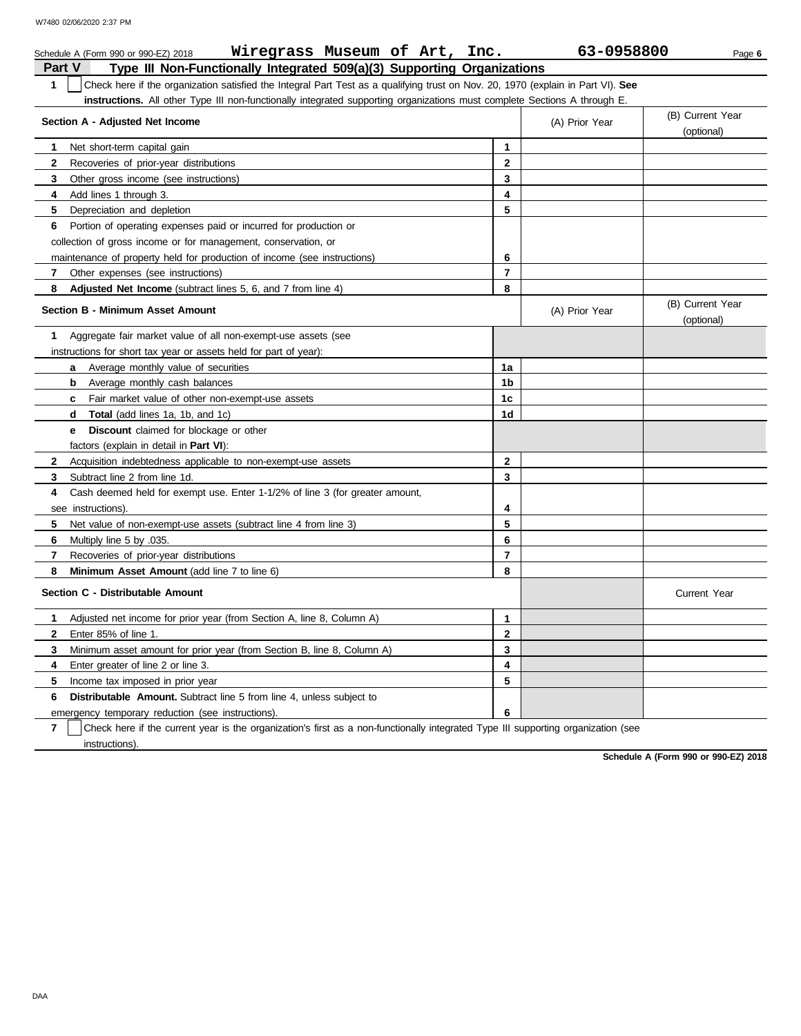| Wiregrass Museum of Art, Inc.<br>Schedule A (Form 990 or 990-EZ) 2018                                                                           |                | 63-0958800     | Page 6                         |
|-------------------------------------------------------------------------------------------------------------------------------------------------|----------------|----------------|--------------------------------|
| <b>Part V</b><br>Type III Non-Functionally Integrated 509(a)(3) Supporting Organizations                                                        |                |                |                                |
| $\mathbf 1$<br>Check here if the organization satisfied the Integral Part Test as a qualifying trust on Nov. 20, 1970 (explain in Part VI). See |                |                |                                |
| instructions. All other Type III non-functionally integrated supporting organizations must complete Sections A through E.                       |                |                |                                |
| Section A - Adjusted Net Income                                                                                                                 |                | (A) Prior Year | (B) Current Year<br>(optional) |
| Net short-term capital gain<br>1.                                                                                                               | $\mathbf{1}$   |                |                                |
| $\mathbf{2}$<br>Recoveries of prior-year distributions                                                                                          | $\overline{2}$ |                |                                |
| 3<br>Other gross income (see instructions)                                                                                                      | 3              |                |                                |
| Add lines 1 through 3.<br>4                                                                                                                     | 4              |                |                                |
| 5<br>Depreciation and depletion                                                                                                                 | 5              |                |                                |
| Portion of operating expenses paid or incurred for production or<br>6                                                                           |                |                |                                |
| collection of gross income or for management, conservation, or                                                                                  |                |                |                                |
| maintenance of property held for production of income (see instructions)                                                                        | 6              |                |                                |
| 7<br>Other expenses (see instructions)                                                                                                          | $\overline{7}$ |                |                                |
| 8<br><b>Adjusted Net Income</b> (subtract lines 5, 6, and 7 from line 4)                                                                        | 8              |                |                                |
| <b>Section B - Minimum Asset Amount</b>                                                                                                         |                | (A) Prior Year | (B) Current Year<br>(optional) |
| Aggregate fair market value of all non-exempt-use assets (see<br>1                                                                              |                |                |                                |
| instructions for short tax year or assets held for part of year):                                                                               |                |                |                                |
| Average monthly value of securities<br>a                                                                                                        | 1a             |                |                                |
| <b>b</b> Average monthly cash balances                                                                                                          | 1b             |                |                                |
| Fair market value of other non-exempt-use assets<br>c.                                                                                          | 1 <sub>c</sub> |                |                                |
| d<br><b>Total</b> (add lines 1a, 1b, and 1c)                                                                                                    | 1d             |                |                                |
| <b>Discount</b> claimed for blockage or other<br>е                                                                                              |                |                |                                |
| factors (explain in detail in <b>Part VI)</b> :                                                                                                 |                |                |                                |
| $\mathbf{2}$<br>Acquisition indebtedness applicable to non-exempt-use assets                                                                    | $\mathbf{2}$   |                |                                |
| 3<br>Subtract line 2 from line 1d.                                                                                                              | 3              |                |                                |
| Cash deemed held for exempt use. Enter 1-1/2% of line 3 (for greater amount,<br>4                                                               |                |                |                                |
| see instructions).                                                                                                                              | 4              |                |                                |
| 5<br>Net value of non-exempt-use assets (subtract line 4 from line 3)                                                                           | 5              |                |                                |
| 6<br>Multiply line 5 by .035.                                                                                                                   | 6              |                |                                |
| $\overline{7}$<br>Recoveries of prior-year distributions                                                                                        | $\overline{7}$ |                |                                |
| 8<br>Minimum Asset Amount (add line 7 to line 6)                                                                                                | 8              |                |                                |
| Section C - Distributable Amount                                                                                                                |                |                | <b>Current Year</b>            |
| Adjusted net income for prior year (from Section A, line 8, Column A)<br>1                                                                      | $\mathbf{1}$   |                |                                |
| $\mathbf{2}$<br>Enter 85% of line 1.                                                                                                            | $\overline{2}$ |                |                                |
| 3<br>Minimum asset amount for prior year (from Section B, line 8, Column A)                                                                     | 3              |                |                                |
| 4<br>Enter greater of line 2 or line 3.                                                                                                         | 4              |                |                                |
| 5<br>Income tax imposed in prior year                                                                                                           | 5              |                |                                |
| <b>Distributable Amount.</b> Subtract line 5 from line 4, unless subject to<br>6                                                                |                |                |                                |
| emergency temporary reduction (see instructions).                                                                                               | 6              |                |                                |

**7** instructions). Check here if the current year is the organization's first as a non-functionally integrated Type III supporting organization (see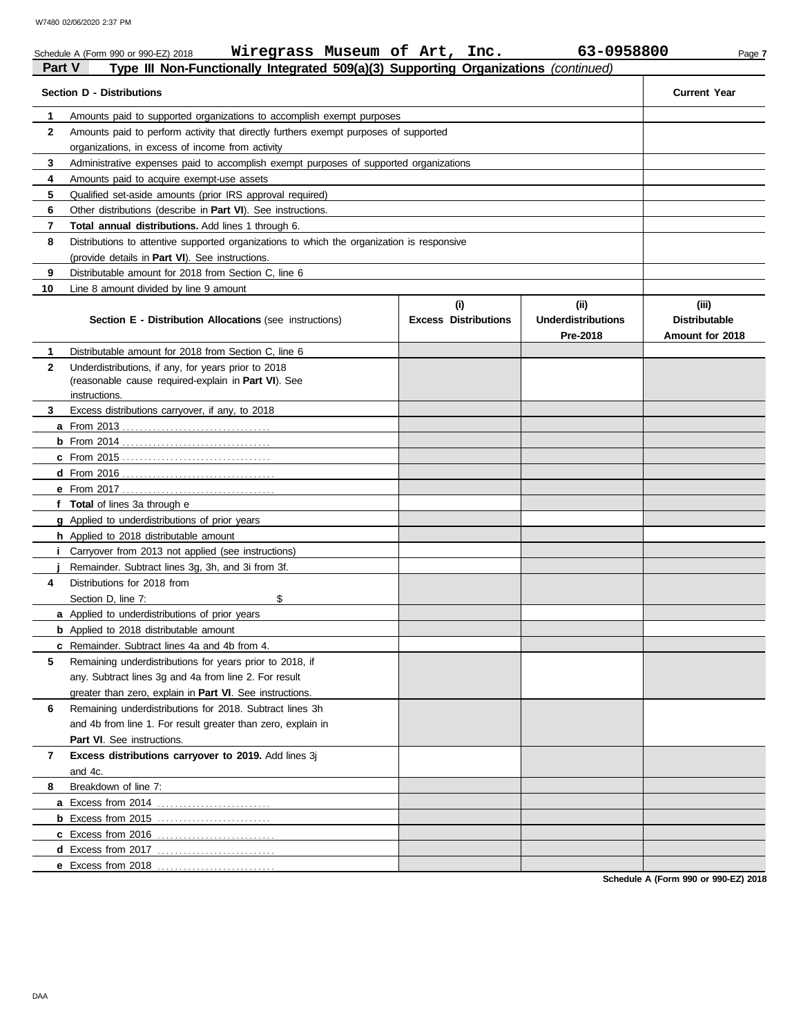|              | Wiregrass Museum of Art, Inc.<br>Schedule A (Form 990 or 990-EZ) 2018                      |                             | 63-0958800                            | Page 7                                  |
|--------------|--------------------------------------------------------------------------------------------|-----------------------------|---------------------------------------|-----------------------------------------|
| Part V       | Type III Non-Functionally Integrated 509(a)(3) Supporting Organizations (continued)        |                             |                                       |                                         |
|              | <b>Section D - Distributions</b>                                                           |                             |                                       | <b>Current Year</b>                     |
| 1            | Amounts paid to supported organizations to accomplish exempt purposes                      |                             |                                       |                                         |
| $\mathbf{2}$ | Amounts paid to perform activity that directly furthers exempt purposes of supported       |                             |                                       |                                         |
|              | organizations, in excess of income from activity                                           |                             |                                       |                                         |
| 3            | Administrative expenses paid to accomplish exempt purposes of supported organizations      |                             |                                       |                                         |
| 4            | Amounts paid to acquire exempt-use assets                                                  |                             |                                       |                                         |
| 5            | Qualified set-aside amounts (prior IRS approval required)                                  |                             |                                       |                                         |
| 6            | Other distributions (describe in <b>Part VI</b> ). See instructions.                       |                             |                                       |                                         |
| 7            | Total annual distributions. Add lines 1 through 6.                                         |                             |                                       |                                         |
| 8            | Distributions to attentive supported organizations to which the organization is responsive |                             |                                       |                                         |
|              | (provide details in Part VI). See instructions.                                            |                             |                                       |                                         |
| 9            | Distributable amount for 2018 from Section C, line 6                                       |                             |                                       |                                         |
| 10           | Line 8 amount divided by line 9 amount                                                     |                             |                                       |                                         |
|              |                                                                                            | (i)                         | (ii)                                  | (iii)                                   |
|              | <b>Section E - Distribution Allocations (see instructions)</b>                             | <b>Excess Distributions</b> | <b>Underdistributions</b><br>Pre-2018 | <b>Distributable</b><br>Amount for 2018 |
| 1            | Distributable amount for 2018 from Section C, line 6                                       |                             |                                       |                                         |
| $\mathbf{2}$ | Underdistributions, if any, for years prior to 2018                                        |                             |                                       |                                         |
|              | (reasonable cause required-explain in Part VI). See                                        |                             |                                       |                                         |
|              | instructions.                                                                              |                             |                                       |                                         |
| 3            | Excess distributions carryover, if any, to 2018                                            |                             |                                       |                                         |
|              |                                                                                            |                             |                                       |                                         |
|              |                                                                                            |                             |                                       |                                         |
|              |                                                                                            |                             |                                       |                                         |
|              |                                                                                            |                             |                                       |                                         |
|              |                                                                                            |                             |                                       |                                         |
|              | f Total of lines 3a through e                                                              |                             |                                       |                                         |
|              | <b>g</b> Applied to underdistributions of prior years                                      |                             |                                       |                                         |
|              | h Applied to 2018 distributable amount                                                     |                             |                                       |                                         |
| Î.           | Carryover from 2013 not applied (see instructions)                                         |                             |                                       |                                         |
|              | Remainder. Subtract lines 3q, 3h, and 3i from 3f.                                          |                             |                                       |                                         |
| 4            | Distributions for 2018 from                                                                |                             |                                       |                                         |
|              | \$<br>Section D, line 7:                                                                   |                             |                                       |                                         |
|              | a Applied to underdistributions of prior years                                             |                             |                                       |                                         |
|              | <b>b</b> Applied to 2018 distributable amount                                              |                             |                                       |                                         |
|              | c Remainder. Subtract lines 4a and 4b from 4.                                              |                             |                                       |                                         |
| 5            | Remaining underdistributions for years prior to 2018, if                                   |                             |                                       |                                         |
|              | any. Subtract lines 3g and 4a from line 2. For result                                      |                             |                                       |                                         |
|              | greater than zero, explain in Part VI. See instructions.                                   |                             |                                       |                                         |
| 6            | Remaining underdistributions for 2018. Subtract lines 3h                                   |                             |                                       |                                         |
|              | and 4b from line 1. For result greater than zero, explain in                               |                             |                                       |                                         |
|              | Part VI. See instructions.                                                                 |                             |                                       |                                         |
| 7            | Excess distributions carryover to 2019. Add lines 3j                                       |                             |                                       |                                         |
|              | and 4c.                                                                                    |                             |                                       |                                         |
| 8            | Breakdown of line 7:                                                                       |                             |                                       |                                         |
|              | <b>a</b> Excess from 2014                                                                  |                             |                                       |                                         |
|              |                                                                                            |                             |                                       |                                         |
|              |                                                                                            |                             |                                       |                                         |
|              |                                                                                            |                             |                                       |                                         |
|              | e Excess from 2018                                                                         |                             |                                       |                                         |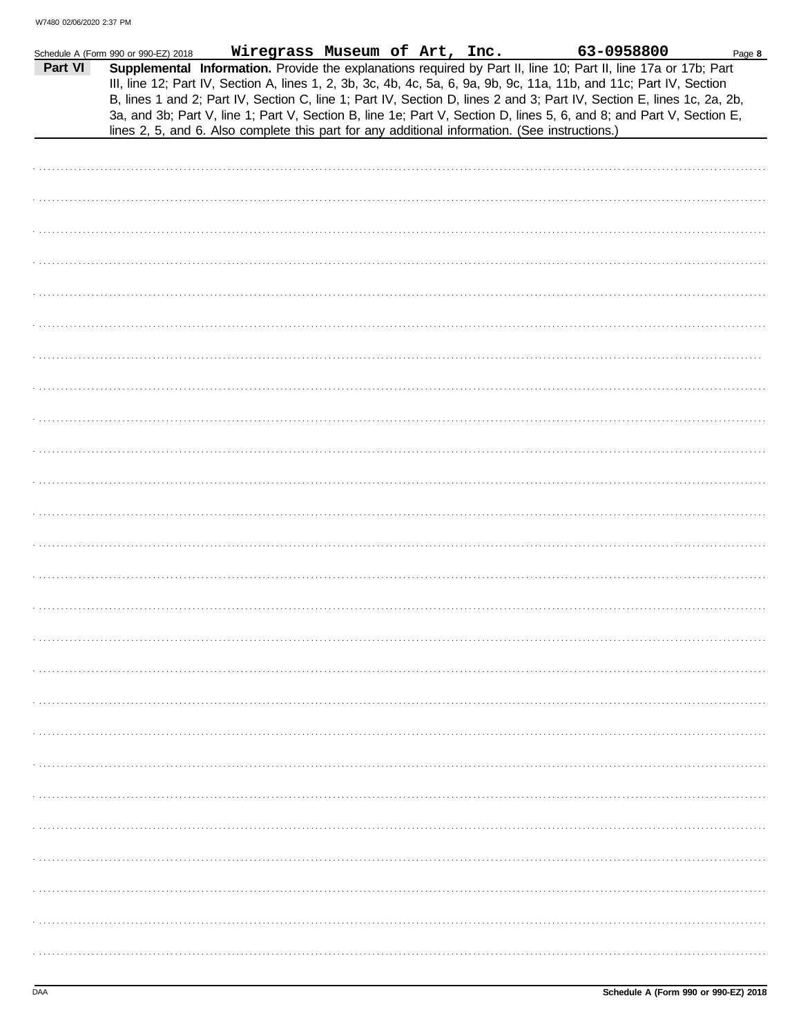|         | Schedule A (Form 990 or 990-EZ) 2018                                                                            | Wiregrass Museum of Art, Inc.                                                                                                                                                                                                                                                                                                                                          |  |  |  | 63-0958800 | Page 8 |
|---------|-----------------------------------------------------------------------------------------------------------------|------------------------------------------------------------------------------------------------------------------------------------------------------------------------------------------------------------------------------------------------------------------------------------------------------------------------------------------------------------------------|--|--|--|------------|--------|
| Part VI | Supplemental Information. Provide the explanations required by Part II, line 10; Part II, line 17a or 17b; Part | III, line 12; Part IV, Section A, lines 1, 2, 3b, 3c, 4b, 4c, 5a, 6, 9a, 9b, 9c, 11a, 11b, and 11c; Part IV, Section<br>B, lines 1 and 2; Part IV, Section C, line 1; Part IV, Section D, lines 2 and 3; Part IV, Section E, lines 1c, 2a, 2b,<br>3a, and 3b; Part V, line 1; Part V, Section B, line 1e; Part V, Section D, lines 5, 6, and 8; and Part V, Section E, |  |  |  |            |        |
|         |                                                                                                                 | lines 2, 5, and 6. Also complete this part for any additional information. (See instructions.)                                                                                                                                                                                                                                                                         |  |  |  |            |        |
|         |                                                                                                                 |                                                                                                                                                                                                                                                                                                                                                                        |  |  |  |            |        |
|         |                                                                                                                 |                                                                                                                                                                                                                                                                                                                                                                        |  |  |  |            |        |
|         |                                                                                                                 |                                                                                                                                                                                                                                                                                                                                                                        |  |  |  |            |        |
|         |                                                                                                                 |                                                                                                                                                                                                                                                                                                                                                                        |  |  |  |            |        |
|         |                                                                                                                 |                                                                                                                                                                                                                                                                                                                                                                        |  |  |  |            |        |
|         |                                                                                                                 |                                                                                                                                                                                                                                                                                                                                                                        |  |  |  |            |        |
|         |                                                                                                                 |                                                                                                                                                                                                                                                                                                                                                                        |  |  |  |            |        |
|         |                                                                                                                 |                                                                                                                                                                                                                                                                                                                                                                        |  |  |  |            |        |
|         |                                                                                                                 |                                                                                                                                                                                                                                                                                                                                                                        |  |  |  |            |        |
|         |                                                                                                                 |                                                                                                                                                                                                                                                                                                                                                                        |  |  |  |            |        |
|         |                                                                                                                 |                                                                                                                                                                                                                                                                                                                                                                        |  |  |  |            |        |
|         |                                                                                                                 |                                                                                                                                                                                                                                                                                                                                                                        |  |  |  |            |        |
|         |                                                                                                                 |                                                                                                                                                                                                                                                                                                                                                                        |  |  |  |            |        |
|         |                                                                                                                 |                                                                                                                                                                                                                                                                                                                                                                        |  |  |  |            |        |
|         |                                                                                                                 |                                                                                                                                                                                                                                                                                                                                                                        |  |  |  |            |        |
|         |                                                                                                                 |                                                                                                                                                                                                                                                                                                                                                                        |  |  |  |            |        |
|         |                                                                                                                 |                                                                                                                                                                                                                                                                                                                                                                        |  |  |  |            |        |
|         |                                                                                                                 |                                                                                                                                                                                                                                                                                                                                                                        |  |  |  |            |        |
|         |                                                                                                                 |                                                                                                                                                                                                                                                                                                                                                                        |  |  |  |            |        |
|         |                                                                                                                 |                                                                                                                                                                                                                                                                                                                                                                        |  |  |  |            |        |
|         |                                                                                                                 |                                                                                                                                                                                                                                                                                                                                                                        |  |  |  |            |        |
|         |                                                                                                                 |                                                                                                                                                                                                                                                                                                                                                                        |  |  |  |            |        |
|         |                                                                                                                 |                                                                                                                                                                                                                                                                                                                                                                        |  |  |  |            |        |
|         |                                                                                                                 |                                                                                                                                                                                                                                                                                                                                                                        |  |  |  |            |        |
|         |                                                                                                                 |                                                                                                                                                                                                                                                                                                                                                                        |  |  |  |            |        |
|         |                                                                                                                 |                                                                                                                                                                                                                                                                                                                                                                        |  |  |  |            |        |
|         |                                                                                                                 |                                                                                                                                                                                                                                                                                                                                                                        |  |  |  |            |        |
|         |                                                                                                                 |                                                                                                                                                                                                                                                                                                                                                                        |  |  |  |            |        |
|         |                                                                                                                 |                                                                                                                                                                                                                                                                                                                                                                        |  |  |  |            |        |
|         |                                                                                                                 |                                                                                                                                                                                                                                                                                                                                                                        |  |  |  |            |        |
|         |                                                                                                                 |                                                                                                                                                                                                                                                                                                                                                                        |  |  |  |            |        |
|         |                                                                                                                 |                                                                                                                                                                                                                                                                                                                                                                        |  |  |  |            |        |
|         |                                                                                                                 |                                                                                                                                                                                                                                                                                                                                                                        |  |  |  |            |        |
|         |                                                                                                                 |                                                                                                                                                                                                                                                                                                                                                                        |  |  |  |            |        |
|         |                                                                                                                 |                                                                                                                                                                                                                                                                                                                                                                        |  |  |  |            |        |
|         |                                                                                                                 |                                                                                                                                                                                                                                                                                                                                                                        |  |  |  |            |        |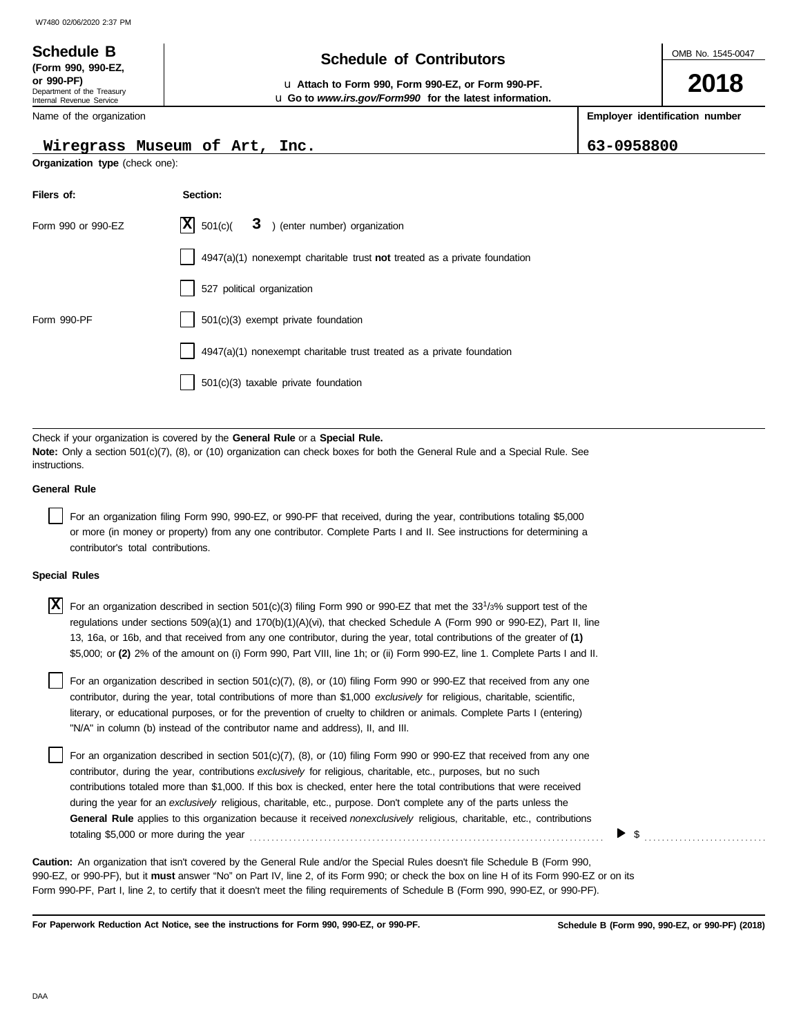### OMB No. 1545-0047 Department of the Treasury Internal Revenue Service Name of the organization **2018 Schedule of Contributors Schedule B (Form 990, 990-EZ, or 990-PF)** u **Attach to Form 990, Form 990-EZ, or Form 990-PF. Employer identification number** u **Go to** *www.irs.gov/Form990* **for the latest information.**

## **Wiregrass Museum of Art, Inc. 63-0958800**

**Organization type** (check one):

| Filers of:         | Section:                                                                    |
|--------------------|-----------------------------------------------------------------------------|
| Form 990 or 990-EZ | $ \mathbf{X} $ 501(c)( 3 ) (enter number) organization                      |
|                    | $4947(a)(1)$ nonexempt charitable trust not treated as a private foundation |
|                    | 527 political organization                                                  |
| Form 990-PF        | 501(c)(3) exempt private foundation                                         |
|                    | 4947(a)(1) nonexempt charitable trust treated as a private foundation       |
|                    |                                                                             |

501(c)(3) taxable private foundation

Check if your organization is covered by the **General Rule** or a **Special Rule. Note:** Only a section 501(c)(7), (8), or (10) organization can check boxes for both the General Rule and a Special Rule. See instructions.

### **General Rule**

For an organization filing Form 990, 990-EZ, or 990-PF that received, during the year, contributions totaling \$5,000 or more (in money or property) from any one contributor. Complete Parts I and II. See instructions for determining a contributor's total contributions.

### **Special Rules**

For an organization described in section 501(c)(3) filing Form 990 or 990-EZ that met the 33<sup>1</sup> /3% support test of the **X** regulations under sections 509(a)(1) and 170(b)(1)(A)(vi), that checked Schedule A (Form 990 or 990-EZ), Part II, line 13, 16a, or 16b, and that received from any one contributor, during the year, total contributions of the greater of **(1)** \$5,000; or **(2)** 2% of the amount on (i) Form 990, Part VIII, line 1h; or (ii) Form 990-EZ, line 1. Complete Parts I and II.

literary, or educational purposes, or for the prevention of cruelty to children or animals. Complete Parts I (entering) For an organization described in section 501(c)(7), (8), or (10) filing Form 990 or 990-EZ that received from any one contributor, during the year, total contributions of more than \$1,000 *exclusively* for religious, charitable, scientific, "N/A" in column (b) instead of the contributor name and address), II, and III.

For an organization described in section 501(c)(7), (8), or (10) filing Form 990 or 990-EZ that received from any one contributor, during the year, contributions *exclusively* for religious, charitable, etc., purposes, but no such contributions totaled more than \$1,000. If this box is checked, enter here the total contributions that were received during the year for an *exclusively* religious, charitable, etc., purpose. Don't complete any of the parts unless the **General Rule** applies to this organization because it received *nonexclusively* religious, charitable, etc., contributions totaling \$5,000 or more during the year . . . . . . . . . . . . . . . . . . . . . . . . . . . . . . . . . . . . . . . . . . . . . . . . . . . . . . . . . . . . . . . . . . . . . . . . . . . . . . . . .

990-EZ, or 990-PF), but it **must** answer "No" on Part IV, line 2, of its Form 990; or check the box on line H of its Form 990-EZ or on its Form 990-PF, Part I, line 2, to certify that it doesn't meet the filing requirements of Schedule B (Form 990, 990-EZ, or 990-PF). **Caution:** An organization that isn't covered by the General Rule and/or the Special Rules doesn't file Schedule B (Form 990,

**For Paperwork Reduction Act Notice, see the instructions for Form 990, 990-EZ, or 990-PF.**

 $\triangleright$  \$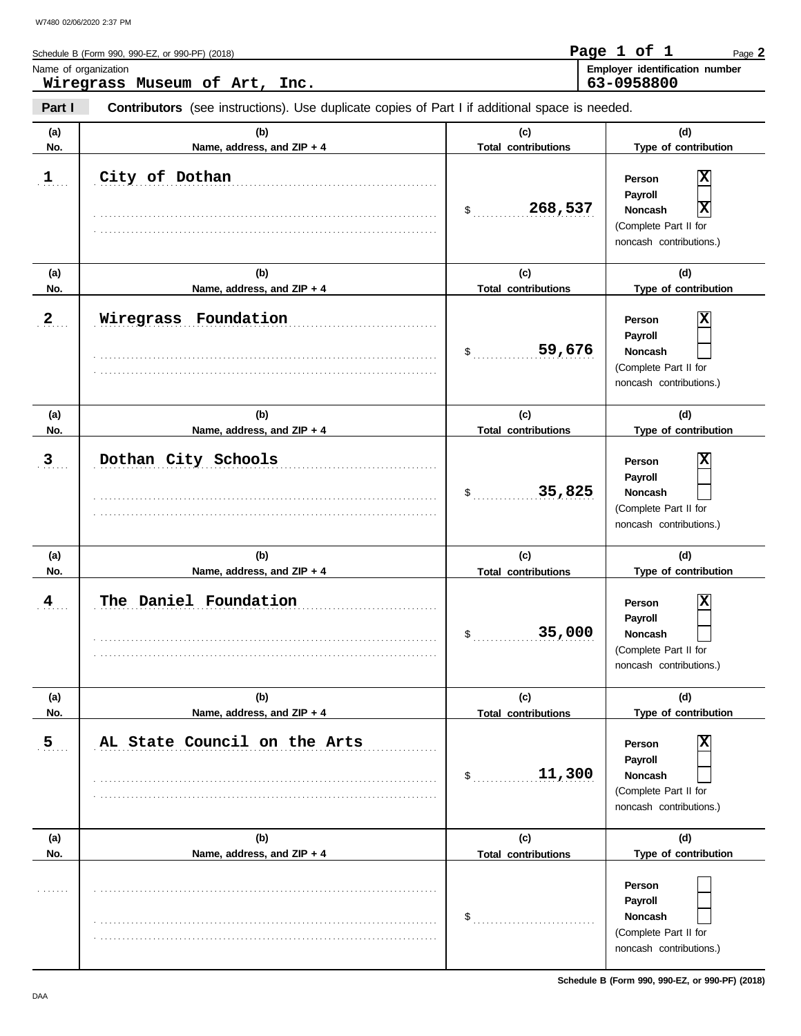|               | W7480 02/06/2020 2:37 PM                                                                                     |                            | Page 1 of 1                                                                                                               |
|---------------|--------------------------------------------------------------------------------------------------------------|----------------------------|---------------------------------------------------------------------------------------------------------------------------|
|               | Schedule B (Form 990, 990-EZ, or 990-PF) (2018)<br>Name of organization<br>Wiregrass Museum of Art, Inc.     |                            | Page 2<br>Employer identification number<br>63-0958800                                                                    |
| Part I<br>(a) | <b>Contributors</b> (see instructions). Use duplicate copies of Part I if additional space is needed.<br>(b) | (c)                        | (d)                                                                                                                       |
| No.           | Name, address, and ZIP + 4                                                                                   | <b>Total contributions</b> | Type of contribution                                                                                                      |
|               | City of Dothan                                                                                               | 268,537<br>\$              | x<br>Person<br>Payroll<br>x<br><b>Noncash</b><br>(Complete Part II for<br>noncash contributions.)                         |
| (a)           | (b)                                                                                                          | (c)                        | (d)                                                                                                                       |
| No.           | Name, address, and ZIP + 4                                                                                   | <b>Total contributions</b> | Type of contribution                                                                                                      |
| 2             | Wiregrass Foundation                                                                                         | 59,676<br>\$               | $\overline{\mathbf{x}}$<br>Person<br><b>Payroll</b><br><b>Noncash</b><br>(Complete Part II for<br>noncash contributions.) |
|               |                                                                                                              |                            |                                                                                                                           |

| (a)<br>No.   | (b)<br>Name, address, and ZIP + 4 | (c)<br><b>Total contributions</b> | (d)<br>Type of contribution                                                                                 |
|--------------|-----------------------------------|-----------------------------------|-------------------------------------------------------------------------------------------------------------|
| $\mathbf{3}$ | Dothan City Schools               | 35,825<br>$\mathsf{\$}$           | $\overline{\mathbf{x}}$<br>Person<br>Payroll<br>Noncash<br>(Complete Part II for<br>noncash contributions.) |
| (a)          | (b)                               | (c)                               | (d)                                                                                                         |
| No.          | Name, address, and ZIP + 4        | <b>Total contributions</b>        | Type of contribution                                                                                        |
| 4            | The Daniel Foundation             | 35,000<br>\$                      | Χ<br>Person<br>Payroll<br><b>Noncash</b><br>(Complete Part II for<br>noncash contributions.)                |
| (a)          | (b)                               | (c)                               | (d)                                                                                                         |
| No.          | Name, address, and ZIP + 4        | <b>Total contributions</b>        | Type of contribution                                                                                        |
| 5            | AL State Council on the Arts      | 11,300<br>$\mathfrak s$           | Person<br>Payroll<br><b>Noncash</b><br>(Complete Part II for<br>noncash contributions.)                     |
| (a)          | (b)                               | (c)                               | (d)                                                                                                         |
| No.          | Name, address, and ZIP + 4        | <b>Total contributions</b>        | Type of contribution                                                                                        |
|              |                                   | \$                                | Person<br>Payroll<br><b>Noncash</b><br>(Complete Part II for<br>noncash contributions.)                     |

**Schedule B (Form 990, 990-EZ, or 990-PF) (2018)**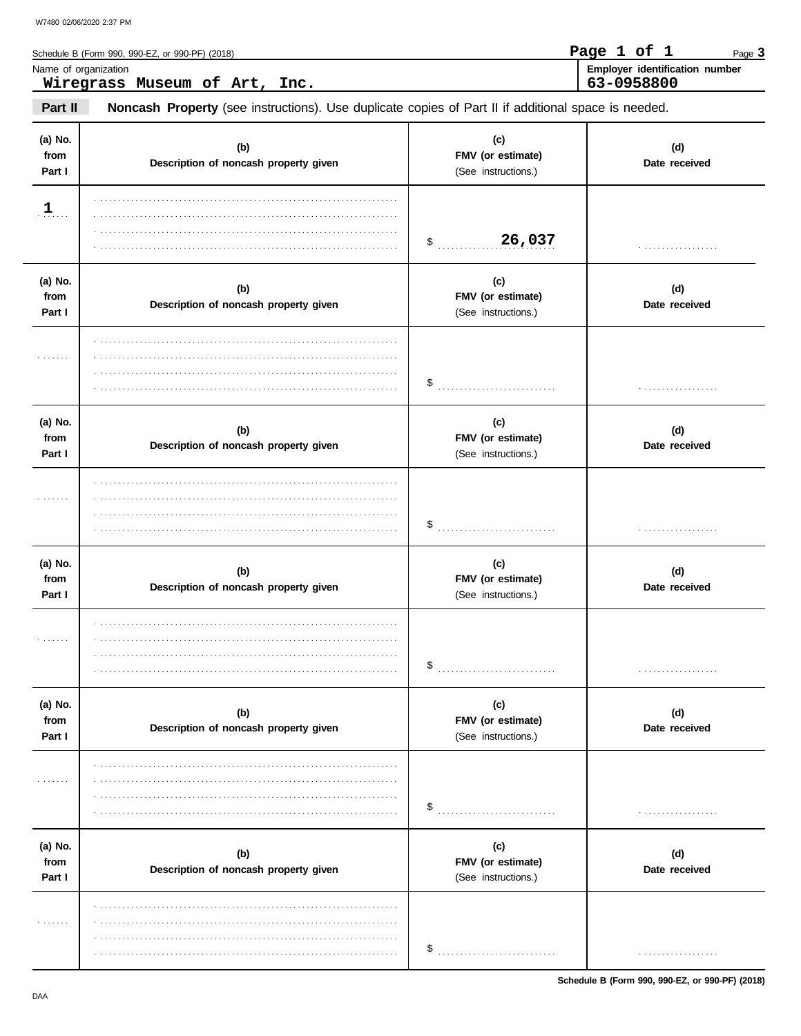| Name of organization      | Schedule B (Form 990, 990-EZ, or 990-PF) (2018)                                                     | Page 1 of 1<br>Page 3<br>Employer identification number |                      |  |
|---------------------------|-----------------------------------------------------------------------------------------------------|---------------------------------------------------------|----------------------|--|
|                           | Wiregrass Museum of Art, Inc.                                                                       |                                                         | 63-0958800           |  |
| Part II                   | Noncash Property (see instructions). Use duplicate copies of Part II if additional space is needed. |                                                         |                      |  |
| (a) No.<br>from<br>Part I | (b)<br>Description of noncash property given                                                        | (c)<br>FMV (or estimate)<br>(See instructions.)         | (d)<br>Date received |  |
| $1$                       |                                                                                                     | 26,037<br>$\$\quad$                                     | .                    |  |
| (a) No.<br>from<br>Part I | (b)<br>Description of noncash property given                                                        | (c)<br>FMV (or estimate)<br>(See instructions.)         | (d)<br>Date received |  |
| .                         |                                                                                                     | \$                                                      | .                    |  |
| (a) No.<br>from<br>Part I | (b)<br>Description of noncash property given                                                        | (c)<br>FMV (or estimate)<br>(See instructions.)         | (d)<br>Date received |  |
| .                         |                                                                                                     | \$                                                      | .                    |  |
| (a) No.<br>from<br>Part I | (b)<br>Description of noncash property given                                                        | (c)<br>FMV (or estimate)<br>(See instructions.)         | (d)<br>Date received |  |
| .                         |                                                                                                     | \$                                                      | .                    |  |
| (a) No.<br>from<br>Part I | (b)<br>Description of noncash property given                                                        | (c)<br>FMV (or estimate)<br>(See instructions.)         | (d)<br>Date received |  |
| 1.1.1.1.1                 |                                                                                                     | \$                                                      | .                    |  |
| (a) No.<br>from<br>Part I | (b)<br>Description of noncash property given                                                        | (c)<br>FMV (or estimate)<br>(See instructions.)         | (d)<br>Date received |  |
| 1.1.1.1.1.1               |                                                                                                     | \$                                                      | .                    |  |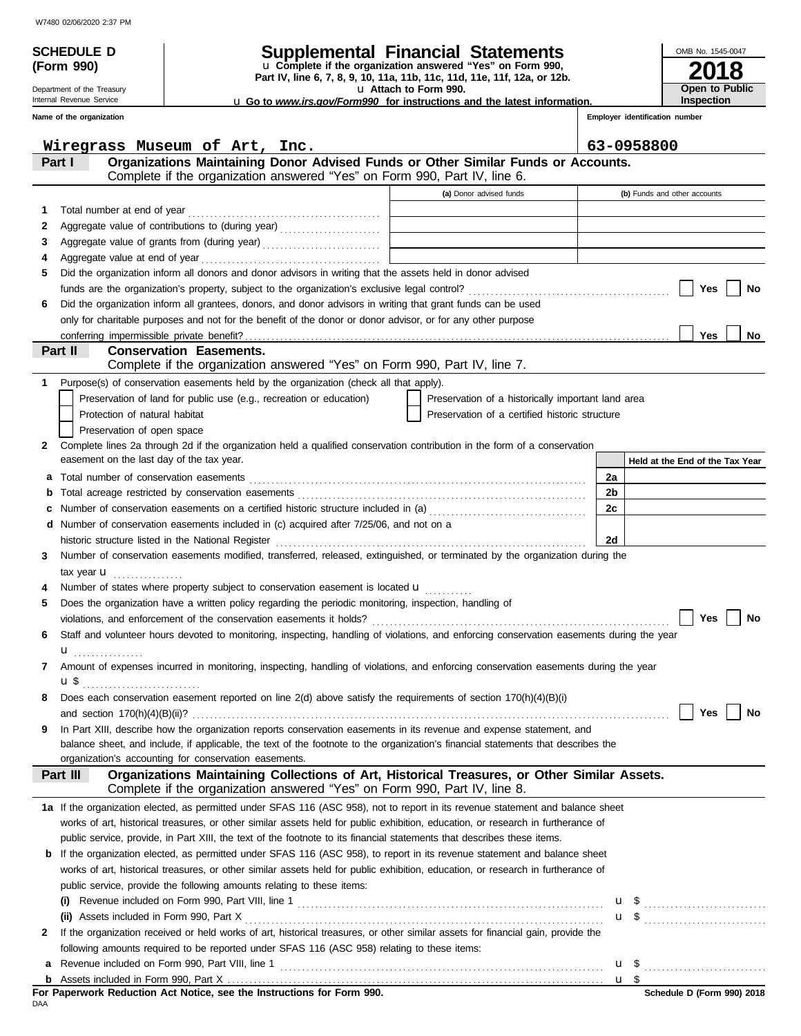### u **Attach to Form 990. Conservation Easements.**  Number of states where property subject to conservation easement is located  $\mathbf{u}$  ........... **2018 SCHEDULE D Supplemental Financial Statements Part I Organizations Maintaining Donor Advised Funds or Other Similar Funds or Accounts. (Form 990) Part IV, line 6, 7, 8, 9, 10, 11a, 11b, 11c, 11d, 11e, 11f, 12a, or 12b. Employer identification number** OMB No. 1545-0047 Department of the Treasury Internal Revenue Service **Name of the organization** u **Complete if the organization answered "Yes" on Form 990, (a)** Donor advised funds **(b)** Funds and other accounts **a b** Total acreage restricted by conservation easements . . . . . . . . . . . . . . . . . . . . . . . . . . . . . . . . . . . . . . . . . . . . . . . . . . . . . . . . . . . . . . . . . . **c** Number of conservation easements on a certified historic structure included in (a) . . . . . . . . . . . . . . . . . . . . . . . . . . . . . . . . . . . . **d** Number of conservation easements included in (c) acquired after 7/25/06, and not on a Total number of conservation easements . . . . . . . . . . . . . . . . . . . . . . . . . . . . . . . . . . . . . . . . . . . . . . . . . . . . . . . . . . . . . . . . . . . . . . . . . . . . . **Held at the End of the Tax Year** Complete if the organization answered "Yes" on Form 990, Part IV, line 6. **1 2 3 4 5 6** Total number at end of year . . . . . . . . . . . . . . . . . . . . . . . . . . . . . . . . . . . . . . . . . . . . Aggregate value of contributions to (during year) ........................ Aggregate value of grants from (during year) ............................. Aggregate value at end of year . . . . . . . . . . . . . . . . . . . . . . . . . . . . . . . . . . . . . . . . . Did the organization inform all donors and donor advisors in writing that the assets held in donor advised funds are the organization's property, subject to the organization's exclusive legal control? . . . . . . . . . . . . . . . . . . . . . . . . . . . . . . . . . . . . . . . . . . . . . . Did the organization inform all grantees, donors, and donor advisors in writing that grant funds can be used only for charitable purposes and not for the benefit of the donor or donor advisor, or for any other purpose **Yes Yes No No Part II** Complete lines 2a through 2d if the organization held a qualified conservation contribution in the form of a conservation Purpose(s) of conservation easements held by the organization (check all that apply). **2 1** easement on the last day of the tax year. Preservation of land for public use (e.g., recreation or education) Protection of natural habitat Preservation of open space Preservation of a certified historic structure Preservation of a historically important land area **Open to Public Inspection** tax year  $\mathbf u$  . . . . . . . . . . . . . . . **3** Number of conservation easements modified, transferred, released, extinguished, or terminated by the organization during the **4 5** Does the organization have a written policy regarding the periodic monitoring, inspection, handling of violations, and enforcement of the conservation easements it holds? . . . . . . . . . . . . . . . . . . . . . . . . . . . . . . . . . . . . . . . . . . . . . . . . . . . . . . . . . . . . . . . . . . . . **Yes No 6** Staff and volunteer hours devoted to monitoring, inspecting, handling of violations, and enforcing conservation easements during the year conferring impermissible private benefit? **2a 2b 2c 2d**  $\mathbf{u}$  . . . . . . . . . . . . . . . . . historic structure listed in the National Register . . . . . . . . . . . . . . . . . . . . . . . . . . . . . . . . . . . . . . . . . . . . . . . . . . . . . . . . . . . . . . . . . . . . . . . u **Go to** *www.irs.gov/Form990* **for instructions and the latest information.** Complete if the organization answered "Yes" on Form 990, Part IV, line 7. **Wiregrass Museum of Art, Inc. 63-0958800**

| .                                                                                                                                   |  |
|-------------------------------------------------------------------------------------------------------------------------------------|--|
| Amount of expenses incurred in monitoring, inspecting, handling of violations, and enforcing conservation easements during the year |  |
| u s                                                                                                                                 |  |
| 8 Does each conservation easement reported on line 2(d) above satisfy the requirements of section 170(h)(4)(B)(i)                   |  |

|                                                                                                                                   | Yes No |  |
|-----------------------------------------------------------------------------------------------------------------------------------|--------|--|
| 9 In Part XIII, describe how the organization reports conservation easements in its revenue and expense statement, and            |        |  |
| balance sheet, and include, if applicable, the text of the footnote to the organization's financial statements that describes the |        |  |

organization's accounting for conservation easements.

# Complete if the organization answered "Yes" on Form 990, Part IV, line 8. **Part III Organizations Maintaining Collections of Art, Historical Treasures, or Other Similar Assets.**

| 1a If the organization elected, as permitted under SFAS 116 (ASC 958), not to report in its revenue statement and balance sheet                                                 |      |  |  |  |
|---------------------------------------------------------------------------------------------------------------------------------------------------------------------------------|------|--|--|--|
| works of art, historical treasures, or other similar assets held for public exhibition, education, or research in furtherance of                                                |      |  |  |  |
| public service, provide, in Part XIII, the text of the footnote to its financial statements that describes these items.                                                         |      |  |  |  |
| <b>b</b> If the organization elected, as permitted under SFAS 116 (ASC 958), to report in its revenue statement and balance sheet                                               |      |  |  |  |
| works of art, historical treasures, or other similar assets held for public exhibition, education, or research in furtherance of                                                |      |  |  |  |
| public service, provide the following amounts relating to these items:                                                                                                          |      |  |  |  |
| (i) Revenue included on Form 990, Part VIII, line 1 $\ldots$ $\ldots$ $\ldots$ $\ldots$ $\ldots$ $\ldots$ $\ldots$ $\ldots$ $\ldots$ $\ldots$ $\ldots$ $\ldots$                 |      |  |  |  |
| (ii) Assets included in Form 990, Part X $\ldots$ $\ldots$ $\ldots$ $\ldots$ $\ldots$ $\ldots$ $\ldots$ $\ldots$ $\ldots$ $\ldots$ $\ldots$ $\ldots$ $\ldots$ $\ldots$ $\ldots$ |      |  |  |  |
| 2 If the organization received or held works of art, historical treasures, or other similar assets for financial gain, provide the                                              |      |  |  |  |
| following amounts required to be reported under SFAS 116 (ASC 958) relating to these items:                                                                                     |      |  |  |  |
|                                                                                                                                                                                 | u \$ |  |  |  |
|                                                                                                                                                                                 |      |  |  |  |

| For Paperwork Reduction Act Notice, see the Instructions for Form 990. |  |  |  |
|------------------------------------------------------------------------|--|--|--|
| DAA                                                                    |  |  |  |

D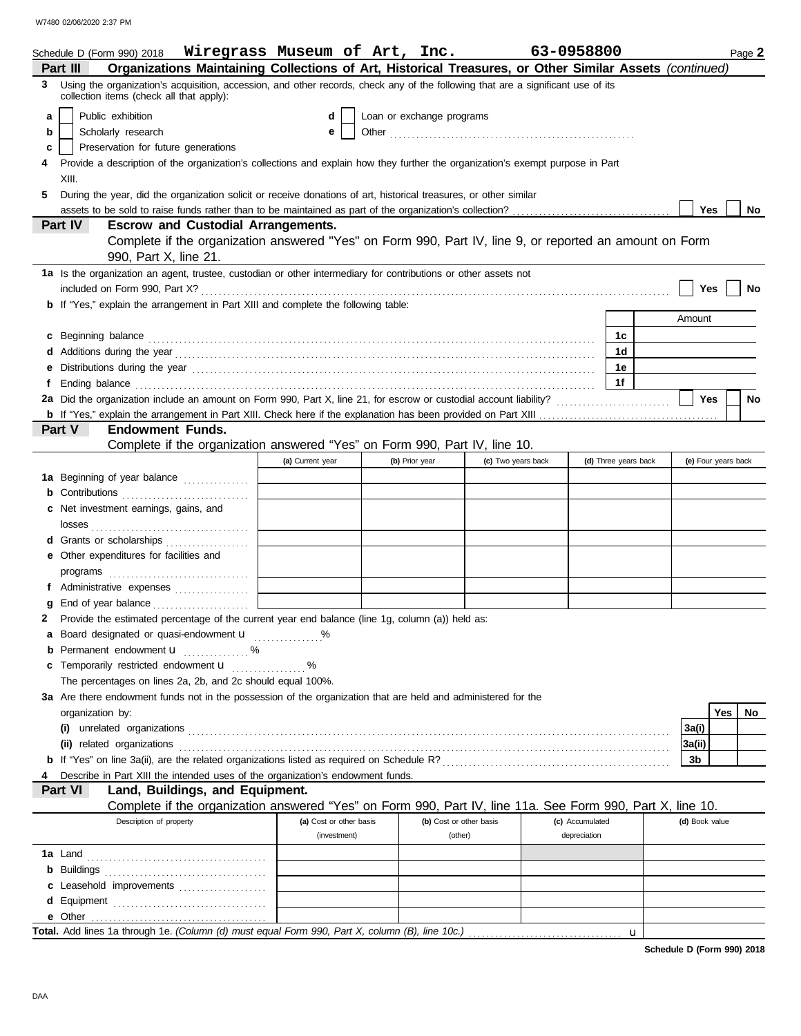|   | Schedule D (Form 990) 2018  Wiregrass Museum of Art, Inc.                                                                                                                                                                            |                         |                           |                         | 63-0958800      |                      |                     |     | Page 2    |
|---|--------------------------------------------------------------------------------------------------------------------------------------------------------------------------------------------------------------------------------------|-------------------------|---------------------------|-------------------------|-----------------|----------------------|---------------------|-----|-----------|
|   | Organizations Maintaining Collections of Art, Historical Treasures, or Other Similar Assets (continued)<br>Part III                                                                                                                  |                         |                           |                         |                 |                      |                     |     |           |
|   | 3 Using the organization's acquisition, accession, and other records, check any of the following that are a significant use of its<br>collection items (check all that apply):                                                       |                         |                           |                         |                 |                      |                     |     |           |
| a | Public exhibition                                                                                                                                                                                                                    | d                       | Loan or exchange programs |                         |                 |                      |                     |     |           |
| b | Scholarly research                                                                                                                                                                                                                   | е                       |                           |                         |                 |                      |                     |     |           |
| c | Preservation for future generations                                                                                                                                                                                                  |                         |                           |                         |                 |                      |                     |     |           |
|   | Provide a description of the organization's collections and explain how they further the organization's exempt purpose in Part                                                                                                       |                         |                           |                         |                 |                      |                     |     |           |
|   | XIII.                                                                                                                                                                                                                                |                         |                           |                         |                 |                      |                     |     |           |
| 5 | During the year, did the organization solicit or receive donations of art, historical treasures, or other similar                                                                                                                    |                         |                           |                         |                 |                      |                     |     |           |
|   |                                                                                                                                                                                                                                      |                         |                           |                         |                 |                      | Yes                 |     | No        |
|   | <b>Part IV</b><br><b>Escrow and Custodial Arrangements.</b>                                                                                                                                                                          |                         |                           |                         |                 |                      |                     |     |           |
|   | Complete if the organization answered "Yes" on Form 990, Part IV, line 9, or reported an amount on Form                                                                                                                              |                         |                           |                         |                 |                      |                     |     |           |
|   | 990, Part X, line 21.                                                                                                                                                                                                                |                         |                           |                         |                 |                      |                     |     |           |
|   | 1a Is the organization an agent, trustee, custodian or other intermediary for contributions or other assets not                                                                                                                      |                         |                           |                         |                 |                      |                     |     |           |
|   |                                                                                                                                                                                                                                      |                         |                           |                         |                 |                      | Yes                 |     | No        |
|   | b If "Yes," explain the arrangement in Part XIII and complete the following table:                                                                                                                                                   |                         |                           |                         |                 |                      |                     |     |           |
|   |                                                                                                                                                                                                                                      |                         |                           |                         |                 |                      | Amount              |     |           |
|   | c Beginning balance <b>contract the contract of the contract of the contract of the contract of the contract of the contract of the contract of the contract of the contract of the contract of the contract of the contract of </b> |                         |                           |                         |                 | 1c                   |                     |     |           |
|   |                                                                                                                                                                                                                                      |                         |                           |                         |                 | 1d                   |                     |     |           |
| е |                                                                                                                                                                                                                                      |                         |                           |                         |                 | 1e                   |                     |     |           |
| f | Ending balance <b>construction and the construction of the construction</b> of the construction of the construction of the construction of the construction of the construction of the construction of the construction of the cons  |                         |                           |                         |                 | 1f                   |                     |     |           |
|   |                                                                                                                                                                                                                                      |                         |                           |                         |                 |                      | Yes                 |     | <b>No</b> |
|   |                                                                                                                                                                                                                                      |                         |                           |                         |                 |                      |                     |     |           |
|   | <b>Endowment Funds.</b><br><b>Part V</b>                                                                                                                                                                                             |                         |                           |                         |                 |                      |                     |     |           |
|   | Complete if the organization answered "Yes" on Form 990, Part IV, line 10.                                                                                                                                                           |                         |                           |                         |                 |                      |                     |     |           |
|   |                                                                                                                                                                                                                                      | (a) Current year        | (b) Prior year            | (c) Two years back      |                 | (d) Three years back | (e) Four years back |     |           |
|   | 1a Beginning of year balance                                                                                                                                                                                                         |                         |                           |                         |                 |                      |                     |     |           |
|   | <b>b</b> Contributions                                                                                                                                                                                                               |                         |                           |                         |                 |                      |                     |     |           |
|   | c Net investment earnings, gains, and                                                                                                                                                                                                |                         |                           |                         |                 |                      |                     |     |           |
|   |                                                                                                                                                                                                                                      |                         |                           |                         |                 |                      |                     |     |           |
|   | d Grants or scholarships                                                                                                                                                                                                             |                         |                           |                         |                 |                      |                     |     |           |
|   | e Other expenditures for facilities and                                                                                                                                                                                              |                         |                           |                         |                 |                      |                     |     |           |
|   | programs $\Box$                                                                                                                                                                                                                      |                         |                           |                         |                 |                      |                     |     |           |
|   | f Administrative expenses                                                                                                                                                                                                            |                         |                           |                         |                 |                      |                     |     |           |
|   |                                                                                                                                                                                                                                      |                         |                           |                         |                 |                      |                     |     |           |
| 2 | Provide the estimated percentage of the current year end balance (line 1g, column (a)) held as:                                                                                                                                      |                         |                           |                         |                 |                      |                     |     |           |
|   | a Board designated or quasi-endowment u                                                                                                                                                                                              |                         |                           |                         |                 |                      |                     |     |           |
|   | <b>b</b> Permanent endowment <b>u</b> %                                                                                                                                                                                              |                         |                           |                         |                 |                      |                     |     |           |
|   | c Temporarily restricted endowment <b>u</b> %                                                                                                                                                                                        |                         |                           |                         |                 |                      |                     |     |           |
|   | The percentages on lines 2a, 2b, and 2c should equal 100%.                                                                                                                                                                           |                         |                           |                         |                 |                      |                     |     |           |
|   | 3a Are there endowment funds not in the possession of the organization that are held and administered for the                                                                                                                        |                         |                           |                         |                 |                      |                     |     |           |
|   | organization by:                                                                                                                                                                                                                     |                         |                           |                         |                 |                      |                     | Yes | No        |
|   |                                                                                                                                                                                                                                      |                         |                           |                         |                 |                      | 3a(i)               |     |           |
|   |                                                                                                                                                                                                                                      |                         |                           |                         |                 |                      | 3a(ii)              |     |           |
|   |                                                                                                                                                                                                                                      |                         |                           |                         |                 |                      | 3b                  |     |           |
|   | Describe in Part XIII the intended uses of the organization's endowment funds.                                                                                                                                                       |                         |                           |                         |                 |                      |                     |     |           |
|   | Land, Buildings, and Equipment.<br>Part VI                                                                                                                                                                                           |                         |                           |                         |                 |                      |                     |     |           |
|   | Complete if the organization answered "Yes" on Form 990, Part IV, line 11a. See Form 990, Part X, line 10.                                                                                                                           |                         |                           |                         |                 |                      |                     |     |           |
|   | Description of property                                                                                                                                                                                                              | (a) Cost or other basis |                           | (b) Cost or other basis | (c) Accumulated |                      | (d) Book value      |     |           |
|   |                                                                                                                                                                                                                                      | (investment)            |                           | (other)                 | depreciation    |                      |                     |     |           |
|   |                                                                                                                                                                                                                                      |                         |                           |                         |                 |                      |                     |     |           |
| b |                                                                                                                                                                                                                                      |                         |                           |                         |                 |                      |                     |     |           |
|   | c Leasehold improvements                                                                                                                                                                                                             |                         |                           |                         |                 |                      |                     |     |           |
| d |                                                                                                                                                                                                                                      |                         |                           |                         |                 |                      |                     |     |           |
|   |                                                                                                                                                                                                                                      |                         |                           |                         |                 |                      |                     |     |           |
|   | Total. Add lines 1a through 1e. (Column (d) must equal Form 990, Part X, column (B), line 10c.)                                                                                                                                      |                         |                           |                         |                 | u                    |                     |     |           |

**Schedule D (Form 990) 2018**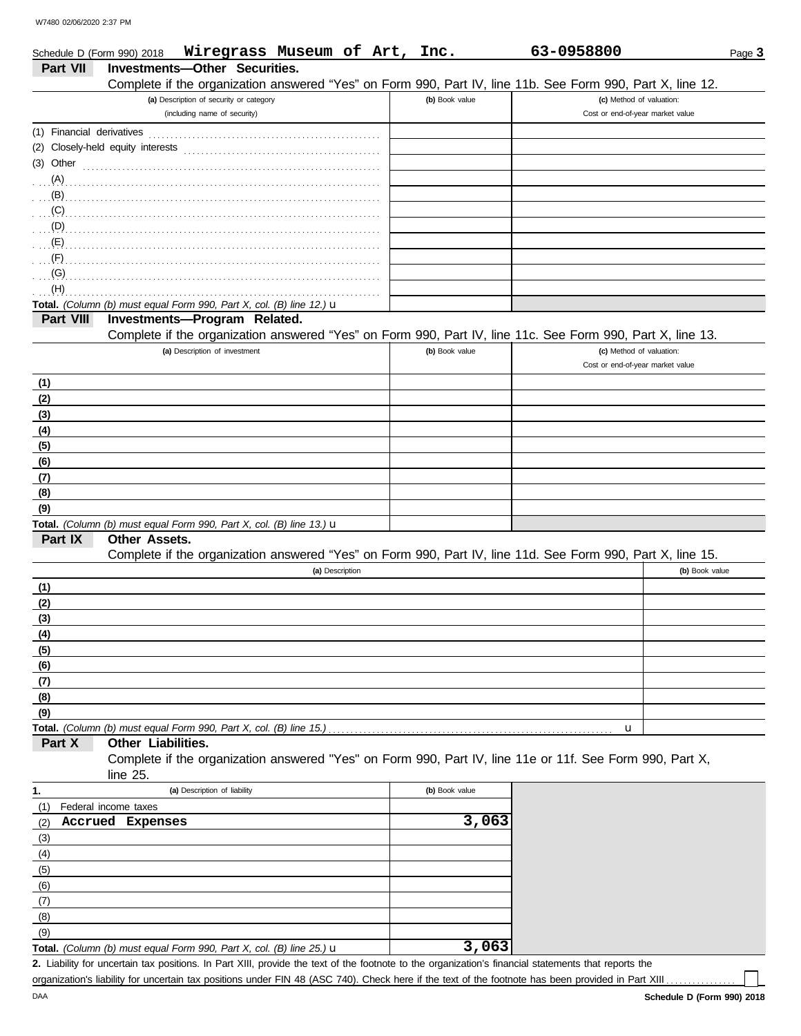| Schedule D (Form 990) 2018 | Wiregrass Museum of Art, Inc.                                                                                                                                                                                                     |                | 63-0958800                       |                | Page 3 |
|----------------------------|-----------------------------------------------------------------------------------------------------------------------------------------------------------------------------------------------------------------------------------|----------------|----------------------------------|----------------|--------|
| Part VII                   | Investments-Other Securities.                                                                                                                                                                                                     |                |                                  |                |        |
|                            | Complete if the organization answered "Yes" on Form 990, Part IV, line 11b. See Form 990, Part X, line 12.                                                                                                                        |                |                                  |                |        |
|                            | (a) Description of security or category                                                                                                                                                                                           | (b) Book value | (c) Method of valuation:         |                |        |
|                            | (including name of security)                                                                                                                                                                                                      |                | Cost or end-of-year market value |                |        |
|                            |                                                                                                                                                                                                                                   |                |                                  |                |        |
|                            | (2) Closely-held equity interests                                                                                                                                                                                                 |                |                                  |                |        |
| $(3)$ Other                |                                                                                                                                                                                                                                   |                |                                  |                |        |
|                            |                                                                                                                                                                                                                                   |                |                                  |                |        |
|                            |                                                                                                                                                                                                                                   |                |                                  |                |        |
|                            |                                                                                                                                                                                                                                   |                |                                  |                |        |
|                            | (C)                                                                                                                                                                                                                               |                |                                  |                |        |
|                            |                                                                                                                                                                                                                                   |                |                                  |                |        |
|                            | $\mathbf{E}$ (E) and the contract of the contract of the contract of the contract of the contract of the contract of the contract of the contract of the contract of the contract of the contract of the contract of the contract |                |                                  |                |        |
|                            |                                                                                                                                                                                                                                   |                |                                  |                |        |
|                            |                                                                                                                                                                                                                                   |                |                                  |                |        |
| (H)                        |                                                                                                                                                                                                                                   |                |                                  |                |        |
|                            | Total. (Column (b) must equal Form 990, Part X, col. (B) line 12.) u                                                                                                                                                              |                |                                  |                |        |
| Part VIII                  | Investments-Program Related.                                                                                                                                                                                                      |                |                                  |                |        |
|                            | Complete if the organization answered "Yes" on Form 990, Part IV, line 11c. See Form 990, Part X, line 13.                                                                                                                        |                |                                  |                |        |
|                            | (a) Description of investment                                                                                                                                                                                                     | (b) Book value | (c) Method of valuation:         |                |        |
|                            |                                                                                                                                                                                                                                   |                | Cost or end-of-year market value |                |        |
| (1)                        |                                                                                                                                                                                                                                   |                |                                  |                |        |
| (2)                        |                                                                                                                                                                                                                                   |                |                                  |                |        |
| (3)                        |                                                                                                                                                                                                                                   |                |                                  |                |        |
| (4)                        |                                                                                                                                                                                                                                   |                |                                  |                |        |
| (5)                        |                                                                                                                                                                                                                                   |                |                                  |                |        |
| (6)                        |                                                                                                                                                                                                                                   |                |                                  |                |        |
| (7)                        |                                                                                                                                                                                                                                   |                |                                  |                |        |
| (8)                        |                                                                                                                                                                                                                                   |                |                                  |                |        |
| (9)                        |                                                                                                                                                                                                                                   |                |                                  |                |        |
|                            | Total. (Column (b) must equal Form 990, Part X, col. (B) line 13.) u                                                                                                                                                              |                |                                  |                |        |
| Part IX                    | Other Assets.                                                                                                                                                                                                                     |                |                                  |                |        |
|                            | Complete if the organization answered "Yes" on Form 990, Part IV, line 11d. See Form 990, Part X, line 15.                                                                                                                        |                |                                  |                |        |
|                            | (a) Description                                                                                                                                                                                                                   |                |                                  | (b) Book value |        |
| (1)                        |                                                                                                                                                                                                                                   |                |                                  |                |        |
| (2)                        |                                                                                                                                                                                                                                   |                |                                  |                |        |
| (3)                        |                                                                                                                                                                                                                                   |                |                                  |                |        |
| (4)                        |                                                                                                                                                                                                                                   |                |                                  |                |        |
| (5)                        |                                                                                                                                                                                                                                   |                |                                  |                |        |
| (6)                        |                                                                                                                                                                                                                                   |                |                                  |                |        |
| (7)                        |                                                                                                                                                                                                                                   |                |                                  |                |        |
| (8)                        |                                                                                                                                                                                                                                   |                |                                  |                |        |
| (9)                        |                                                                                                                                                                                                                                   |                |                                  |                |        |
|                            | Total. (Column (b) must equal Form 990, Part X, col. (B) line 15.)                                                                                                                                                                |                | u                                |                |        |
| Part X                     | Other Liabilities.                                                                                                                                                                                                                |                |                                  |                |        |
|                            | Complete if the organization answered "Yes" on Form 990, Part IV, line 11e or 11f. See Form 990, Part X,                                                                                                                          |                |                                  |                |        |
|                            | line 25.                                                                                                                                                                                                                          |                |                                  |                |        |
| 1.                         | (a) Description of liability                                                                                                                                                                                                      | (b) Book value |                                  |                |        |
| (1)                        | Federal income taxes                                                                                                                                                                                                              |                |                                  |                |        |
| (2)                        | Accrued Expenses                                                                                                                                                                                                                  | 3,063          |                                  |                |        |
| (3)                        |                                                                                                                                                                                                                                   |                |                                  |                |        |
| (4)                        |                                                                                                                                                                                                                                   |                |                                  |                |        |
| (5)                        |                                                                                                                                                                                                                                   |                |                                  |                |        |
| (6)                        |                                                                                                                                                                                                                                   |                |                                  |                |        |
| (7)                        |                                                                                                                                                                                                                                   |                |                                  |                |        |
| (8)                        |                                                                                                                                                                                                                                   |                |                                  |                |        |
| (9)                        |                                                                                                                                                                                                                                   |                |                                  |                |        |
|                            |                                                                                                                                                                                                                                   |                |                                  |                |        |

**Total.** *(Column (b) must equal Form 990, Part X, col. (B) line 25.)* u **3,063**

Liability for uncertain tax positions. In Part XIII, provide the text of the footnote to the organization's financial statements that reports the **2.**

organization's liability for uncertain tax positions under FIN 48 (ASC 740). Check here if the text of the footnote has been provided in Part XIII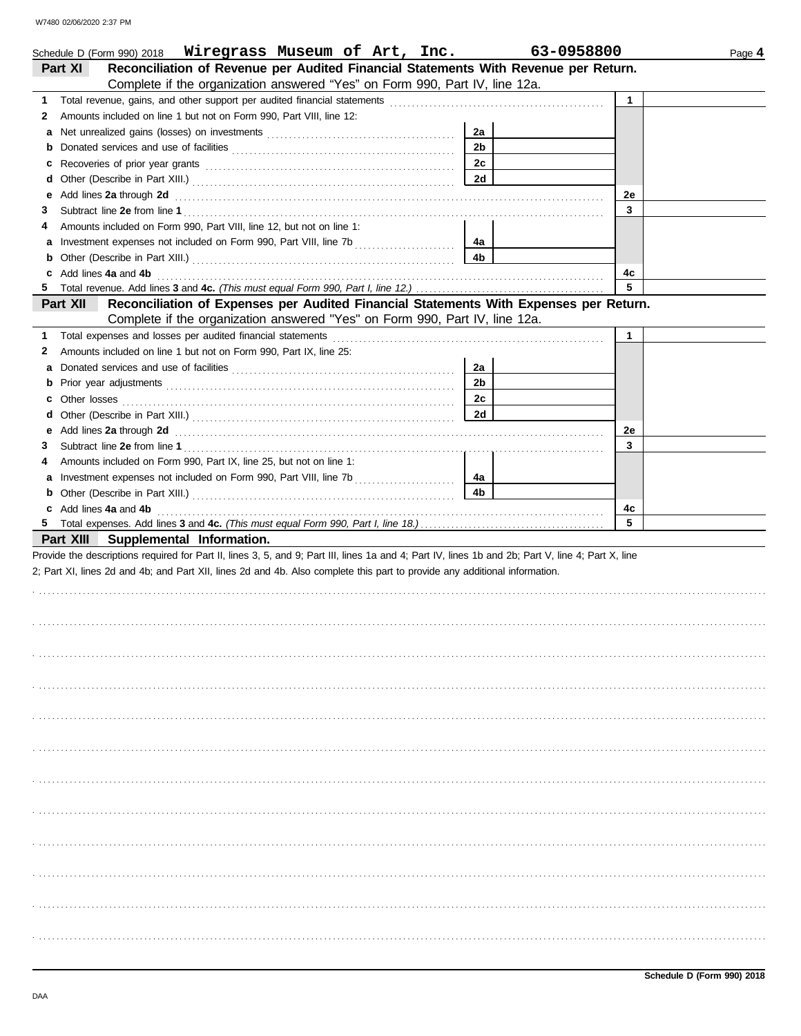|    | Schedule D (Form 990) 2018  Wiregrass Museum of Art, Inc.                                                                                                                                                                            |                | 63-0958800   | Page 4 |
|----|--------------------------------------------------------------------------------------------------------------------------------------------------------------------------------------------------------------------------------------|----------------|--------------|--------|
|    | Reconciliation of Revenue per Audited Financial Statements With Revenue per Return.<br>Part XI                                                                                                                                       |                |              |        |
|    | Complete if the organization answered "Yes" on Form 990, Part IV, line 12a.                                                                                                                                                          |                |              |        |
| 1  |                                                                                                                                                                                                                                      |                | $\mathbf{1}$ |        |
| 2  | Amounts included on line 1 but not on Form 990, Part VIII, line 12:                                                                                                                                                                  |                |              |        |
| a  |                                                                                                                                                                                                                                      | 2a             |              |        |
|    |                                                                                                                                                                                                                                      | 2 <sub>b</sub> |              |        |
| c  |                                                                                                                                                                                                                                      | 2c             |              |        |
| d  |                                                                                                                                                                                                                                      | 2d             |              |        |
| е  | Add lines 2a through 2d <b>contained a contained a contained a contained a contained a contained a contained a contained a contained a contained a contained a contained a contained a contained a contained a contained a conta</b> |                | 2e           |        |
| 3  |                                                                                                                                                                                                                                      |                | 3            |        |
| 4  | Amounts included on Form 990, Part VIII, line 12, but not on line 1:                                                                                                                                                                 |                |              |        |
| а  |                                                                                                                                                                                                                                      | 4a             |              |        |
|    |                                                                                                                                                                                                                                      | 4b             |              |        |
|    | c Add lines 4a and 4b                                                                                                                                                                                                                |                | 4c           |        |
| 5  |                                                                                                                                                                                                                                      |                | 5            |        |
|    | Reconciliation of Expenses per Audited Financial Statements With Expenses per Return.<br>Part XII                                                                                                                                    |                |              |        |
|    | Complete if the organization answered "Yes" on Form 990, Part IV, line 12a.                                                                                                                                                          |                |              |        |
| 1  | Total expenses and losses per audited financial statements                                                                                                                                                                           |                | 1            |        |
| 2  | Amounts included on line 1 but not on Form 990, Part IX, line 25:                                                                                                                                                                    |                |              |        |
| a  |                                                                                                                                                                                                                                      | 2a             |              |        |
|    |                                                                                                                                                                                                                                      | 2 <sub>b</sub> |              |        |
|    | <b>c</b> Other losses                                                                                                                                                                                                                | 2c             |              |        |
| d  |                                                                                                                                                                                                                                      | 2d             |              |        |
| е  | Add lines 2a through 2d <b>contained a contained a contained a contained a contained a contained a contained a contained a contained a contained a contained a contained a contained a contained a contained a contained a conta</b> |                | 2e           |        |
| 3  |                                                                                                                                                                                                                                      |                | 3            |        |
| 4  | Amounts included on Form 990, Part IX, line 25, but not on line 1:                                                                                                                                                                   |                |              |        |
| а  |                                                                                                                                                                                                                                      | 4a             |              |        |
|    |                                                                                                                                                                                                                                      | 4b             |              |        |
|    | c Add lines 4a and 4b                                                                                                                                                                                                                |                | 4с           |        |
| 5. |                                                                                                                                                                                                                                      |                | 5            |        |
|    | Part XIII Supplemental Information.                                                                                                                                                                                                  |                |              |        |
|    | Provide the descriptions required for Part II, lines 3, 5, and 9; Part III, lines 1a and 4; Part IV, lines 1b and 2b; Part V, line 4; Part X, line                                                                                   |                |              |        |
|    | 2; Part XI, lines 2d and 4b; and Part XII, lines 2d and 4b. Also complete this part to provide any additional information.                                                                                                           |                |              |        |
|    |                                                                                                                                                                                                                                      |                |              |        |
|    |                                                                                                                                                                                                                                      |                |              |        |
|    |                                                                                                                                                                                                                                      |                |              |        |
|    |                                                                                                                                                                                                                                      |                |              |        |
|    |                                                                                                                                                                                                                                      |                |              |        |
|    |                                                                                                                                                                                                                                      |                |              |        |
|    |                                                                                                                                                                                                                                      |                |              |        |
|    |                                                                                                                                                                                                                                      |                |              |        |
|    |                                                                                                                                                                                                                                      |                |              |        |
|    |                                                                                                                                                                                                                                      |                |              |        |
|    |                                                                                                                                                                                                                                      |                |              |        |
|    |                                                                                                                                                                                                                                      |                |              |        |
|    |                                                                                                                                                                                                                                      |                |              |        |
|    |                                                                                                                                                                                                                                      |                |              |        |
|    |                                                                                                                                                                                                                                      |                |              |        |
|    |                                                                                                                                                                                                                                      |                |              |        |
|    |                                                                                                                                                                                                                                      |                |              |        |
|    |                                                                                                                                                                                                                                      |                |              |        |
|    |                                                                                                                                                                                                                                      |                |              |        |
|    |                                                                                                                                                                                                                                      |                |              |        |
|    |                                                                                                                                                                                                                                      |                |              |        |
|    |                                                                                                                                                                                                                                      |                |              |        |
|    |                                                                                                                                                                                                                                      |                |              |        |
|    |                                                                                                                                                                                                                                      |                |              |        |
|    |                                                                                                                                                                                                                                      |                |              |        |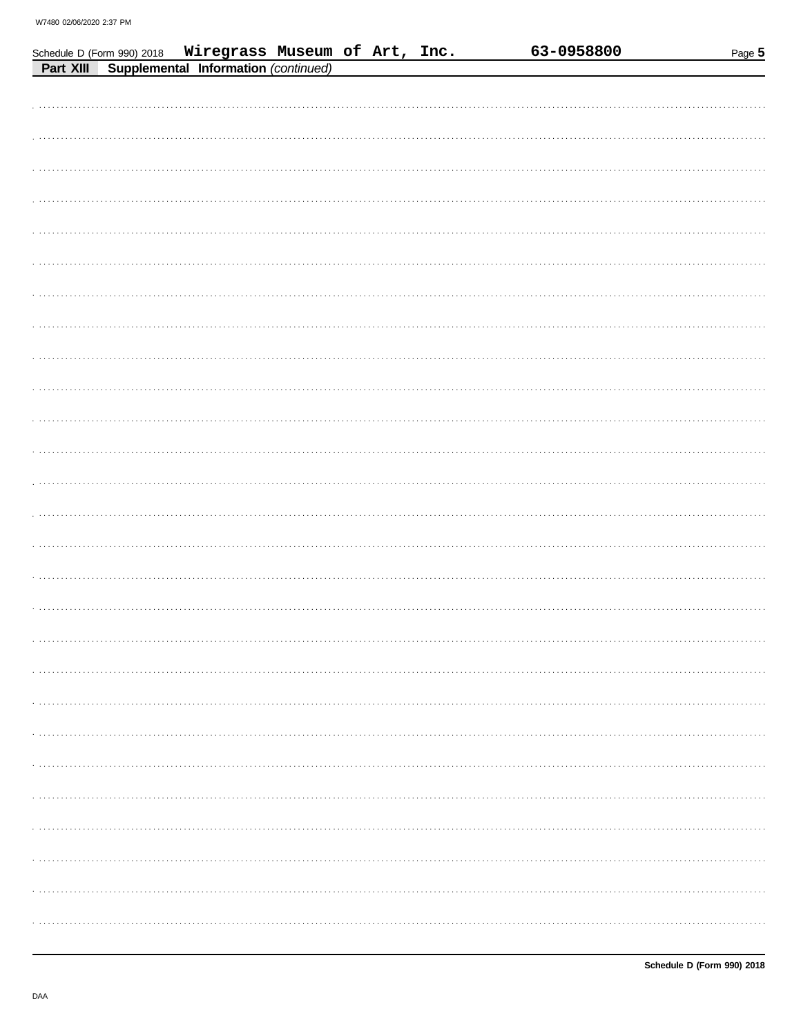|           | Schedule D (Form 990) 2018  Wiregrass Museum of Art, Inc. |  | 63-0958800 | Page 5 |
|-----------|-----------------------------------------------------------|--|------------|--------|
| Part XIII | Supplemental Information (continued)                      |  |            |        |
|           |                                                           |  |            |        |
|           |                                                           |  |            |        |
|           |                                                           |  |            |        |
|           |                                                           |  |            |        |
|           |                                                           |  |            |        |
|           |                                                           |  |            |        |
|           |                                                           |  |            |        |
|           |                                                           |  |            |        |
|           |                                                           |  |            |        |
|           |                                                           |  |            |        |
|           |                                                           |  |            |        |
|           |                                                           |  |            |        |
|           |                                                           |  |            |        |
|           |                                                           |  |            |        |
|           |                                                           |  |            |        |
|           |                                                           |  |            |        |
|           |                                                           |  |            |        |
|           |                                                           |  |            |        |
|           |                                                           |  |            |        |
|           |                                                           |  |            |        |
|           |                                                           |  |            |        |
|           |                                                           |  |            |        |
|           |                                                           |  |            |        |
|           |                                                           |  |            |        |
|           |                                                           |  |            |        |
|           |                                                           |  |            |        |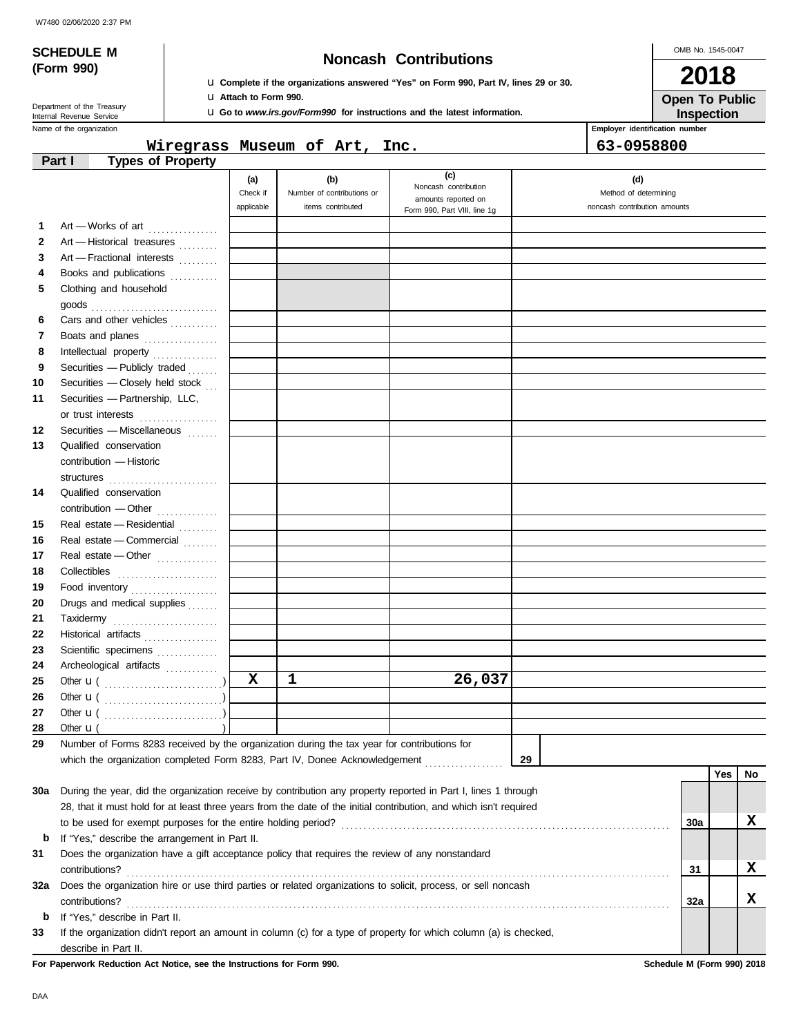# **(Form 990)**

# **SCHEDULE M Noncash Contributions**

OMB No. 1545-0047 **2018**

| (Form 990) |  |
|------------|--|
|------------|--|

### u **Complete if the organizations answered "Yes" on Form 990, Part IV, lines 29 or 30.** u **Attach to Form 990.**

u **Go to** *www.irs.gov/Form990* **for instructions and the latest information.**

Employer identification number **Inspection Open To Public**

| 63-0958800 |  |  |  |
|------------|--|--|--|
|            |  |  |  |
|            |  |  |  |

| Department of the Treasury<br>Internal Revenue Service |  |  |  |  |  |
|--------------------------------------------------------|--|--|--|--|--|
| Name of the organization                               |  |  |  |  |  |

# **Wiregrass Museum of Art, Inc. 63-0958800**

|              | <b>Types of Property</b><br>Part I                                                                                 |            |                            |                                             |                              |     |     |    |
|--------------|--------------------------------------------------------------------------------------------------------------------|------------|----------------------------|---------------------------------------------|------------------------------|-----|-----|----|
|              |                                                                                                                    | (a)        | (b)                        | (c)                                         | (d)                          |     |     |    |
|              |                                                                                                                    | Check if   | Number of contributions or | Noncash contribution<br>amounts reported on | Method of determining        |     |     |    |
|              |                                                                                                                    | applicable | items contributed          | Form 990, Part VIII, line 1g                | noncash contribution amounts |     |     |    |
| 1            | Art - Works of art                                                                                                 |            |                            |                                             |                              |     |     |    |
| $\mathbf{2}$ | Art - Historical treasures                                                                                         |            |                            |                                             |                              |     |     |    |
| 3            | Art - Fractional interests                                                                                         |            |                            |                                             |                              |     |     |    |
| 4            | Books and publications                                                                                             |            |                            |                                             |                              |     |     |    |
| 5            | Clothing and household                                                                                             |            |                            |                                             |                              |     |     |    |
|              | $\mathsf{goods}\xrightarrow{\hspace{0.5cm}}$                                                                       |            |                            |                                             |                              |     |     |    |
| 6            | Cars and other vehicles                                                                                            |            |                            |                                             |                              |     |     |    |
| 7            | Boats and planes                                                                                                   |            |                            |                                             |                              |     |     |    |
| 8            |                                                                                                                    |            |                            |                                             |                              |     |     |    |
| 9            | Securities - Publicly traded                                                                                       |            |                            |                                             |                              |     |     |    |
| 10           | Securities - Closely held stock                                                                                    |            |                            |                                             |                              |     |     |    |
| 11           | Securities - Partnership, LLC,                                                                                     |            |                            |                                             |                              |     |     |    |
|              | or trust interests                                                                                                 |            |                            |                                             |                              |     |     |    |
| 12           | Securities - Miscellaneous                                                                                         |            |                            |                                             |                              |     |     |    |
| 13           | Qualified conservation                                                                                             |            |                            |                                             |                              |     |     |    |
|              | contribution - Historic                                                                                            |            |                            |                                             |                              |     |     |    |
|              | structures                                                                                                         |            |                            |                                             |                              |     |     |    |
| 14           | Qualified conservation                                                                                             |            |                            |                                             |                              |     |     |    |
|              |                                                                                                                    |            |                            |                                             |                              |     |     |    |
| 15           | Real estate - Residential                                                                                          |            |                            |                                             |                              |     |     |    |
| 16           | Real estate - Commercial                                                                                           |            |                            |                                             |                              |     |     |    |
| 17           | Real estate - Other                                                                                                |            |                            |                                             |                              |     |     |    |
| 18           |                                                                                                                    |            |                            |                                             |                              |     |     |    |
| 19           | Food inventory                                                                                                     |            |                            |                                             |                              |     |     |    |
| 20           | Drugs and medical supplies                                                                                         |            |                            |                                             |                              |     |     |    |
| 21           | Taxidermy                                                                                                          |            |                            |                                             |                              |     |     |    |
| 22           | Historical artifacts                                                                                               |            |                            |                                             |                              |     |     |    |
| 23           | Scientific specimens                                                                                               |            |                            |                                             |                              |     |     |    |
| 24           | Archeological artifacts                                                                                            |            |                            |                                             |                              |     |     |    |
| 25           |                                                                                                                    | X          | $\mathbf 1$                | 26,037                                      |                              |     |     |    |
| 26           |                                                                                                                    |            |                            |                                             |                              |     |     |    |
| 27           |                                                                                                                    |            |                            |                                             |                              |     |     |    |
| 28           | Other $\mathbf{u}$ (                                                                                               |            |                            |                                             |                              |     |     |    |
| 29           | Number of Forms 8283 received by the organization during the tax year for contributions for                        |            |                            |                                             |                              |     |     |    |
|              | which the organization completed Form 8283, Part IV, Donee Acknowledgement                                         |            |                            |                                             | 29                           |     |     |    |
|              |                                                                                                                    |            |                            |                                             |                              |     | Yes | No |
| 30a          | During the year, did the organization receive by contribution any property reported in Part I, lines 1 through     |            |                            |                                             |                              |     |     |    |
|              | 28, that it must hold for at least three years from the date of the initial contribution, and which isn't required |            |                            |                                             |                              |     |     |    |
|              |                                                                                                                    |            |                            |                                             |                              | 30a |     | x  |
|              | <b>b</b> If "Yes," describe the arrangement in Part II.                                                            |            |                            |                                             |                              |     |     |    |
| 31           | Does the organization have a gift acceptance policy that requires the review of any nonstandard                    |            |                            |                                             |                              |     |     |    |
|              | contributions?                                                                                                     |            |                            |                                             |                              | 31  |     | X  |
| 32a          | Does the organization hire or use third parties or related organizations to solicit, process, or sell noncash      |            |                            |                                             |                              |     |     |    |
|              | contributions?                                                                                                     |            |                            |                                             |                              | 32a |     | X  |
|              | <b>b</b> If "Yes," describe in Part II.                                                                            |            |                            |                                             |                              |     |     |    |
| 33           | If the organization didn't report an amount in column (c) for a type of property for which column (a) is checked,  |            |                            |                                             |                              |     |     |    |
|              | describe in Part II.                                                                                               |            |                            |                                             |                              |     |     |    |

**For Paperwork Reduction Act Notice, see the Instructions for Form 990. Schedule M (Form 990) 2018**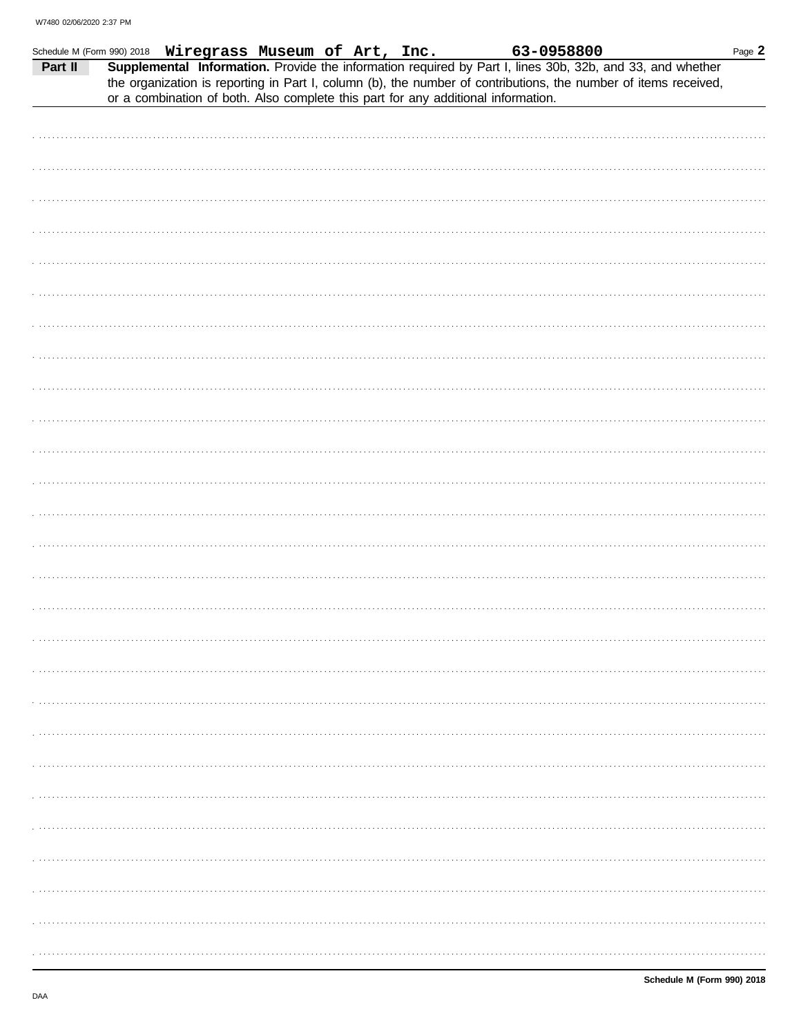|         |  | Schedule M (Form 990) 2018 Wiregrass Museum of Art, Inc.                          |  |  | 63-0958800 |                                                                                                                                                                                                                              | Page 2 |
|---------|--|-----------------------------------------------------------------------------------|--|--|------------|------------------------------------------------------------------------------------------------------------------------------------------------------------------------------------------------------------------------------|--------|
| Part II |  | or a combination of both. Also complete this part for any additional information. |  |  |            | Supplemental Information. Provide the information required by Part I, lines 30b, 32b, and 33, and whether<br>the organization is reporting in Part I, column (b), the number of contributions, the number of items received, |        |
|         |  |                                                                                   |  |  |            |                                                                                                                                                                                                                              |        |
|         |  |                                                                                   |  |  |            |                                                                                                                                                                                                                              |        |
|         |  |                                                                                   |  |  |            |                                                                                                                                                                                                                              |        |
|         |  |                                                                                   |  |  |            |                                                                                                                                                                                                                              |        |
|         |  |                                                                                   |  |  |            |                                                                                                                                                                                                                              |        |
|         |  |                                                                                   |  |  |            |                                                                                                                                                                                                                              |        |
|         |  |                                                                                   |  |  |            |                                                                                                                                                                                                                              |        |
|         |  |                                                                                   |  |  |            |                                                                                                                                                                                                                              |        |
|         |  |                                                                                   |  |  |            |                                                                                                                                                                                                                              |        |
|         |  |                                                                                   |  |  |            |                                                                                                                                                                                                                              |        |
|         |  |                                                                                   |  |  |            |                                                                                                                                                                                                                              |        |
|         |  |                                                                                   |  |  |            |                                                                                                                                                                                                                              |        |
|         |  |                                                                                   |  |  |            |                                                                                                                                                                                                                              |        |
|         |  |                                                                                   |  |  |            |                                                                                                                                                                                                                              |        |
|         |  |                                                                                   |  |  |            |                                                                                                                                                                                                                              |        |
|         |  |                                                                                   |  |  |            |                                                                                                                                                                                                                              |        |
|         |  |                                                                                   |  |  |            |                                                                                                                                                                                                                              |        |
|         |  |                                                                                   |  |  |            |                                                                                                                                                                                                                              |        |
|         |  |                                                                                   |  |  |            |                                                                                                                                                                                                                              |        |
|         |  |                                                                                   |  |  |            |                                                                                                                                                                                                                              |        |
|         |  |                                                                                   |  |  |            |                                                                                                                                                                                                                              |        |
|         |  |                                                                                   |  |  |            |                                                                                                                                                                                                                              |        |
|         |  |                                                                                   |  |  |            |                                                                                                                                                                                                                              |        |
|         |  |                                                                                   |  |  |            |                                                                                                                                                                                                                              |        |
|         |  |                                                                                   |  |  |            |                                                                                                                                                                                                                              |        |
|         |  |                                                                                   |  |  |            |                                                                                                                                                                                                                              |        |
|         |  |                                                                                   |  |  |            |                                                                                                                                                                                                                              |        |
|         |  |                                                                                   |  |  |            |                                                                                                                                                                                                                              |        |
|         |  |                                                                                   |  |  |            |                                                                                                                                                                                                                              |        |
|         |  |                                                                                   |  |  |            |                                                                                                                                                                                                                              |        |
|         |  |                                                                                   |  |  |            |                                                                                                                                                                                                                              |        |
|         |  |                                                                                   |  |  |            |                                                                                                                                                                                                                              |        |
|         |  |                                                                                   |  |  |            |                                                                                                                                                                                                                              |        |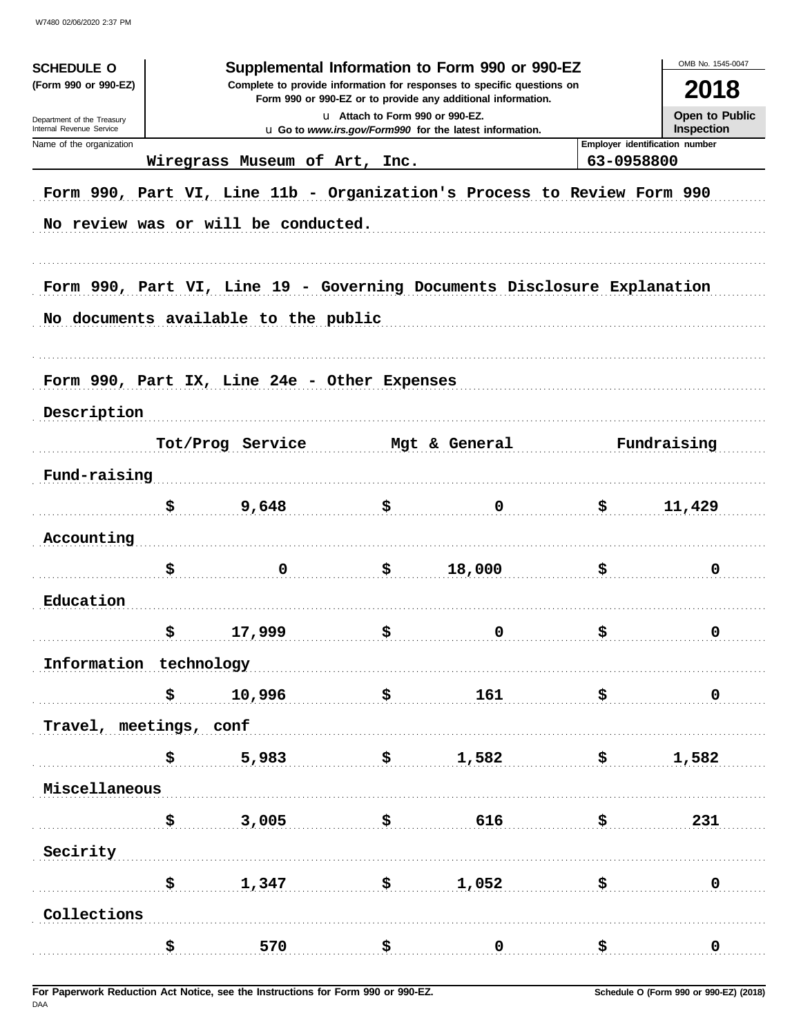| <b>SCHEDULE O</b>                                      |                                                                                                                                        |                                                                                                                 |    | Supplemental Information to Form 990 or 990-EZ          |                                                                  | OMB No. 1545-0047                                   |  |
|--------------------------------------------------------|----------------------------------------------------------------------------------------------------------------------------------------|-----------------------------------------------------------------------------------------------------------------|----|---------------------------------------------------------|------------------------------------------------------------------|-----------------------------------------------------|--|
| (Form 990 or 990-EZ)                                   | Complete to provide information for responses to specific questions on<br>Form 990 or 990-EZ or to provide any additional information. |                                                                                                                 |    |                                                         |                                                                  |                                                     |  |
| Department of the Treasury<br>Internal Revenue Service |                                                                                                                                        | Open to Public                                                                                                  |    |                                                         |                                                                  |                                                     |  |
| Name of the organization                               |                                                                                                                                        |                                                                                                                 |    | u Go to www.irs.gov/Form990 for the latest information. |                                                                  | <b>Inspection</b><br>Employer identification number |  |
|                                                        |                                                                                                                                        | Wiregrass Museum of Art, Inc.                                                                                   |    |                                                         | 63-0958800                                                       |                                                     |  |
|                                                        |                                                                                                                                        | Form 990, Part VI, Line 11b - Organization's Process to Review Form 990<br>No review was or will be conducted.  |    |                                                         |                                                                  |                                                     |  |
|                                                        |                                                                                                                                        | Form 990, Part VI, Line 19 - Governing Documents Disclosure Explanation<br>No documents available to the public |    |                                                         |                                                                  |                                                     |  |
|                                                        |                                                                                                                                        | Form 990, Part IX, Line 24e - Other Expenses                                                                    |    |                                                         |                                                                  |                                                     |  |
| Description                                            |                                                                                                                                        |                                                                                                                 |    |                                                         |                                                                  |                                                     |  |
|                                                        |                                                                                                                                        | Tot/Prog Service                                                                                                |    | Mgt & General                                           |                                                                  | Fundraising                                         |  |
| Fund-raising                                           |                                                                                                                                        |                                                                                                                 |    |                                                         |                                                                  |                                                     |  |
|                                                        |                                                                                                                                        |                                                                                                                 |    |                                                         |                                                                  |                                                     |  |
|                                                        | \$                                                                                                                                     | 9,648                                                                                                           | \$ | 0                                                       | \$.                                                              | 11,429                                              |  |
| Accounting                                             |                                                                                                                                        |                                                                                                                 |    |                                                         |                                                                  |                                                     |  |
|                                                        | \$                                                                                                                                     | 0                                                                                                               | \$ | 18,000                                                  | \$                                                               | 0                                                   |  |
| Education                                              |                                                                                                                                        |                                                                                                                 |    |                                                         |                                                                  |                                                     |  |
|                                                        |                                                                                                                                        |                                                                                                                 |    |                                                         |                                                                  | <sup>n</sup>                                        |  |
|                                                        |                                                                                                                                        | $\sim$ 17,999                                                                                                   |    | $\mathbf{0}$                                            | $\boldsymbol{\mathsf{S}}$ . The set of $\boldsymbol{\mathsf{S}}$ |                                                     |  |
| Information technology                                 |                                                                                                                                        |                                                                                                                 |    |                                                         |                                                                  |                                                     |  |
|                                                        |                                                                                                                                        | $\frac{10,996}{9}$ \$ 10,996 \$ 161 \$                                                                          |    |                                                         |                                                                  | $\overline{\mathbf{0}}$                             |  |
| Travel, meetings, conf                                 |                                                                                                                                        |                                                                                                                 |    |                                                         |                                                                  |                                                     |  |
|                                                        |                                                                                                                                        |                                                                                                                 |    |                                                         |                                                                  |                                                     |  |
|                                                        |                                                                                                                                        | $\frac{1}{5}$ , 5, 983 \$ 1, 582 \$ 1, 582                                                                      |    |                                                         |                                                                  |                                                     |  |
| Miscellaneous                                          |                                                                                                                                        |                                                                                                                 |    |                                                         |                                                                  |                                                     |  |
|                                                        |                                                                                                                                        | $\frac{1}{5}$ 3,005 \$ 616 \$ 231                                                                               |    |                                                         |                                                                  |                                                     |  |
|                                                        |                                                                                                                                        |                                                                                                                 |    |                                                         |                                                                  |                                                     |  |
| Secirity                                               |                                                                                                                                        |                                                                                                                 |    |                                                         |                                                                  |                                                     |  |
|                                                        | $\mathbf{\dot{s}}$                                                                                                                     |                                                                                                                 |    | $1,347$ \$ $1,052$ \$                                   |                                                                  | $\mathbf 0$                                         |  |
| Collections                                            |                                                                                                                                        |                                                                                                                 |    |                                                         |                                                                  |                                                     |  |
|                                                        |                                                                                                                                        |                                                                                                                 |    |                                                         |                                                                  |                                                     |  |
|                                                        |                                                                                                                                        | $\ddot{\mathbf{s}}$                                                                                             |    | $570$ \$ 0 \$                                           |                                                                  | $\mathbf 0$                                         |  |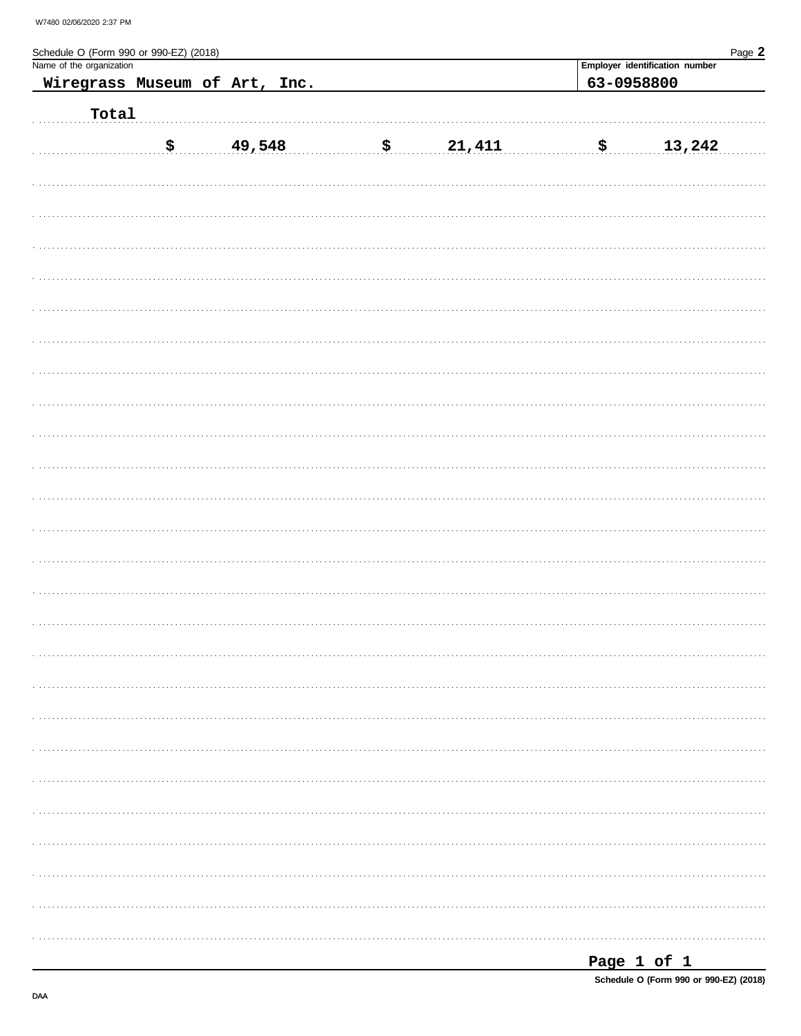| Schedule O (Form 990 or 990-EZ) (2018) |                          |                               |                           |        |                      | Page 2                         |
|----------------------------------------|--------------------------|-------------------------------|---------------------------|--------|----------------------|--------------------------------|
|                                        | Name of the organization |                               |                           |        |                      | Employer identification number |
|                                        |                          | Wiregrass Museum of Art, Inc. |                           |        | 63-0958800           |                                |
|                                        |                          |                               |                           |        |                      |                                |
| Total                                  |                          |                               |                           |        |                      |                                |
|                                        | \$                       | 49,548                        | $\boldsymbol{\mathsf{S}}$ | 21,411 | $\mathbf{S}_{\cdot}$ | 13,242                         |
|                                        |                          |                               |                           |        |                      |                                |
|                                        |                          |                               |                           |        |                      |                                |
|                                        |                          |                               |                           |        |                      |                                |
|                                        |                          |                               |                           |        |                      |                                |
|                                        |                          |                               |                           |        |                      |                                |
|                                        |                          |                               |                           |        |                      |                                |
|                                        |                          |                               |                           |        |                      |                                |
|                                        |                          |                               |                           |        |                      |                                |
|                                        |                          |                               |                           |        |                      |                                |
|                                        |                          |                               |                           |        |                      |                                |
|                                        |                          |                               |                           |        |                      |                                |
|                                        |                          |                               |                           |        |                      |                                |
|                                        |                          |                               |                           |        |                      |                                |
|                                        |                          |                               |                           |        |                      |                                |
|                                        |                          |                               |                           |        |                      |                                |
|                                        |                          |                               |                           |        |                      |                                |
|                                        |                          |                               |                           |        |                      |                                |
|                                        |                          |                               |                           |        |                      |                                |
|                                        |                          |                               |                           |        |                      |                                |
|                                        |                          |                               |                           |        |                      |                                |
|                                        |                          |                               |                           |        |                      |                                |
|                                        |                          |                               |                           |        |                      |                                |
|                                        |                          |                               |                           |        |                      |                                |
|                                        |                          |                               |                           |        |                      |                                |
|                                        |                          |                               |                           |        |                      |                                |

Schedule O (Form 990 or 990-EZ) (2018)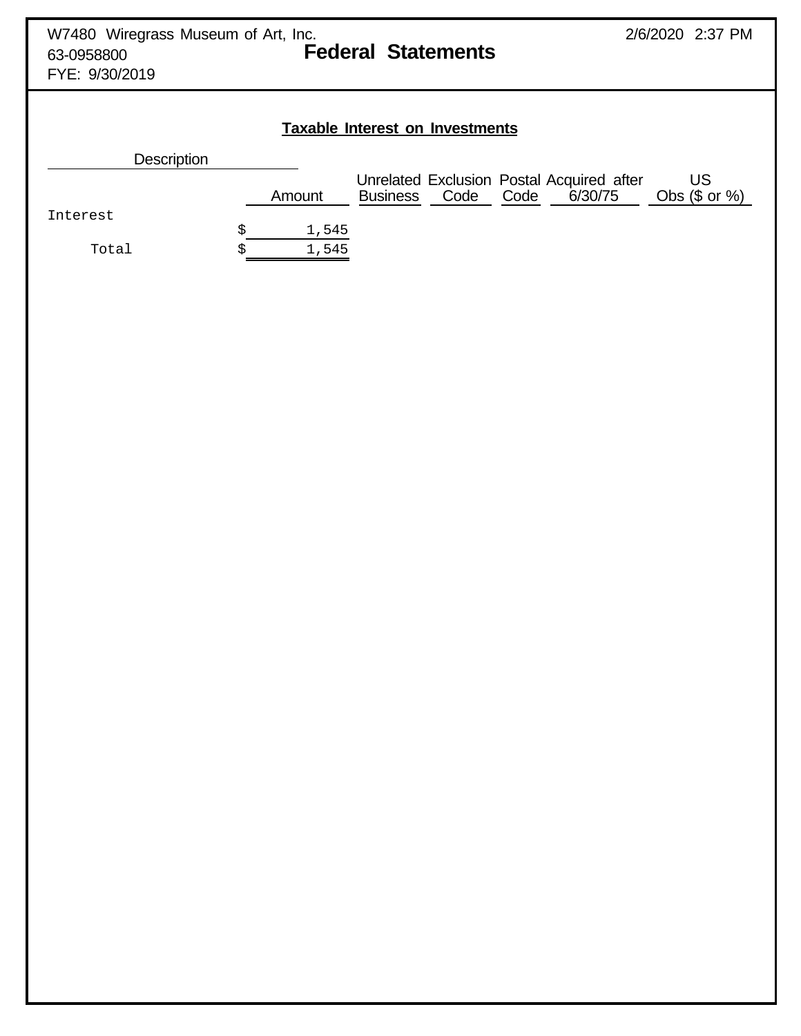|              | W7480 Wiregrass Museum of Art, Inc. |  |                    |  |
|--------------|-------------------------------------|--|--------------------|--|
| 63-0958800   |                                     |  | <b>Federal Sta</b> |  |
| EVE, OMOMOAO |                                     |  |                    |  |

# atements

FYE: 9/30/2019

## **Taxable Interest on Investments**

# **Description** Unrelated Exclusion Postal Acquired after US Amount Business Code Code 6/30/75 Obs (\$ or %) Interest  $$ 1,545$ Total  $\qquad \qquad$   $\qquad \qquad$   $\qquad$   $\qquad$   $\qquad$  1,545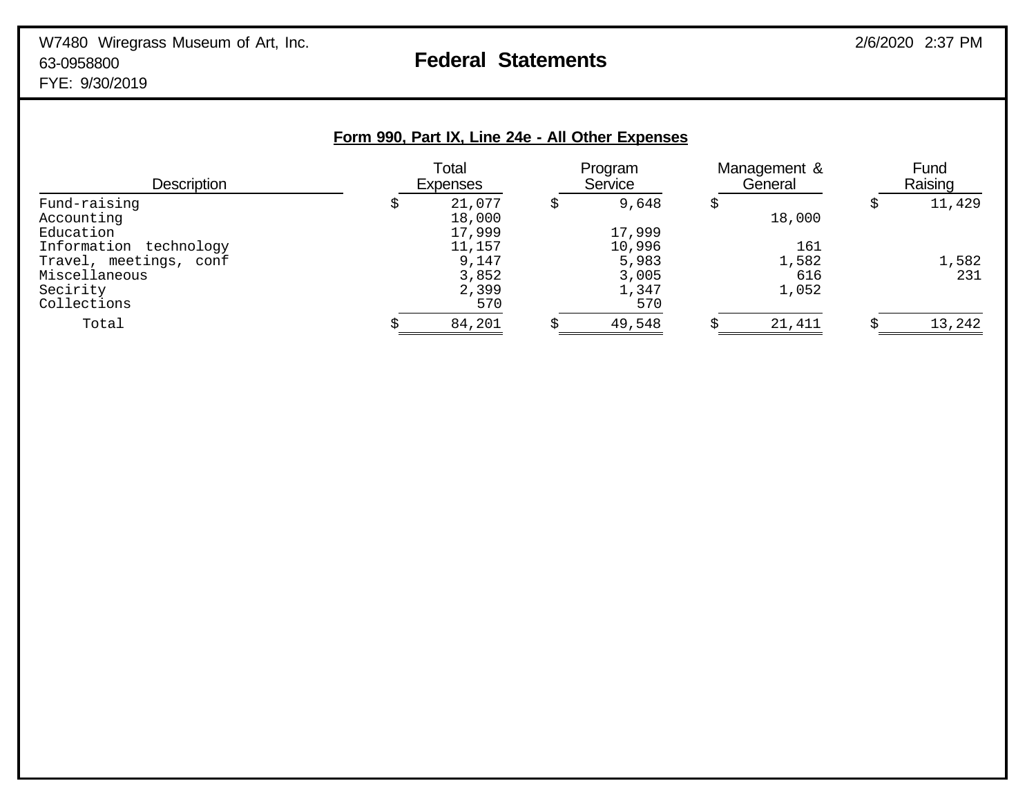# W7480 Wiregrass Museum of Art, Inc. 20020 2:37 PM 63-0958800 **Federal Statements** FYE: 9/30/2019

| Form 990, Part IX, Line 24e - All Other Expenses |   |                          |   |                    |    |                         |    |                 |
|--------------------------------------------------|---|--------------------------|---|--------------------|----|-------------------------|----|-----------------|
| <b>Description</b>                               |   | Total<br><b>Expenses</b> |   | Program<br>Service |    | Management &<br>General |    | Fund<br>Raising |
| Fund-raising                                     | Ş | 21,077                   | S | 9,648              | \$ |                         | \$ | 11,429          |
| Accounting                                       |   | 18,000                   |   |                    |    | 18,000                  |    |                 |
| Education                                        |   | 17,999                   |   | 17,999             |    |                         |    |                 |
| Information technology                           |   | 11,157                   |   | 10,996             |    | 161                     |    |                 |
| Travel, meetings, conf                           |   | 9,147                    |   | 5,983              |    | 1,582                   |    | 1,582           |
| Miscellaneous                                    |   | 3,852                    |   | 3.005              |    | 616                     |    | 231             |
| Secirity                                         |   | 2,399                    |   | 1,347              |    | 1,052                   |    |                 |
| Collections                                      |   | 570                      |   | 570                |    |                         |    |                 |
| Total                                            | S | 84,201                   |   | 49,548             |    | 21,411                  | S  | 13,242          |